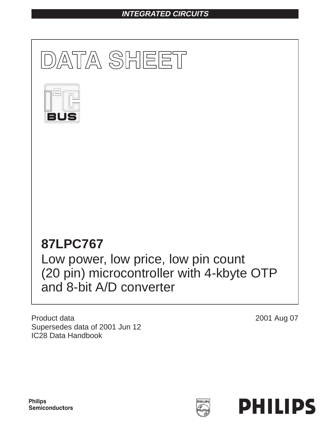## **INTEGRATED CIRCUITS**



Product data Supersedes data of 2001 Jun 12 IC28 Data Handbook

2001 Aug 07



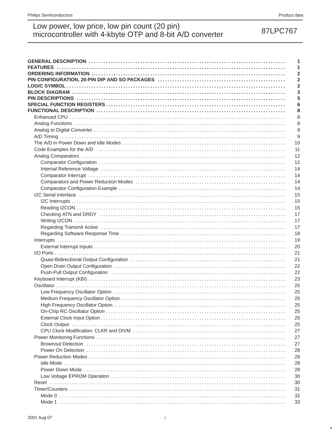**GENERAL DESCRIPTION ...................** 

|                                                                                                                                                                                                                                | 1  |
|--------------------------------------------------------------------------------------------------------------------------------------------------------------------------------------------------------------------------------|----|
|                                                                                                                                                                                                                                | 2  |
|                                                                                                                                                                                                                                | 2  |
|                                                                                                                                                                                                                                | 2  |
|                                                                                                                                                                                                                                | 3  |
|                                                                                                                                                                                                                                | 5  |
|                                                                                                                                                                                                                                | 6  |
|                                                                                                                                                                                                                                | 8  |
|                                                                                                                                                                                                                                | 8  |
|                                                                                                                                                                                                                                | 8  |
|                                                                                                                                                                                                                                | 8  |
|                                                                                                                                                                                                                                | g  |
|                                                                                                                                                                                                                                | 10 |
|                                                                                                                                                                                                                                | 11 |
|                                                                                                                                                                                                                                | 12 |
|                                                                                                                                                                                                                                | 12 |
| Internal Reference Voltage (and according to the control of the control of the control of the control of the control of the control of the control of the control of the control of the control of the control of the control  | 14 |
|                                                                                                                                                                                                                                | 14 |
|                                                                                                                                                                                                                                | 14 |
|                                                                                                                                                                                                                                | 14 |
| I2C Serial Interface (and according to the control of the control of the control of the control of the control of the control of the control of the control of the control of the control of the control of the control of the | 15 |
|                                                                                                                                                                                                                                | 15 |
|                                                                                                                                                                                                                                | 15 |
|                                                                                                                                                                                                                                | 17 |
|                                                                                                                                                                                                                                | 17 |
| Regarding Transmit Active (all active and activities in the contract of the contract of the contract of the co                                                                                                                 | 17 |
|                                                                                                                                                                                                                                | 18 |
|                                                                                                                                                                                                                                | 19 |
|                                                                                                                                                                                                                                | 20 |
|                                                                                                                                                                                                                                | 21 |
|                                                                                                                                                                                                                                | 21 |
|                                                                                                                                                                                                                                | 22 |
| Push-Pull Output Configuration (1) (1) and (1) and (1) and (1) and (1) and (1) and (1) and (1) and (1) and (1) and (1) and (1) and (1) and (1) and (1) and (1) and (1) and (1) and (1) and (1) and (1) and (1) and (1) and (1) | 22 |
|                                                                                                                                                                                                                                | 23 |
|                                                                                                                                                                                                                                | 25 |
|                                                                                                                                                                                                                                | 25 |
|                                                                                                                                                                                                                                | 25 |
|                                                                                                                                                                                                                                | 25 |
|                                                                                                                                                                                                                                | 25 |
|                                                                                                                                                                                                                                | 25 |
|                                                                                                                                                                                                                                | 25 |
|                                                                                                                                                                                                                                | 27 |
|                                                                                                                                                                                                                                | 27 |
| Brownout Detection (1000) (1000) (1000) (1000) (1000) (1000) (1000) (1000) (1000) (1000) (1000) (1000) (1000) (1000) (1000) (1000) (1000) (1000) (1000) (1000) (1000) (1000) (1000) (1000) (1000) (1000) (1000) (1000) (1000)  | 27 |
|                                                                                                                                                                                                                                | 28 |
|                                                                                                                                                                                                                                | 28 |
|                                                                                                                                                                                                                                | 28 |
|                                                                                                                                                                                                                                | 28 |
|                                                                                                                                                                                                                                | 30 |
|                                                                                                                                                                                                                                | 30 |
|                                                                                                                                                                                                                                | 31 |
|                                                                                                                                                                                                                                | 32 |
|                                                                                                                                                                                                                                | 33 |
|                                                                                                                                                                                                                                |    |

 $\mathbf{1}$ 

## 87LPC767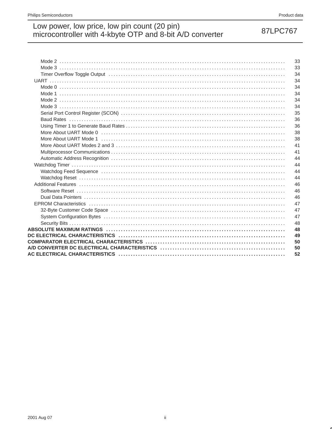## 87LPC767

| 33 |
|----|
| 33 |
| 34 |
| 34 |
| 34 |
| 34 |
| 34 |
| 34 |
| 35 |
| 36 |
| 36 |
| 38 |
| 38 |
| 41 |
| 41 |
| 44 |
| 44 |
| 44 |
| 44 |
| 46 |
| 46 |
| 46 |
| 47 |
| 47 |
| 47 |
| 48 |
| 48 |
| 49 |
| 50 |
| 50 |
| 52 |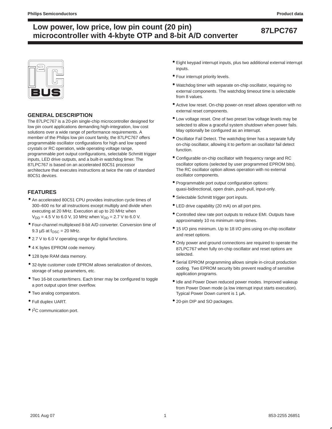



### **GENERAL DESCRIPTION**

The 87LPC767 is a 20-pin single-chip microcontroller designed for low pin count applications demanding high-integration, low cost solutions over a wide range of performance requirements. A member of the Philips low pin count family, the 87LPC767 offers programmable oscillator configurations for high and low speed crystals or RC operation, wide operating voltage range, programmable port output configurations, selectable Schmitt trigger inputs, LED drive outputs, and a built-in watchdog timer. The 87LPC767 is based on an accelerated 80C51 processor architecture that executes instructions at twice the rate of standard 80C51 devices.

### **FEATURES**

- An accelerated 80C51 CPU provides instruction cycle times of 300–600 ns for all instructions except multiply and divide when executing at 20 MHz. Execution at up to 20 MHz when  $V_{DD} = 4.5$  V to 6.0 V, 10 MHz when  $V_{DD} = 2.7$  V to 6.0 V.
- Four-channel multiplexed 8-bit A/D converter. Conversion time of 9.3  $\mu$ S at f<sub>OSC</sub> = 20 MHz.
- 2.7 V to 6.0 V operating range for digital functions.
- 4 K bytes EPROM code memory.
- 128 byte RAM data memory.
- 32-byte customer code EPROM allows serialization of devices, storage of setup parameters, etc.
- Two 16-bit counter/timers. Each timer may be configured to toggle a port output upon timer overflow.
- Two analog comparators.
- Full duplex UART.
- I<sup>2</sup>C communication port.
- Eight keypad interrupt inputs, plus two additional external interrupt inputs.
- Four interrupt priority levels.
- Watchdog timer with separate on-chip oscillator, requiring no external components. The watchdog timeout time is selectable from 8 values.
- Active low reset. On-chip power-on reset allows operation with no external reset components.
- Low voltage reset. One of two preset low voltage levels may be selected to allow a graceful system shutdown when power fails. May optionally be configured as an interrupt.
- Oscillator Fail Detect. The watchdog timer has a separate fully on-chip oscillator, allowing it to perform an oscillator fail detect function.
- Configurable on-chip oscillator with frequency range and RC oscillator options (selected by user programmed EPROM bits). The RC oscillator option allows operation with no external oscillator components.
- Programmable port output configuration options: quasi-bidirectional, open drain, push-pull, input-only.
- Selectable Schmitt trigger port inputs.
- LED drive capability (20 mA) on all port pins.
- Controlled slew rate port outputs to reduce EMI. Outputs have approximately 10 ns minimum ramp times.
- 15 I/O pins minimum. Up to 18 I/O pins using on-chip oscillator and reset options.
- Only power and ground connections are required to operate the 87LPC767 when fully on-chip oscillator and reset options are selected.
- Serial EPROM programming allows simple in-circuit production coding. Two EPROM security bits prevent reading of sensitive application programs.
- Idle and Power Down reduced power modes. Improved wakeup from Power Down mode (a low interrupt input starts execution). Typical Power Down current is 1 µA.
- 20-pin DIP and SO packages.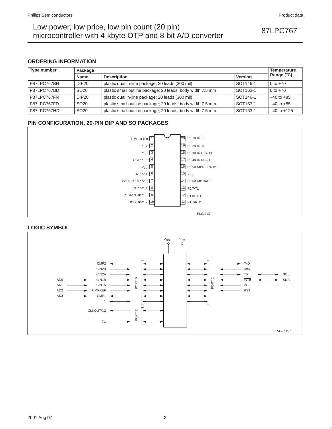### **ORDERING INFORMATION**

| <b>Type number</b> | Package           |                                                            |                      |                      |  |  |  |  |
|--------------------|-------------------|------------------------------------------------------------|----------------------|----------------------|--|--|--|--|
|                    | <b>Name</b>       | <b>Description</b>                                         | <b>Version</b>       | Range ( $\degree$ C) |  |  |  |  |
| P87LPC767BN        | DIP <sub>20</sub> | plastic dual in-line package; 20 leads (300 mil)           | SOT146-1             | $0 to +70$           |  |  |  |  |
| P87LPC767BD        | SO <sub>20</sub>  | plastic small outline package; 20 leads; body width 7.5 mm | SOT <sub>163-1</sub> | 0 to $+70$           |  |  |  |  |
| P87LPC767FN        | DIP <sub>20</sub> | plastic dual in-line package; 20 leads (300 mil)           | SOT146-1             | $-40$ to $+85$       |  |  |  |  |
| P87LPC767FD        | SO <sub>20</sub>  | plastic small outline package; 20 leads; body width 7.5 mm | SOT163-1             | $-40$ to $+85$       |  |  |  |  |
| P87LPC767HD        | SO <sub>20</sub>  | plastic small outline package; 20 leads; body width 7.5 mm | SOT <sub>163-1</sub> | $-40$ to $+125$      |  |  |  |  |

### **PIN CONFIGURATION, 20-PIN DIP AND SO PACKAGES**



### **LOGIC SYMBOL**

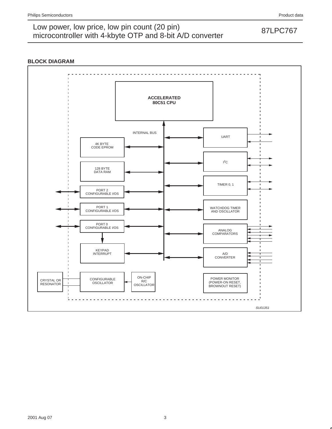### **BLOCK DIAGRAM**

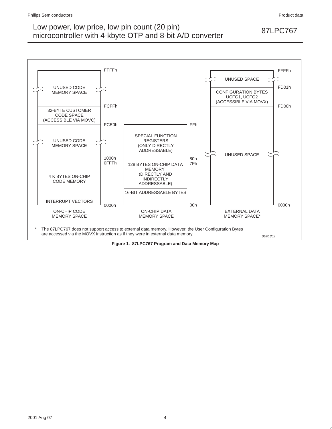

**Figure 1. 87LPC767 Program and Data Memory Map**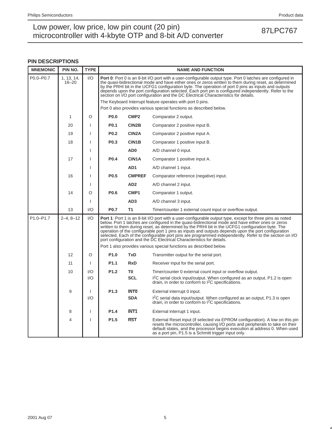## Low power, low price, low pin count (20 pin)<br>
misroecantrallar with 4 kb to OTD and 8 bit A/D converter 67 microcontroller with 4-kbyte OTP and 8-bit A/D converter

### **PIN DESCRIPTIONS**

| <b>MNEMONIC</b> | PIN NO.             | <b>TYPE</b>  |                  | <b>NAME AND FUNCTION</b> |                                                                                                                                                                                                                                                                                                                                                                                                                                                                                                                                                                                                                     |  |  |  |  |  |
|-----------------|---------------------|--------------|------------------|--------------------------|---------------------------------------------------------------------------------------------------------------------------------------------------------------------------------------------------------------------------------------------------------------------------------------------------------------------------------------------------------------------------------------------------------------------------------------------------------------------------------------------------------------------------------------------------------------------------------------------------------------------|--|--|--|--|--|
| P0.0-P0.7       | 1, 13, 14,<br>16–20 | 1/O          |                  |                          | <b>Port 0:</b> Port 0 is an 8-bit I/O port with a user-configurable output type. Port 0 latches are configured in<br>the quasi-bidirectional mode and have either ones or zeros written to them during reset, as determined<br>by the PRHI bit in the UCFG1 configuration byte. The operation of port 0 pins as inputs and outputs<br>depends upon the port configuration selected. Each port pin is configured independently. Refer to the<br>section on I/O port configuration and the DC Electrical Characteristics for details.                                                                                 |  |  |  |  |  |
|                 |                     |              |                  |                          | The Keyboard Interrupt feature operates with port 0 pins.                                                                                                                                                                                                                                                                                                                                                                                                                                                                                                                                                           |  |  |  |  |  |
|                 |                     |              |                  |                          | Port 0 also provides various special functions as described below.                                                                                                                                                                                                                                                                                                                                                                                                                                                                                                                                                  |  |  |  |  |  |
|                 | 1                   | $\circ$      | P <sub>0.0</sub> | CMP <sub>2</sub>         | Comparator 2 output.                                                                                                                                                                                                                                                                                                                                                                                                                                                                                                                                                                                                |  |  |  |  |  |
|                 | 20                  | J.           | P <sub>0.1</sub> | CIN2B                    | Comparator 2 positive input B.                                                                                                                                                                                                                                                                                                                                                                                                                                                                                                                                                                                      |  |  |  |  |  |
|                 | 19                  |              | <b>P0.2</b>      | CIN <sub>2</sub> A       | Comparator 2 positive input A.                                                                                                                                                                                                                                                                                                                                                                                                                                                                                                                                                                                      |  |  |  |  |  |
|                 | 18                  | $\mathbf{I}$ | P <sub>0.3</sub> | CIN1B                    | Comparator 1 positive input B.                                                                                                                                                                                                                                                                                                                                                                                                                                                                                                                                                                                      |  |  |  |  |  |
|                 |                     |              |                  | AD <sub>0</sub>          | A/D channel 0 input.                                                                                                                                                                                                                                                                                                                                                                                                                                                                                                                                                                                                |  |  |  |  |  |
|                 | 17                  |              | P <sub>0.4</sub> | CIN1A                    | Comparator 1 positive input A.                                                                                                                                                                                                                                                                                                                                                                                                                                                                                                                                                                                      |  |  |  |  |  |
|                 |                     | J.           |                  | AD <sub>1</sub>          | A/D channel 1 input.                                                                                                                                                                                                                                                                                                                                                                                                                                                                                                                                                                                                |  |  |  |  |  |
|                 | 16                  |              | P <sub>0.5</sub> | <b>CMPREF</b>            | Comparator reference (negative) input.                                                                                                                                                                                                                                                                                                                                                                                                                                                                                                                                                                              |  |  |  |  |  |
|                 |                     | $\mathbf{I}$ |                  | AD <sub>2</sub>          | A/D channel 2 input.                                                                                                                                                                                                                                                                                                                                                                                                                                                                                                                                                                                                |  |  |  |  |  |
|                 | 14                  | O            | P <sub>0.6</sub> | CMP <sub>1</sub>         | Comparator 1 output.                                                                                                                                                                                                                                                                                                                                                                                                                                                                                                                                                                                                |  |  |  |  |  |
|                 |                     | J.           |                  | AD <sub>3</sub>          | A/D channel 3 input.                                                                                                                                                                                                                                                                                                                                                                                                                                                                                                                                                                                                |  |  |  |  |  |
|                 | 13                  | 1/O          | P0.7             | T1                       | Timer/counter 1 external count input or overflow output.                                                                                                                                                                                                                                                                                                                                                                                                                                                                                                                                                            |  |  |  |  |  |
| P1.0-P1.7       | $2 - 4.8 - 12$      | 1/O          |                  |                          | <b>Port 1:</b> Port 1 is an 8-bit I/O port with a user-configurable output type, except for three pins as noted<br>below. Port 1 latches are configured in the quasi-bidirectional mode and have either ones or zeros<br>written to them during reset, as determined by the PRHI bit in the UCFG1 configuration byte. The<br>operation of the configurable port 1 pins as inputs and outputs depends upon the port configuration<br>selected. Each of the configurable port pins are programmed independently. Refer to the section on I/O<br>port configuration and the DC Electrical Characteristics for details. |  |  |  |  |  |
|                 |                     |              |                  |                          | Port 1 also provides various special functions as described below.                                                                                                                                                                                                                                                                                                                                                                                                                                                                                                                                                  |  |  |  |  |  |
|                 | 12                  | $\circ$      | P <sub>1.0</sub> | <b>TxD</b>               | Transmitter output for the serial port.                                                                                                                                                                                                                                                                                                                                                                                                                                                                                                                                                                             |  |  |  |  |  |
|                 | 11                  | $\mathbf{I}$ | P <sub>1.1</sub> | <b>RxD</b>               | Receiver input for the serial port.                                                                                                                                                                                                                                                                                                                                                                                                                                                                                                                                                                                 |  |  |  |  |  |
|                 | 10                  | 1/O          | P <sub>1.2</sub> | T0                       | Timer/counter 0 external count input or overflow output.                                                                                                                                                                                                                                                                                                                                                                                                                                                                                                                                                            |  |  |  |  |  |
|                 |                     | 1/O          |                  | <b>SCL</b>               | $12C$ serial clock input/output. When configured as an output, P1.2 is open drain, in order to conform to $12C$ specifications.                                                                                                                                                                                                                                                                                                                                                                                                                                                                                     |  |  |  |  |  |
|                 | 9                   | $\mathbf{I}$ | P <sub>1.3</sub> | <b>INTO</b>              | External interrupt 0 input.                                                                                                                                                                                                                                                                                                                                                                                                                                                                                                                                                                                         |  |  |  |  |  |
|                 |                     | 1/O          |                  | <b>SDA</b>               | I <sup>2</sup> C serial data input/output. When configured as an output, P1.3 is open<br>drain, in order to conform to $1^2C$ specifications.                                                                                                                                                                                                                                                                                                                                                                                                                                                                       |  |  |  |  |  |
|                 | 8                   | J.           | P <sub>1.4</sub> | INT <sub>1</sub>         | External interrupt 1 input.                                                                                                                                                                                                                                                                                                                                                                                                                                                                                                                                                                                         |  |  |  |  |  |
|                 | 4                   | J.           | P1.5             | <b>RST</b>               | External Reset input (if selected via EPROM configuration). A low on this pin<br>resets the microcontroller, causing I/O ports and peripherals to take on their<br>default states, and the processor begins execution at address 0. When used<br>as a port pin, P1.5 is a Schmitt trigger input only.                                                                                                                                                                                                                                                                                                               |  |  |  |  |  |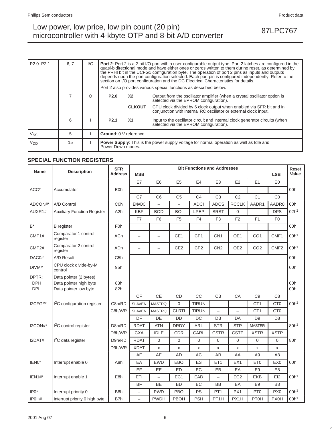## Low power, low price, low pin count (20 pin)<br>
misroecantrallar with 4 kb to OTD and 8 bit A/D converter 67 microcontroller with 4-kbyte OTP and 8-bit A/D converter

| $P2.0 - P2.1$         | 6, 7 | $\mathsf{U}\mathsf{O}$ |                  |                                                                                                                     | <b>Port 2:</b> Port 2 is a 2-bit I/O port with a user-configurable output type. Port 2 latches are configured in the<br>quasi-bidirectional mode and have either ones or zeros written to them during reset, as determined by<br>the PRHI bit in the UCFG1 configuration byte. The operation of port 2 pins as inputs and outputs<br>depends upon the port configuration selected. Each port pin is configured independently. Refer to the<br>section on I/O port configuration and the DC Electrical Characteristics for details.<br>Port 2 also provides various special functions as described below. |  |  |  |
|-----------------------|------|------------------------|------------------|---------------------------------------------------------------------------------------------------------------------|----------------------------------------------------------------------------------------------------------------------------------------------------------------------------------------------------------------------------------------------------------------------------------------------------------------------------------------------------------------------------------------------------------------------------------------------------------------------------------------------------------------------------------------------------------------------------------------------------------|--|--|--|
|                       |      | ∩                      | P <sub>2.0</sub> | X2                                                                                                                  | Output from the oscillator amplifier (when a crystal oscillator option is<br>selected via the EPROM configuration).                                                                                                                                                                                                                                                                                                                                                                                                                                                                                      |  |  |  |
|                       |      |                        |                  | <b>CLKOUT</b>                                                                                                       | CPU clock divided by 6 clock output when enabled via SFR bit and in conjunction with internal RC oscillator or external clock input.                                                                                                                                                                                                                                                                                                                                                                                                                                                                     |  |  |  |
|                       | 6    |                        | P <sub>2.1</sub> | X <sub>1</sub>                                                                                                      | Input to the oscillator circuit and internal clock generator circuits (when<br>selected via the EPROM configuration).                                                                                                                                                                                                                                                                                                                                                                                                                                                                                    |  |  |  |
| <b>V<sub>SS</sub></b> | 5    |                        |                  | Ground: 0 V reference.                                                                                              |                                                                                                                                                                                                                                                                                                                                                                                                                                                                                                                                                                                                          |  |  |  |
| V <sub>DD</sub>       | 15   |                        |                  | <b>Power Supply:</b> This is the power supply voltage for normal operation as well as Idle and<br>Power Down modes. |                                                                                                                                                                                                                                                                                                                                                                                                                                                                                                                                                                                                          |  |  |  |

### **SPECIAL FUNCTION REGISTERS**

| <b>Name</b>                       | <b>Description</b>                                                        | <b>SFR</b><br><b>Address</b> | <b>MSB</b>               |                          |                          | <b>Bit Functions and Addresses</b> |                          |                          |                 | <b>LSB</b>       | Reset<br>Value   |
|-----------------------------------|---------------------------------------------------------------------------|------------------------------|--------------------------|--------------------------|--------------------------|------------------------------------|--------------------------|--------------------------|-----------------|------------------|------------------|
|                                   |                                                                           |                              | <b>E7</b>                | E <sub>6</sub>           | E <sub>5</sub>           | E <sub>4</sub>                     | E <sub>3</sub>           | E <sub>2</sub>           | E1              | E <sub>0</sub>   |                  |
| ACC*                              | Accumulator                                                               | E <sub>0</sub> h             |                          |                          |                          |                                    |                          |                          |                 |                  | 00h              |
|                                   |                                                                           |                              | C <sub>7</sub>           | C <sub>6</sub>           | C <sub>5</sub>           | C <sub>4</sub>                     | C <sub>3</sub>           | C <sub>2</sub>           | C <sub>1</sub>  | CO               |                  |
| ADCON#*                           | A/D Control                                                               | C <sub>O</sub> h             | <b>ENADC</b>             | $\overline{a}$           | $\overline{\phantom{0}}$ | <b>ADCI</b>                        | <b>ADCS</b>              | <b>RCCLK</b>             | AADR1           | AADR0            | 00h              |
| AUXR1#                            | <b>Auxiliary Function Register</b>                                        | A <sub>2</sub> h             | <b>KBF</b>               | <b>BOD</b>               | <b>BOI</b>               | LPEP                               | <b>SRST</b>              | $\Omega$                 |                 | <b>DPS</b>       | 02h <sup>1</sup> |
|                                   |                                                                           |                              | F7                       | F <sub>6</sub>           | F <sub>5</sub>           | F <sub>4</sub>                     | F <sub>3</sub>           | F <sub>2</sub>           | F1              | F <sub>0</sub>   |                  |
| $B^*$                             | <b>B</b> register                                                         | F <sub>0</sub> h             |                          |                          |                          |                                    |                          |                          |                 |                  | 00h              |
| CMP1#                             | Comparator 1 control<br>register                                          | ACh                          | $\overline{\phantom{0}}$ | $\overline{\phantom{0}}$ | CE <sub>1</sub>          | CP <sub>1</sub>                    | CN <sub>1</sub>          | OE1                      | CO <sub>1</sub> | CMF1             | 00h <sup>1</sup> |
| CMP <sub>2#</sub>                 | Comparator 2 control<br>register                                          | ADh                          |                          |                          | CE <sub>2</sub>          | CP <sub>2</sub>                    | CN <sub>2</sub>          | OE <sub>2</sub>          | CO <sub>2</sub> | CMF <sub>2</sub> | 00h <sup>1</sup> |
| DAC0#                             | A/D Result                                                                | C <sub>5</sub> h             |                          |                          |                          |                                    |                          |                          |                 |                  | 00h              |
| DIVM#                             | CPU clock divide-by-M<br>control                                          | 95h                          |                          |                          |                          |                                    |                          |                          |                 |                  | 00h              |
| DPTR:<br><b>DPH</b><br><b>DPL</b> | Data pointer (2 bytes)<br>Data pointer high byte<br>Data pointer low byte | 83h<br>82h                   |                          |                          |                          |                                    |                          |                          |                 |                  | 00h<br>00h       |
|                                   |                                                                           |                              | <b>CF</b>                | <b>CE</b>                | <b>CD</b>                | CC                                 | CB                       | CA                       | C <sub>9</sub>  | C <sub>8</sub>   |                  |
| I2CFG#*                           | <sup>2</sup> C configuration register                                     | C8h/RD                       | <b>SLAVEN</b>            | <b>MASTRQ</b>            | $\mathbf{0}$             | <b>TIRUN</b>                       | $\overline{\phantom{0}}$ | $\overline{\phantom{0}}$ | CT <sub>1</sub> | CT <sub>0</sub>  | 00h <sup>1</sup> |
|                                   |                                                                           | C8h/WR                       | <b>SLAVEN</b>            | <b>MASTRQ</b>            | <b>CLRTI</b>             | <b>TIRUN</b>                       |                          | $\overline{\phantom{0}}$ | CT <sub>1</sub> | C <sub>T0</sub>  |                  |
|                                   |                                                                           |                              | DF                       | DE                       | <b>DD</b>                | DC                                 | DB                       | DA                       | D <sub>9</sub>  | D <sub>8</sub>   |                  |
| I2CON#*                           | $12C$ control register                                                    | D8h/RD                       | <b>RDAT</b>              | <b>ATN</b>               | <b>DRDY</b>              | <b>ARL</b>                         | <b>STR</b>               | <b>STP</b>               | <b>MASTER</b>   | $\overline{a}$   | 80h <sup>1</sup> |
|                                   |                                                                           | D8h/WR                       | <b>CXA</b>               | <b>IDLE</b>              | <b>CDR</b>               | CARL                               | <b>CSTR</b>              | <b>CSTP</b>              | <b>XSTR</b>     | <b>XSTP</b>      |                  |
| I2DAT#                            | I <sup>2</sup> C data register                                            | D9h/RD                       | <b>RDAT</b>              | $\mathbf{0}$             | $\mathbf{0}$             | $\mathbf 0$                        | $\Omega$                 | $\mathbf{0}$             | 0               | $\Omega$         | 80h              |
|                                   |                                                                           | D9h/WR                       | <b>XDAT</b>              | X                        | X                        | X                                  | X                        | X                        | X               | X                |                  |
|                                   |                                                                           |                              | AF                       | <b>AE</b>                | <b>AD</b>                | <b>AC</b>                          | AB                       | AA                       | A <sub>9</sub>  | A8               |                  |
| IEN <sub>0</sub> *                | Interrupt enable 0                                                        | A8h                          | EA                       | <b>EWD</b>               | EBO                      | ES                                 | ET <sub>1</sub>          | EX1                      | ET <sub>0</sub> | EX <sub>0</sub>  | 00h              |
|                                   |                                                                           |                              | EF                       | EE                       | <b>ED</b>                | EC                                 | EB                       | EA                       | E <sub>9</sub>  | E <sub>8</sub>   |                  |
| $IEN1#*$                          | Interrupt enable 1                                                        | E8h                          | ETI                      | $\overline{\phantom{0}}$ | EC <sub>1</sub>          | EAD                                | $\overline{\phantom{0}}$ | EC <sub>2</sub>          | <b>EKB</b>      | E12              | 00h <sup>1</sup> |
|                                   |                                                                           |                              | <b>BF</b>                | <b>BE</b>                | <b>BD</b>                | BC                                 | <b>BB</b>                | <b>BA</b>                | B <sub>9</sub>  | B <sub>8</sub>   |                  |
| $IPO*$                            | Interrupt priority 0                                                      | B <sub>8</sub> h             | $\overline{\phantom{0}}$ | <b>PWD</b>               | PBO                      | PS                                 | PT <sub>1</sub>          | PX1                      | PT <sub>0</sub> | PX <sub>0</sub>  | 00h <sup>1</sup> |
| IP0H#                             | Interrupt priority 0 high byte                                            | B7h                          | $\overline{\phantom{0}}$ | <b>PWDH</b>              | PBOH                     | <b>PSH</b>                         | PT <sub>1</sub> H        | PX1H                     | <b>PT0H</b>     | <b>PX0H</b>      | 00h <sup>1</sup> |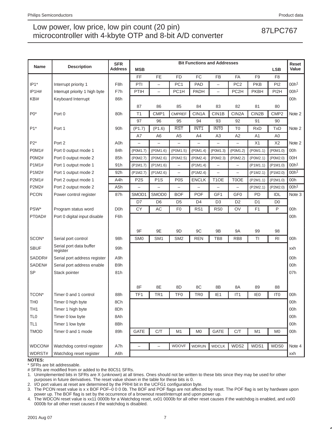## Low power, low price, low pin count (20 pin)<br>microsoptrollor with 4 kb/ts OTD and 8 bit 4 (D serverted and 20 pin 200 page 20 pin 200 page 20 pin 200 page 20 pin 200 page 20 pin 200 page 20 page 20 page 20 page 20 page 20 microcontroller with 4-kbyte OTP and 8-bit A/D converter

| <b>Name</b>     | <b>Description</b>                  | <b>SFR</b><br><b>Address</b> | <b>MSB</b>               | <b>Bit Functions and Addresses</b><br><b>LSB</b> |                          |                    |                          |                          | Reset<br>Value  |                   |                  |
|-----------------|-------------------------------------|------------------------------|--------------------------|--------------------------------------------------|--------------------------|--------------------|--------------------------|--------------------------|-----------------|-------------------|------------------|
|                 |                                     |                              | FF                       | <b>FE</b>                                        | <b>FD</b>                | FC                 | <b>FB</b>                | FA                       | F <sub>9</sub>  | F <sub>8</sub>    |                  |
| IP1*            | Interrupt priority 1                | F <sub>8</sub> h             | PTI                      |                                                  | PC <sub>1</sub>          | PAD                |                          | PC <sub>2</sub>          | <b>PKB</b>      | P <sub>12</sub>   | 00h <sup>1</sup> |
| IP1H#           | Interrupt priority 1 high byte      | F7h                          | PTIH                     | $\overline{\phantom{0}}$                         | PC1H                     | <b>PADH</b>        | $\overline{\phantom{0}}$ | PC <sub>2</sub> H        | <b>PKBH</b>     | PI <sub>2</sub> H | 00h <sup>1</sup> |
| KBI#            | Keyboard Interrupt                  | 86h                          |                          |                                                  |                          |                    |                          |                          |                 |                   | 00h              |
|                 |                                     |                              | 87                       | 86                                               | 85                       | 84                 | 83                       | 82                       | 81              | 80                |                  |
| $P0*$           | Port 0                              | 80h                          | T1                       | CMP1                                             | <b>CMPREF</b>            | CIN <sub>1</sub> A | CIN1B                    | CIN <sub>2</sub> A       | CIN2B           | CMP <sub>2</sub>  | Note 2           |
|                 |                                     |                              | 97                       | 96                                               | 95                       | 94                 | 93                       | 92                       | 91              | 90                |                  |
| $P1*$           | Port 1                              | 90h                          | (P1.7)                   | (P1.6)                                           | <b>RST</b>               | INT <sub>1</sub>   | <b>INTO</b>              | T <sub>0</sub>           | <b>RxD</b>      | <b>TxD</b>        | Note 2           |
|                 |                                     |                              | A7                       | A6                                               | A <sub>5</sub>           | A4                 | A3                       | A <sub>2</sub>           | A <sub>1</sub>  | A0                |                  |
| $P2*$           | Port 2                              | A0h                          |                          |                                                  |                          |                    |                          | $\overline{\phantom{0}}$ | X1              | X2                | Note 2           |
| <b>P0M1#</b>    | Port 0 output mode 1                | 84h                          | (P0M1.7)                 | (POM1.6)                                         |                          | (P0M1.4)           | (P0M1.3)                 | (P0M1.2)                 | (P0M1.1)        | (P0M1.0)          | 00h              |
| <b>P0M2#</b>    | Port 0 output mode 2                | 85h                          | (P0M2.7)                 | (P0M2.6)                                         | (P0M1.5)                 | (P0M2.4)           | (P0M2.3)                 |                          | (P0M2.1)        | (P0M2.0)          | 00H              |
| P1M1#           |                                     |                              |                          |                                                  | (P0M2.5)                 |                    |                          | (P0M2.2)                 |                 |                   | 00h <sup>1</sup> |
|                 | Port 1 output mode 1                | 91h                          | (P1M1.7)                 | (P1M1.6)                                         | $\overline{\phantom{0}}$ | $($ P1M1.4 $)$     |                          | $\overline{\phantom{0}}$ | $($ P1M1.1)     | $($ P1M1.0)       |                  |
| P1M2#           | Port 1 output mode 2                | 92h                          | (P1M2.7)                 | (P1M2.6)                                         | $\overline{\phantom{0}}$ | (P1M2.4)           |                          |                          | (P1M2.1)        | $($ P1M2.0)       | 00h <sup>1</sup> |
| P2M1#           | Port 2 output mode 1                | A4h                          | P <sub>2</sub> S         | P <sub>1</sub> S                                 | P <sub>0</sub> S         | <b>ENCLK</b>       | T <sub>1</sub> OE        | T0OE                     | (P2M1.1)        | (P2M1.0)          | 00h              |
| P2M2#           | Port 2 output mode 2                | A <sub>5</sub> h             | $\overline{\phantom{0}}$ | $\overline{\phantom{0}}$                         | $\overline{\phantom{0}}$ |                    |                          | $\overline{\phantom{0}}$ | (P2M2.1)        | (P2M2.0)          | 00h <sup>1</sup> |
| <b>PCON</b>     | Power control register              | 87h                          | SMOD1                    | SMOD0                                            | <b>BOF</b>               | <b>POF</b>         | GF1                      | GF <sub>0</sub>          | PD              | IDL               | Note 3           |
|                 |                                     |                              | D7                       | D <sub>6</sub>                                   | D <sub>5</sub>           | D <sub>4</sub>     | D <sub>3</sub>           | D <sub>2</sub>           | D <sub>1</sub>  | D <sub>0</sub>    |                  |
| PSW*            | Program status word                 | D <sub>0</sub> h             | <b>CY</b>                | <b>AC</b>                                        | F <sub>0</sub>           | RS <sub>1</sub>    | R <sub>S0</sub>          | OV                       | F1              | $\mathsf{P}$      | 00h              |
| PT0AD#          | Port 0 digital input disable        | F6h                          |                          |                                                  |                          |                    |                          |                          |                 |                   | 00h              |
|                 |                                     |                              |                          |                                                  |                          |                    |                          |                          |                 |                   |                  |
|                 |                                     |                              | 9F                       | 9E                                               | 9 <sub>D</sub>           | 9C                 | 9Β                       | <b>9A</b>                | 99              | 98                |                  |
| SCON*           | Serial port control                 | 98h                          | SM <sub>0</sub>          | SM <sub>1</sub>                                  | SM <sub>2</sub>          | <b>REN</b>         | TB8                      | RB <sub>8</sub>          | TI              | RI.               | 00h              |
| <b>SBUF</b>     | Serial port data buffer<br>register | 99h                          |                          |                                                  |                          |                    |                          |                          |                 |                   | xxh              |
| SADDR#          | Serial port address register        | A9h                          |                          |                                                  |                          |                    |                          |                          |                 |                   | 00h              |
| SADEN#          | Serial port address enable          | B9h                          |                          |                                                  |                          |                    |                          |                          |                 |                   | 00h              |
| <b>SP</b>       | Stack pointer                       | 81h                          |                          |                                                  |                          |                    |                          |                          |                 |                   | 07h              |
|                 |                                     |                              |                          |                                                  |                          |                    |                          |                          |                 |                   |                  |
|                 |                                     |                              | 8F                       | 8E                                               | 8D                       | 8C                 | 8B                       | 8A                       | 89              | 88                |                  |
| TCON*           | Timer 0 and 1 control               | 88h                          | TF1                      | TR <sub>1</sub>                                  | TF <sub>0</sub>          | TR <sub>0</sub>    | IE <sub>1</sub>          | IT <sub>1</sub>          | IE <sub>0</sub> | IT <sub>0</sub>   | 00h              |
| TH <sub>0</sub> | Timer 0 high byte                   | 8Ch                          |                          |                                                  |                          |                    |                          |                          |                 |                   | 00h              |
| TH <sub>1</sub> | Timer 1 high byte                   | 8Dh                          |                          |                                                  |                          |                    |                          |                          |                 |                   | 00h              |
| TL <sub>0</sub> | Timer 0 low byte                    | 8Ah                          |                          |                                                  |                          |                    |                          |                          |                 |                   | 00h              |
| TL <sub>1</sub> | Timer 1 low byte                    | 8Bh                          |                          |                                                  |                          |                    |                          |                          |                 |                   | 00h              |
| <b>TMOD</b>     | Timer 0 and 1 mode                  | 89h                          | <b>GATE</b>              | C/T                                              | M1                       | M <sub>0</sub>     | GATE                     | C/T                      | M1              | M <sub>0</sub>    | 00h              |
|                 |                                     |                              |                          |                                                  |                          |                    |                          |                          |                 |                   |                  |
| WDCON#          | Watchdog control register           | A7h                          | $\overline{\phantom{0}}$ |                                                  | <b>WDOVF</b>             | <b>WDRUN</b>       | <b>WDCLK</b>             | WDS2                     | WDS1            | WDS0              | Note 4           |
| WDRST#          | Watchdog reset register             | A6h                          |                          |                                                  |                          |                    |                          |                          |                 |                   | xxh              |

#### **NOTES:**

\* SFRs are bit addressable.

# SFRs are modified from or added to the 80C51 SFRs.

1. Unimplemented bits in SFRs are X (unknown) at all times. Ones should not be written to these bits since they may be used for other purposes in future derivatives. The reset value shown in the table for these bits is 0.

2. I/O port values at reset are determined by the PRHI bit in the UCFG1 configuration byte.

3. The PCON reset value is x x BOF POF–0 0 0 0b. The BOF and POF flags are not affected by reset. The POF flag is set by hardware upon power up. The BOF flag is set by the occurrence of a brownout reset/interrupt and upon power up.

4. The WDCON reset value is xx11 0000b for a Watchdog reset, xx01 0000b for all other reset causes if the watchdog is enabled, and xx00 0000b for all other reset causes if the watchdog is disabled.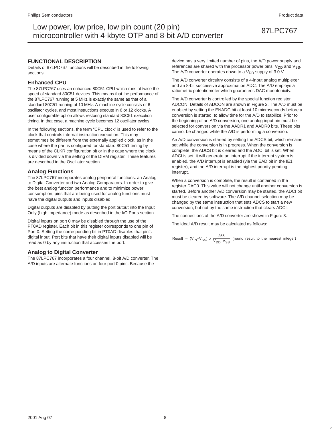### **FUNCTIONAL DESCRIPTION**

Details of 87LPC767 functions will be described in the following sections.

#### **Enhanced CPU**

The 87LPC767 uses an enhanced 80C51 CPU which runs at twice the speed of standard 80C51 devices. This means that the performance of the 87LPC767 running at 5 MHz is exactly the same as that of a standard 80C51 running at 10 MHz. A machine cycle consists of 6 oscillator cycles, and most instructions execute in 6 or 12 clocks. A user configurable option allows restoring standard 80C51 execution timing. In that case, a machine cycle becomes 12 oscillator cycles.

In the following sections, the term "CPU clock" is used to refer to the clock that controls internal instruction execution. This may sometimes be different from the externally applied clock, as in the case where the part is configured for standard 80C51 timing by means of the CLKR configuration bit or in the case where the clock is divided down via the setting of the DIVM register. These features are described in the Oscillator section.

### **Analog Functions**

The 87LPC767 incorporates analog peripheral functions: an Analog to Digital Converter and two Analog Comparators. In order to give the best analog function performance and to minimize power consumption, pins that are being used for analog functions must have the digital outputs and inputs disabled.

Digital outputs are disabled by putting the port output into the Input Only (high impedance) mode as described in the I/O Ports section.

Digital inputs on port 0 may be disabled through the use of the PT0AD register. Each bit in this register corresponds to one pin of Port 0. Setting the corresponding bit in PT0AD disables that pin's digital input. Port bits that have their digital inputs disabled will be read as 0 by any instruction that accesses the port.

### **Analog to Digital Converter**

The 87LPC767 incorporates a four channel, 8-bit A/D converter. The A/D inputs are alternate functions on four port 0 pins. Because the

device has a very limited number of pins, the A/D power supply and references are shared with the processor power pins,  $V_{DD}$  and  $V_{SS}$ . The A/D converter operates down to a  $V_{DD}$  supply of 3.0 V.

The A/D converter circuitry consists of a 4-input analog multiplexer and an 8-bit successive approximation ADC. The A/D employs a ratiometric potentiometer which guarantees DAC monotonicity.

The A/D converter is controlled by the special function register ADCON. Details of ADCON are shown in Figure 2. The A/D must be enabled by setting the ENADC bit at least 10 microseconds before a conversion is started, to allow time for the A/D to stabilize. Prior to the beginning of an A/D conversion, one analog input pin must be selected for conversion via the AADR1 and AADR0 bits. These bits cannot be changed while the A/D is performing a conversion.

An A/D conversion is started by setting the ADCS bit, which remains set while the conversion is in progress. When the conversion is complete, the ADCS bit is cleared and the ADCI bit is set. When ADCI is set, it will generate an interrupt if the interrupt system is enabled, the A/D interrupt is enabled (via the EAD bit in the IE1 register), and the A/D interrupt is the highest priority pending interrupt.

When a conversion is complete, the result is contained in the register DAC0. This value will not change until another conversion is started. Before another A/D conversion may be started, the ADCI bit must be cleared by software. The A/D channel selection may be changed by the same instruction that sets ADCS to start a new conversion, but not by the same instruction that clears ADCI.

The connections of the A/D converter are shown in Figure 3.

The ideal A/D result may be calculated as follows:

Result = 
$$
(V_{IN} - V_{SS}) \times \frac{256}{V_{DD} - V_{SS}}
$$
 (round result to the nearest integer)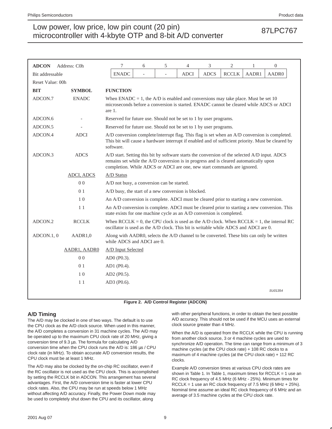| <b>ADCON</b>     | Address: C0h      | 7                                                                                                                                                                                                                                                                 | 6                                                                                                                                                                                                   | 5              | 4           | 3           | 2            | 1     | $\boldsymbol{0}$                                                                              |
|------------------|-------------------|-------------------------------------------------------------------------------------------------------------------------------------------------------------------------------------------------------------------------------------------------------------------|-----------------------------------------------------------------------------------------------------------------------------------------------------------------------------------------------------|----------------|-------------|-------------|--------------|-------|-----------------------------------------------------------------------------------------------|
| Bit addressable  |                   | <b>ENADC</b>                                                                                                                                                                                                                                                      |                                                                                                                                                                                                     | $\overline{a}$ | <b>ADCI</b> | <b>ADCS</b> | <b>RCCLK</b> | AADR1 | AADR0                                                                                         |
| Reset Value: 00h |                   |                                                                                                                                                                                                                                                                   |                                                                                                                                                                                                     |                |             |             |              |       |                                                                                               |
| <b>BIT</b>       | <b>SYMBOL</b>     | <b>FUNCTION</b>                                                                                                                                                                                                                                                   |                                                                                                                                                                                                     |                |             |             |              |       |                                                                                               |
| ADCON.7          | <b>ENADC</b>      | When ENADC = 1, the $A/D$ is enabled and conversions may take place. Must be set 10<br>microseconds before a conversion is started. ENADC cannot be cleared while ADCS or ADCI<br>are 1.                                                                          |                                                                                                                                                                                                     |                |             |             |              |       |                                                                                               |
| ADCON.6          |                   | Reserved for future use. Should not be set to 1 by user programs.                                                                                                                                                                                                 |                                                                                                                                                                                                     |                |             |             |              |       |                                                                                               |
| ADCON.5          |                   | Reserved for future use. Should not be set to 1 by user programs.                                                                                                                                                                                                 |                                                                                                                                                                                                     |                |             |             |              |       |                                                                                               |
| ADCON.4          | <b>ADCI</b>       | software.                                                                                                                                                                                                                                                         | A/D conversion complete/interrupt flag. This flag is set when an A/D conversion is completed.<br>This bit will cause a hardware interrupt if enabled and of sufficient priority. Must be cleared by |                |             |             |              |       |                                                                                               |
| ADCON.3          | <b>ADCS</b>       | A/D start. Setting this bit by software starts the conversion of the selected A/D input. ADCS<br>remains set while the A/D conversion is in progress and is cleared automatically upon<br>completion. While ADCS or ADCI are one, new start commands are ignored. |                                                                                                                                                                                                     |                |             |             |              |       |                                                                                               |
|                  | <b>ADCI, ADCS</b> | <b>A/D Status</b>                                                                                                                                                                                                                                                 |                                                                                                                                                                                                     |                |             |             |              |       |                                                                                               |
|                  | 0 <sub>0</sub>    | A/D not busy, a conversion can be started.                                                                                                                                                                                                                        |                                                                                                                                                                                                     |                |             |             |              |       |                                                                                               |
|                  | 0 <sub>1</sub>    | A/D busy, the start of a new conversion is blocked.                                                                                                                                                                                                               |                                                                                                                                                                                                     |                |             |             |              |       |                                                                                               |
|                  | 1 <sub>0</sub>    | An A/D conversion is complete. ADCI must be cleared prior to starting a new conversion.                                                                                                                                                                           |                                                                                                                                                                                                     |                |             |             |              |       |                                                                                               |
|                  | 11                | An A/D conversion is complete. ADCI must be cleared prior to starting a new conversion. This<br>state exists for one machine cycle as an A/D conversion is completed.                                                                                             |                                                                                                                                                                                                     |                |             |             |              |       |                                                                                               |
| ADCON.2          | <b>RCCLK</b>      | oscillator is used as the A/D clock. This bit is writable while ADCS and ADCI are 0.                                                                                                                                                                              |                                                                                                                                                                                                     |                |             |             |              |       | When $RCCLK = 0$ , the CPU clock is used as the A/D clock. When $RCCLK = 1$ , the internal RC |
| ADCON.1, 0       | AADR1,0           | Along with AADR0, selects the A/D channel to be converted. These bits can only be written<br>while ADCS and ADCI are 0.                                                                                                                                           |                                                                                                                                                                                                     |                |             |             |              |       |                                                                                               |
|                  | AADR1, AADR0      | A/D Input Selected                                                                                                                                                                                                                                                |                                                                                                                                                                                                     |                |             |             |              |       |                                                                                               |
|                  | 0 <sub>0</sub>    | AD0 (P0.3).                                                                                                                                                                                                                                                       |                                                                                                                                                                                                     |                |             |             |              |       |                                                                                               |
|                  | 0 1               | AD1 (P0.4).                                                                                                                                                                                                                                                       |                                                                                                                                                                                                     |                |             |             |              |       |                                                                                               |
|                  | 10                | AD2 (P0.5).                                                                                                                                                                                                                                                       |                                                                                                                                                                                                     |                |             |             |              |       |                                                                                               |
|                  | 11                | AD3 (P0.6).                                                                                                                                                                                                                                                       |                                                                                                                                                                                                     |                |             |             |              |       |                                                                                               |
|                  |                   |                                                                                                                                                                                                                                                                   |                                                                                                                                                                                                     |                |             |             |              |       | SU01354                                                                                       |

**Figure 2. A/D Control Register (ADCON)**

### **A/D Timing**

The A/D may be clocked in one of two ways. The default is to use the CPU clock as the A/D clock source. When used in this manner, the A/D completes a conversion in 31 machine cycles. The A/D may be operated up to the maximum CPU clock rate of 20 MHz, giving a conversion time of 9.3 µs. The formula for calculating A/D conversion time when the CPU clock runs the A/D is: 186 µs / CPU clock rate (in MHz). To obtain accurate A/D conversion results, the CPU clock must be at least 1 MHz.

The A/D may also be clocked by the on-chip RC oscillator, even if the RC oscillator is not used as the CPU clock. This is accomplished by setting the RCCLK bit in ADCON. This arrangement has several advantages. First, the A/D conversion time is faster at lower CPU clock rates. Also, the CPU may be run at speeds below 1 MHz without affecting A/D accuracy. Finally, the Power Down mode may be used to completely shut down the CPU and its oscillator, along

with other peripheral functions, in order to obtain the best possible A/D accuracy. This should not be used if the MCU uses an external clock source greater than 4 MHz.

When the A/D is operated from the RCCLK while the CPU is running from another clock source, 3 or 4 machine cycles are used to synchronize A/D operation. The time can range from a minimum of 3 machine cycles (at the CPU clock rate) + 108 RC clocks to a maximum of 4 machine cycles (at the CPU clock rate) + 112 RC clocks.

Example A/D conversion times at various CPU clock rates are shown in Table 1. In Table 1, maximum times for RCCLK = 1 use an RC clock frequency of 4.5 MHz (6 MHz - 25%). Minimum times for RCCLK = 1 use an RC clock frequency of 7.5 MHz (6 MHz + 25%). Nominal time assume an ideal RC clock frequency of 6 MHz and an average of 3.5 machine cycles at the CPU clock rate.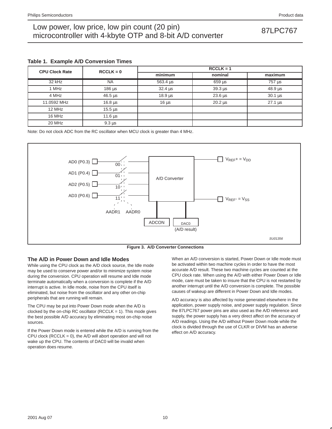|  |  |  | Table 1. Example A/D Conversion Times |  |
|--|--|--|---------------------------------------|--|
|--|--|--|---------------------------------------|--|

| <b>CPU Clock Rate</b> | $RCCLK = 0$          | $RCCLK = 1$                |                            |                            |  |  |  |  |
|-----------------------|----------------------|----------------------------|----------------------------|----------------------------|--|--|--|--|
|                       |                      | minimum                    | nominal                    | maximum                    |  |  |  |  |
| 32 kHz                | <b>NA</b>            | $563.4 \,\mu s$            | $659$ us                   | 757 us                     |  |  |  |  |
| 1 MHz                 | 186 us               | $32.4 \text{ }\mu\text{s}$ | $39.3 \text{ }\mu\text{s}$ | $48.9 \text{ }\mu\text{s}$ |  |  |  |  |
| 4 MHz                 | $46.5 \,\mu s$       | $18.9 \,\mu s$             | $23.6 \,\mu s$             | $30.1 \,\mu s$             |  |  |  |  |
| 11.0592 MHz           | $16.8 \,\mu s$       | 16 <sub>µ</sub>            | $20.2 \text{ }\mu\text{s}$ | $27.1 \,\mathrm{us}$       |  |  |  |  |
| 12 MHz                | $15.5 \,\mathrm{us}$ |                            |                            |                            |  |  |  |  |
| 16 MHz                | $11.6 \,\mathrm{us}$ |                            |                            |                            |  |  |  |  |
| 20 MHz                | $9.3 \mu s$          |                            |                            |                            |  |  |  |  |

Note: Do not clock ADC from the RC oscillator when MCU clock is greater than 4 MHz.





### **The A/D in Power Down and Idle Modes**

While using the CPU clock as the A/D clock source, the Idle mode may be used to conserve power and/or to minimize system noise during the conversion. CPU operation will resume and Idle mode terminate automatically when a conversion is complete if the A/D interrupt is active. In Idle mode, noise from the CPU itself is eliminated, but noise from the oscillator and any other on-chip peripherals that are running will remain.

The CPU may be put into Power Down mode when the A/D is clocked by the on-chip RC oscillator (RCCLK = 1). This mode gives the best possible A/D accuracy by eliminating most on-chip noise sources.

If the Power Down mode is entered while the A/D is running from the CPU clock (RCCLK = 0), the  $A/D$  will abort operation and will not wake up the CPU. The contents of DAC0 will be invalid when operation does resume.

When an A/D conversion is started, Power Down or Idle mode must be activated within two machine cycles in order to have the most accurate A/D result. These two machine cycles are counted at the CPU clock rate. When using the A/D with either Power Down or Idle mode, care must be taken to insure that the CPU is not restarted by another interrupt until the A/D conversion is complete. The possible causes of wakeup are different in Power Down and Idle modes.

A/D accuracy is also affected by noise generated elsewhere in the application, power supply noise, and power supply regulation. Since the 87LPC767 power pins are also used as the A/D reference and supply, the power supply has a very direct affect on the accuracy of A/D readings. Using the A/D without Power Down mode while the clock is divided through the use of CLKR or DIVM has an adverse effect on A/D accuracy.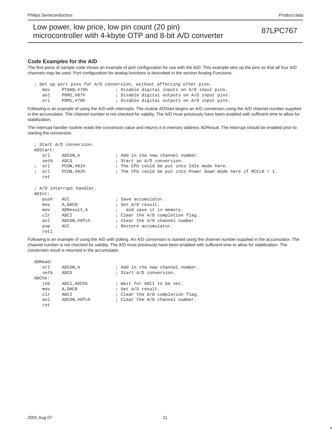### **Code Examples for the A/D**

The first piece of sample code shows an example of port configuration for use with the A/D. This example sets up the pins so that all four A/D channels may be used. Port configuration for analog functions is described in the section Analog Functions.

; Set up port pins for A/D conversion, without affecting other pins. mov PT0AD,#78h ; Disable digital inputs on A/D input pins. anl POM2,#87h ; Disable digital outputs on A/D input pins.<br>orl POM1,#78h ; Disable digital outputs on A/D input pins. orl POM1,#78h ; Disable digital outputs on A/D input pins.

Following is an example of using the A/D with interrupts. The routine ADStart begins an A/D conversion using the A/D channel number supplied in the accumulator. The channel number is not checked for validity. The A/D must previously have been enabled with sufficient time to allow for stabilization.

The interrupt handler routine reads the conversion value and returns it in memory address ADResult. The interrupt should be enabled prior to starting the conversion.

|            |          | ; Start A/D conversion.  |                                                                |
|------------|----------|--------------------------|----------------------------------------------------------------|
|            | ADStart: |                          |                                                                |
|            | orl      | ADCON, A                 | ; Add in the new channel number.                               |
|            | setb     | ADCS                     | ; Start an A/D conversion.                                     |
| $\ddot{i}$ | orl      | PCON,#01h                | ; The CPU could be put into Idle mode here.                    |
| $\ddot{i}$ | orl      | PCON, #02h               | ; The CPU could be put into Power Down mode here if RCCLK = 1. |
|            | ret      |                          |                                                                |
|            |          |                          |                                                                |
|            |          | ; A/D interrupt handler. |                                                                |
|            | ADInt:   |                          |                                                                |
|            | push     | ACC                      | ; Save accumulator.                                            |
|            | mov      | A, DAC0                  | ; Get A/D result,                                              |
|            | mov      | ADResult, A              | and save it in memory.                                         |
|            | clr      | ADCI                     | ; Clear the A/D completion flag.                               |
|            | anl      | ADCON,#0fch              | ; Clear the A/D channel number.                                |
|            | pop      | ACC                      | ; Restore accumulator.                                         |
|            | reti     |                          |                                                                |

Following is an example of using the A/D with polling. An A/D conversion is started using the channel number supplied in the accumulator. The channel number is not checked for validity. The A/D must previously have been enabled with sufficient time to allow for stabilization. The conversion result is returned in the accumulator.

| ADRead:   |              |                                  |
|-----------|--------------|----------------------------------|
| orl       | ADCON, A     | ; Add in the new channel number. |
| setb      | ADCS         | ; Start A/D conversion.          |
| $ADChk$ : |              |                                  |
| inb       | ADCI, ADChk  | ; Wait for ADCI to be set.       |
| mov       | A, DACO      | ; Get A/D result.                |
| c1r       | ADCI         | ; Clear the A/D completion flag. |
| anl       | ADCON, #0fch | ; Clear the A/D channel number.  |
| ret.      |              |                                  |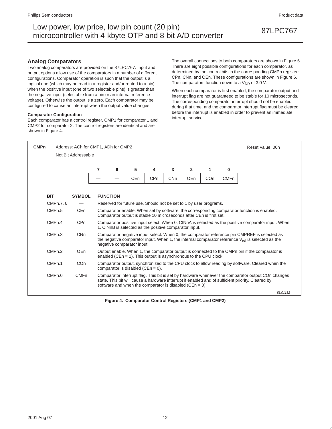### **Analog Comparators**

Two analog comparators are provided on the 87LPC767. Input and output options allow use of the comparators in a number of different configurations. Comparator operation is such that the output is a logical one (which may be read in a register and/or routed to a pin) when the positive input (one of two selectable pins) is greater than the negative input (selectable from a pin or an internal reference voltage). Otherwise the output is a zero. Each comparator may be configured to cause an interrupt when the output value changes.

#### **Comparator Configuration**

Each comparator has a control register, CMP1 for comparator 1 and CMP2 for comparator 2. The control registers are identical and are shown in Figure 4.

The overall connections to both comparators are shown in Figure 5. There are eight possible configurations for each comparator, as determined by the control bits in the corresponding CMPn register: CPn, CNn, and OEn. These configurations are shown in Figure 6. The comparators function down to a  $V_{DD}$  of 3.0 V.

When each comparator is first enabled, the comparator output and interrupt flag are not guaranteed to be stable for 10 microseconds. The corresponding comparator interrupt should not be enabled during that time, and the comparator interrupt flag must be cleared before the interrupt is enabled in order to prevent an immediate interrupt service.



**Figure 4. Comparator Control Registers (CMP1 and CMP2)**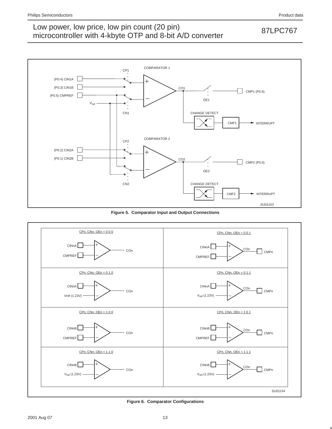

**Figure 5. Comparator Input and Output Connections**



**Figure 6. Comparator Configurations**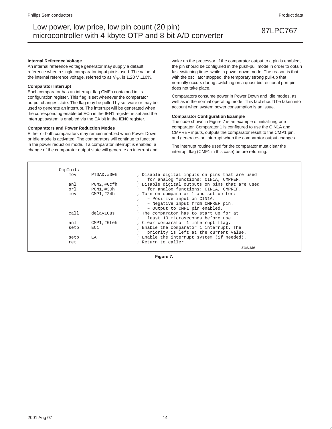#### **Internal Reference Voltage**

An internal reference voltage generator may supply a default reference when a single comparator input pin is used. The value of the internal reference voltage, referred to as  $V_{ref}$ , is 1.28 V  $\pm$ 10%.

#### **Comparator Interrupt**

Each comparator has an interrupt flag CMFn contained in its configuration register. This flag is set whenever the comparator output changes state. The flag may be polled by software or may be used to generate an interrupt. The interrupt will be generated when the corresponding enable bit ECn in the IEN1 register is set and the interrupt system is enabled via the EA bit in the IEN0 register.

#### **Comparators and Power Reduction Modes**

Either or both comparators may remain enabled when Power Down or Idle mode is activated. The comparators will continue to function in the power reduction mode. If a comparator interrupt is enabled, a change of the comparator output state will generate an interrupt and wake up the processor. If the comparator output to a pin is enabled, the pin should be configured in the push-pull mode in order to obtain fast switching times while in power down mode. The reason is that with the oscillator stopped, the temporary strong pull-up that normally occurs during switching on a quasi-bidirectional port pin does not take place.

Comparators consume power in Power Down and Idle modes, as well as in the normal operating mode. This fact should be taken into account when system power consumption is an issue.

#### **Comparator Configuration Example**

The code shown in Figure 7 is an example of initializing one comparator. Comparator 1 is configured to use the CIN1A and CMPREF inputs, outputs the comparator result to the CMP1 pin, and generates an interrupt when the comparator output changes.

The interrupt routine used for the comparator must clear the interrupt flag (CMF1 in this case) before returning.

| CmpInit: |             |                                                 |
|----------|-------------|-------------------------------------------------|
| mov      | PT0AD, #30h | ; Disable digital inputs on pins that are used  |
|          |             | for analog functions: CIN1A, CMPREF.            |
| anl      | POM2,#Ocfh  | ; Disable digital outputs on pins that are used |
| orl      | P0M1,#30h   | for analog functions: CIN1A, CMPREF.            |
| mov      | CMP1,#24h   | ; Turn on comparator 1 and set up for:          |
|          |             | - Positive input on CIN1A.                      |
|          |             | - Negative input from CMPREF pin.               |
|          |             | - Output to CMP1 pin enabled.                   |
| call     | delay10us   | ; The comparator has to start up for at         |
|          |             | least 10 microseconds before use.               |
| anl      | CMP1,#0feh  | : Clear comparator 1 interrupt flag.            |
| setb     | EC1         | ; Enable the comparator 1 interrupt. The        |
|          |             | priority is left at the current value.          |
| setb     | EA          | ; Enable the interrupt system (if needed).      |
| ret      |             | ; Return to caller.                             |
|          |             | SU01189                                         |

**Figure 7.**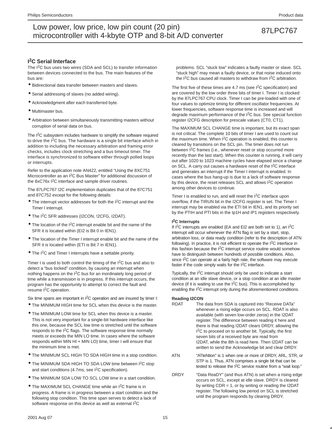### **I 2C Serial Interface**

The I<sup>2</sup>C bus uses two wires (SDA and SCL) to transfer information between devices connected to the bus. The main features of the bus are:

- Bidirectional data transfer between masters and slaves.
- Serial addressing of slaves (no added wiring).
- Acknowledgment after each transferred byte.
- Multimaster bus.
- Arbitration between simultaneously transmitting masters without corruption of serial data on bus.

The I<sup>2</sup>C subsystem includes hardware to simplify the software required to drive the I<sup>2</sup>C bus. The hardware is a single bit interface which in addition to including the necessary arbitration and framing error checks, includes clock stretching and a bus timeout timer. The interface is synchronized to software either through polled loops or interrupts.

Refer to the application note AN422, entitled "Using the 8XC751 Microcontroller as an I2C Bus Master" for additional discussion of the 8xC76x I<sup>2</sup>C interface and sample driver routines.

The 87LPC767 I2C implementation duplicates that of the 87C751 and 87C752 except for the following details:

- The interrupt vector addresses for both the I2C interrupt and the Timer I interrupt.
- The I2C SFR addresses (I2CON, !2CFG, I2DAT).
- $\bullet$  The location of the I<sup>2</sup>C interrupt enable bit and the name of the SFR it is located within (EI2 is Bit 0 in IEN1).
- The location of the Timer I interrupt enable bit and the name of the SFR it is located within (ETI is Bit 7 in IEN1).
- The I<sup>2</sup>C and Timer I interrupts have a settable priority.

Timer I is used to both control the timing of the  $1<sup>2</sup>C$  bus and also to detect a "bus locked" condition, by causing an interrupt when nothing happens on the I2C bus for an inordinately long period of time while a transmission is in progress. If this interrupt occurs, the program has the opportunity to attempt to correct the fault and resume I2C operation.

Six time spans are important in I<sup>2</sup>C operation and are insured by timer I:

- The MINIMUM HIGH time for SCL when this device is the master.
- The MINIMUM LOW time for SCL when this device is a master. This is not very important for a single-bit hardware interface like this one, because the SCL low time is stretched until the software responds to the  $1<sup>2</sup>C$  flags. The software response time normally meets or exceeds the MIN LO time. In cases where the software responds within MIN HI + MIN LO) time, timer I will ensure that the minimum time is met.
- The MINIMUM SCL HIGH TO SDA HIGH time in a stop condition.
- The MINIMUM SDA HIGH TO SDA LOW time between I<sup>2</sup>C stop and start conditions (4.7ms, see  $1<sup>2</sup>C$  specification).
- The MINIMUM SDA LOW TO SCL LOW time in a start condition.
- The MAXIMUM SCL CHANGE time while an I2C frame is in progress. A frame is in progress between a start condition and the following stop condition. This time span serves to detect a lack of software response on this device as well as external I<sup>2</sup>C

problems. SCL "stuck low" indicates a faulty master or slave. SCL "stuck high" may mean a faulty device, or that noise induced onto the I2C bus caused all masters to withdraw from I2C arbitration.

The first five of these times are 4.7 ms (see  $1<sup>2</sup>C$  specification) and are covered by the low order three bits of timer I. Timer I is clocked by the 87LPC767 CPU clock. Timer I can be pre-loaded with one of four values to optimize timing for different oscillator frequencies. At lower frequencies, software response time is increased and will degrade maximum performance of the I2C bus. See special function register I2CFG description for prescale values (CT0, CT1).

The MAXIMUM SCL CHANGE time is important, but its exact span is not critical. The complete 10 bits of timer I are used to count out the maximum time. When  $1<sup>2</sup>C$  operation is enabled, this counter is cleared by transitions on the SCL pin. The timer does not run between I2C frames (i.e., whenever reset or stop occurred more recently than the last start). When this counter is running, it will carry out after 1020 to 1023 machine cycles have elapsed since a change on SCL. A carry out causes a hardware reset of the I2C interface and generates an interrupt if the Timer I interrupt is enabled. In cases where the bus hang-up is due to a lack of software response by this device, the reset releases SCL and allows I2C operation among other devices to continue.

Timer I is enabled to run, and will reset the I2C interface upon overflow, if the TIRUN bit in the I2CFG register is set. The Timer I interrupt may be enabled via the ETI bit in IEN1, and its priority set by the PTIH and PTI bits in the Ip1H and IP1 registers respectively.

#### **I 2C Interrupts**

If I2C interrupts are enabled (EA and EI2 are both set to 1), an I2C interrupt will occur whenever the ATN flag is set by a start, stop, arbitration loss, or data ready condition (refer to the description of ATN following). In practice, it is not efficient to operate the I2C interface in this fashion because the I2C interrupt service routine would somehow have to distinguish between hundreds of possible conditions. Also, since I<sup>2</sup>C can operate at a fairly high rate, the software may execute faster if the code simply waits for the I2C interface.

Typically, the I2C interrupt should only be used to indicate a start condition at an idle slave device, or a stop condition at an idle master device (if it is waiting to use the  $I<sup>2</sup>C$  bus). This is accomplished by enabling the I2C interrupt only during the aforementioned conditions.

#### **Reading I2CON**

- RDAT The data from SDA is captured into "Receive DATa" whenever a rising edge occurs on SCL. RDAT is also available (with seven low-order zeros) in the I2DAT register. The difference between reading it here and there is that reading I2DAT clears DRDY, allowing the I<sup>2</sup>C to proceed on to another bit. Typically, the first seven bits of a received byte are read from I2DAT, while the 8th is read here. Then I2DAT can be written to send the Acknowledge bit and clear DRDY.
- ATN "ATteNtion" is 1 when one or more of DRDY, ARL, STR, or STP is 1. Thus, ATN comprises a single bit that can be tested to release the I<sup>2</sup>C service routine from a "wait loop."
- DRDY "Data ReaDY" (and thus ATN) is set when a rising edge occurs on SCL, except at idle slave. DRDY is cleared by writing  $CDR = 1$ , or by writing or reading the I2DAT register. The following low period on SCL is stretched until the program responds by clearing DRDY.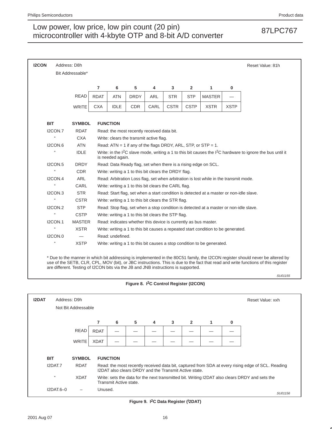## Low power, low price, low pin count (20 pin)<br>
misroecantrallar with 4 kb to OTD and 8 bit A/D converter 67 microcontroller with 4-kbyte OTP and 8-bit A/D converter

| <b>I2CON</b> |                            | Address: D8h                                                                       |                |                                                                                                                                    |                                                                 |      |             |              |                                                                                         |             | Reset Value: 81h                                                                                                                                                                                                                                                   |
|--------------|----------------------------|------------------------------------------------------------------------------------|----------------|------------------------------------------------------------------------------------------------------------------------------------|-----------------------------------------------------------------|------|-------------|--------------|-----------------------------------------------------------------------------------------|-------------|--------------------------------------------------------------------------------------------------------------------------------------------------------------------------------------------------------------------------------------------------------------------|
|              |                            | Bit Addressable*                                                                   |                |                                                                                                                                    |                                                                 |      |             |              |                                                                                         |             |                                                                                                                                                                                                                                                                    |
|              |                            |                                                                                    |                |                                                                                                                                    |                                                                 |      |             |              |                                                                                         |             |                                                                                                                                                                                                                                                                    |
|              |                            |                                                                                    | $\overline{7}$ | 6                                                                                                                                  | 5                                                               | 4    | 3           | $\mathbf{2}$ | 1                                                                                       | 0           |                                                                                                                                                                                                                                                                    |
|              |                            | <b>READ</b>                                                                        | <b>RDAT</b>    | <b>ATN</b>                                                                                                                         | <b>DRDY</b>                                                     | ARL  | <b>STR</b>  | <b>STP</b>   | <b>MASTER</b>                                                                           |             |                                                                                                                                                                                                                                                                    |
|              |                            | <b>WRITE</b>                                                                       | <b>CXA</b>     | <b>IDLE</b>                                                                                                                        | <b>CDR</b>                                                      | CARL | <b>CSTR</b> | <b>CSTP</b>  | <b>XSTR</b>                                                                             | <b>XSTP</b> |                                                                                                                                                                                                                                                                    |
|              |                            |                                                                                    |                |                                                                                                                                    |                                                                 |      |             |              |                                                                                         |             |                                                                                                                                                                                                                                                                    |
| <b>BIT</b>   |                            | <b>SYMBOL</b>                                                                      |                | <b>FUNCTION</b>                                                                                                                    |                                                                 |      |             |              |                                                                                         |             |                                                                                                                                                                                                                                                                    |
|              | I2CON.7                    | <b>RDAT</b>                                                                        |                |                                                                                                                                    | Read: the most recently received data bit.                      |      |             |              |                                                                                         |             |                                                                                                                                                                                                                                                                    |
|              | $\mathfrak{c}\mathfrak{c}$ | <b>CXA</b>                                                                         |                |                                                                                                                                    | Write: clears the transmit active flag.                         |      |             |              |                                                                                         |             |                                                                                                                                                                                                                                                                    |
|              | I2CON.6                    | <b>ATN</b>                                                                         |                |                                                                                                                                    |                                                                 |      |             |              | Read: ATN = 1 if any of the flags DRDY, ARL, STP, or STP = 1.                           |             |                                                                                                                                                                                                                                                                    |
|              | $\alpha$                   | <b>IDLE</b>                                                                        |                | Write: in the $1^2C$ slave mode, writing a 1 to this bit causes the $1^2C$ hardware to ignore the bus until it<br>is needed again. |                                                                 |      |             |              |                                                                                         |             |                                                                                                                                                                                                                                                                    |
|              | <b>I2CON.5</b>             | <b>DRDY</b>                                                                        |                | Read: Data Ready flag, set when there is a rising edge on SCL.                                                                     |                                                                 |      |             |              |                                                                                         |             |                                                                                                                                                                                                                                                                    |
|              | $\mathfrak{c}\mathfrak{c}$ | <b>CDR</b>                                                                         |                | Write: writing a 1 to this bit clears the DRDY flag.                                                                               |                                                                 |      |             |              |                                                                                         |             |                                                                                                                                                                                                                                                                    |
|              | I2CON.4                    | <b>ARL</b>                                                                         |                |                                                                                                                                    |                                                                 |      |             |              | Read: Arbitration Loss flag, set when arbitration is lost while in the transmit mode.   |             |                                                                                                                                                                                                                                                                    |
|              | $\mathfrak{g}$             | CARL                                                                               |                |                                                                                                                                    | Write: writing a 1 to this bit clears the CARL flag.            |      |             |              |                                                                                         |             |                                                                                                                                                                                                                                                                    |
|              | IZCON.3                    | <b>STR</b>                                                                         |                |                                                                                                                                    |                                                                 |      |             |              | Read: Start flag, set when a start condition is detected at a master or non-idle slave. |             |                                                                                                                                                                                                                                                                    |
|              | $\mathbf{f}$               | <b>CSTR</b>                                                                        |                |                                                                                                                                    | Write: writing a 1 to this bit clears the STR flag.             |      |             |              |                                                                                         |             |                                                                                                                                                                                                                                                                    |
|              | I2CON.2                    | <b>STP</b>                                                                         |                |                                                                                                                                    |                                                                 |      |             |              | Read: Stop flag, set when a stop condition is detected at a master or non-idle slave.   |             |                                                                                                                                                                                                                                                                    |
|              | Ġ.                         | <b>CSTP</b>                                                                        |                |                                                                                                                                    | Write: writing a 1 to this bit clears the STP flag.             |      |             |              |                                                                                         |             |                                                                                                                                                                                                                                                                    |
|              | <b>I2CON.1</b>             | <b>MASTER</b>                                                                      |                |                                                                                                                                    | Read: indicates whether this device is currently as bus master. |      |             |              |                                                                                         |             |                                                                                                                                                                                                                                                                    |
|              | $\Omega$                   | <b>XSTR</b>                                                                        |                |                                                                                                                                    |                                                                 |      |             |              | Write: writing a 1 to this bit causes a repeated start condition to be generated.       |             |                                                                                                                                                                                                                                                                    |
|              | I2CON.0                    |                                                                                    |                | Read: undefined.                                                                                                                   |                                                                 |      |             |              |                                                                                         |             |                                                                                                                                                                                                                                                                    |
|              | $\mathbf{a}$               | <b>XSTP</b>                                                                        |                |                                                                                                                                    |                                                                 |      |             |              | Write: writing a 1 to this bit causes a stop condition to be generated.                 |             |                                                                                                                                                                                                                                                                    |
|              |                            | are different. Testing of I2CON bits via the JB and JNB instructions is supported. |                |                                                                                                                                    |                                                                 |      |             |              |                                                                                         |             | * Due to the manner in which bit addressing is implemented in the 80C51 family, the I2CON register should never be altered by<br>use of the SETB, CLR, CPL, MOV (bit), or JBC instructions. This is due to the fact that read and write functions of this register |
|              |                            |                                                                                    |                |                                                                                                                                    |                                                                 |      |             |              |                                                                                         |             | SU01155                                                                                                                                                                                                                                                            |

### **Figure 8. I2C Control Register (I2CON)**

| <b>I2DAT</b> | Address: D9h |                     |             |                                                                                                                          |   |   |                                                       |                |   |   | Reset Value: xxh                                                                                  |
|--------------|--------------|---------------------|-------------|--------------------------------------------------------------------------------------------------------------------------|---|---|-------------------------------------------------------|----------------|---|---|---------------------------------------------------------------------------------------------------|
|              |              | Not Bit Addressable |             |                                                                                                                          |   |   |                                                       |                |   |   |                                                                                                   |
|              |              |                     | 7           | 6                                                                                                                        | 5 | 4 | 3                                                     | $\overline{2}$ | 1 | 0 |                                                                                                   |
|              |              | <b>READ</b>         | <b>RDAT</b> |                                                                                                                          |   |   |                                                       |                |   |   |                                                                                                   |
|              |              | <b>WRITE</b>        | <b>XDAT</b> |                                                                                                                          |   |   |                                                       |                |   |   |                                                                                                   |
|              |              |                     |             |                                                                                                                          |   |   |                                                       |                |   |   |                                                                                                   |
|              | <b>BIT</b>   | <b>SYMBOL</b>       |             | <b>FUNCTION</b>                                                                                                          |   |   |                                                       |                |   |   |                                                                                                   |
|              | I2DAT.7      | <b>RDAT</b>         |             |                                                                                                                          |   |   | I2DAT also clears DRDY and the Transmit Active state. |                |   |   | Read: the most recently received data bit, captured from SDA at every rising edge of SCL. Reading |
|              | 66           | <b>XDAT</b>         |             | Write: sets the data for the next transmitted bit. Writing I2DAT also clears DRDY and sets the<br>Transmit Active state. |   |   |                                                       |                |   |   |                                                                                                   |
|              | $I2DAT.6-0$  |                     | Unused.     |                                                                                                                          |   |   |                                                       |                |   |   | <b>SU01156</b>                                                                                    |

**Figure 9. I2C Data Register (I 2DAT)**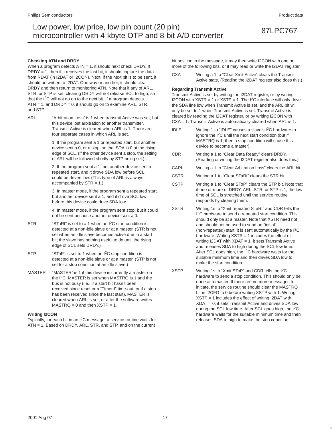#### **Checking ATN and DRDY**

When a program detects  $ATN = 1$ , it should next check DRDY. If  $DRDY = 1$ , then if it receives the last bit, it should capture the data from RDAT (in I2DAT or I2CON). Next, if the next bit is to be sent, it should be written to I2DAT. One way or another, it should clear DRDY and then return to monitoring ATN. Note that if any of ARL, STR, or STP is set, clearing DRDY will not release SCL to high, so that the I<sup>2</sup>C will not go on to the next bit. If a program detects  $ATN = 1$ , and  $DRDY = 0$ , it should go on to examine  $ARL$ ,  $STR$ , and STP.

ARL "Arbitration Loss" is 1 when transmit Active was set, but this device lost arbitration to another transmitter. Transmit Active is cleared when ARL is 1. There are four separate cases in which ARL is set.

> 1. If the program sent a 1 or repeated start, but another device sent a 0, or a stop, so that SDA is 0 at the rising edge of SCL. (If the other device sent a stop, the setting of ARL will be followed shortly by STP being set.)

2. If the program sent a 1, but another device sent a repeated start, and it drove SDA low before SCL could be driven low. (This type of ARL is always accompanied by  $STR = 1.$ )

3. In master mode, if the program sent a repeated start, but another device sent a 1, and it drove SCL low before this device could drive SDA low.

4. In master mode, if the program sent stop, but it could not be sent because another device sent a 0.

- STR "STaRt" is set to a 1 when an I<sup>2</sup>C start condition is detected at a non-idle slave or at a master. (STR is not set when an idle slave becomes active due to a start bit; the slave has nothing useful to do until the rising edge of SCL sets DRDY.)
- STP "SToP" is set to 1 when an I<sup>2</sup>C stop condition is detected at a non-idle slave or at a master. (STP is not set for a stop condition at an idle slave.)
- MASTER "MASTER" is 1 if this device is currently a master on the I2C. MASTER is set when MASTRQ is 1 and the bus is not busy (i.e., if a start bit hasn't been received since reset or a "Timer I" time-out, or if a stop has been received since the last start). MASTER is cleared when ARL is set, or after the software writes  $MASTRQ = 0$  and then  $XSTP = 1$ .

#### **Writing I2CON**

Typically, for each bit in an I2C message, a service routine waits for ATN = 1. Based on DRDY, ARL, STR, and STP, and on the current bit position in the message, it may then write I2CON with one or more of the following bits, or it may read or write the I2DAT register.

CXA Writing a 1 to "Clear Xmit Active" clears the Transmit Active state. (Reading the I2DAT register also does this.)

#### **Regarding Transmit Active**

Transmit Active is set by writing the I2DAT register, or by writing I2CON with  $XSTR = 1$  or  $XSTP = 1$ . The  $I^2C$  interface will only drive the SDA line low when Transmit Active is set, and the ARL bit will only be set to 1 when Transmit Active is set. Transmit Active is cleared by reading the I2DAT register, or by writing I2CON with CXA = 1. Transmit Active is automatically cleared when ARL is 1.

- IDLE Writing 1 to "IDLE" causes a slave's  $I^2C$  hardware to ignore the  $I<sup>2</sup>C$  until the next start condition (but if MASTRQ is 1, then a stop condition will cause this device to become a master).
- CDR Writing a 1 to "Clear Data Ready" clears DRDY. (Reading or writing the I2DAT register also does this.)
- CARL Writing a 1 to "Clear Arbitration Loss" clears the ARL bit.
- CSTR Writing a 1 to "Clear STaRt" clears the STR bit.
- CSTP Writing a 1 to "Clear SToP" clears the STP bit. Note that if one or more of DRDY, ARL, STR, or STP is 1, the low time of SCL is stretched until the service routine responds by clearing them.
- XSTR Writing 1s to "Xmit repeated STaRt" and CDR tells the I<sup>2</sup>C hardware to send a repeated start condition. This should only be at a master. Note that XSTR need not and should not be used to send an "initial" (non-repeated) start; it is sent automatically by the I2C hardware. Writing XSTR = 1 includes the effect of writing I2DAT with XDAT = 1; it sets Transmit Active and releases SDA to high during the SCL low time. After SCL goes high, the I<sup>2</sup>C hardware waits for the suitable minimum time and then drives SDA low to make the start condition.
- XSTP Writing 1s to "Xmit SToP" and CDR tells the I2C hardware to send a stop condition. This should only be done at a master. If there are no more messages to initiate, the service routine should clear the MASTRQ bit in I2CFG to 0 before writing XSTP with 1. Writing XSTP = 1 includes the effect of writing I2DAT with XDAT = 0; it sets Transmit Active and drives SDA low during the SCL low time. After SCL goes high, the I<sup>2</sup>C hardware waits for the suitable minimum time and then releases SDA to high to make the stop condition.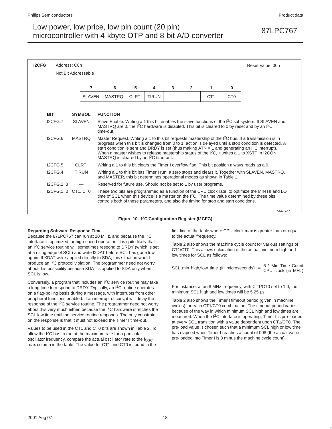| <b>I2CFG</b> | Address: C8h        |               |               |                                                                                                                                                                                                                                                                                                                                                                                                                                                                                             |              |              |   |                |                 |                 | Reset Value: 00h                                                                                    |
|--------------|---------------------|---------------|---------------|---------------------------------------------------------------------------------------------------------------------------------------------------------------------------------------------------------------------------------------------------------------------------------------------------------------------------------------------------------------------------------------------------------------------------------------------------------------------------------------------|--------------|--------------|---|----------------|-----------------|-----------------|-----------------------------------------------------------------------------------------------------|
|              | Not Bit Addressable |               |               |                                                                                                                                                                                                                                                                                                                                                                                                                                                                                             |              |              |   |                |                 |                 |                                                                                                     |
|              |                     |               | 7             | 6                                                                                                                                                                                                                                                                                                                                                                                                                                                                                           | 5            | 4            | 3 | $\overline{2}$ | 1               | 0               |                                                                                                     |
|              |                     |               | <b>SLAVEN</b> | <b>MASTRQ</b>                                                                                                                                                                                                                                                                                                                                                                                                                                                                               | <b>CLRTI</b> | <b>TIRUN</b> |   |                | CT <sub>1</sub> | C <sub>T0</sub> |                                                                                                     |
|              |                     |               |               |                                                                                                                                                                                                                                                                                                                                                                                                                                                                                             |              |              |   |                |                 |                 |                                                                                                     |
| <b>BIT</b>   |                     | <b>SYMBOL</b> |               | <b>FUNCTION</b>                                                                                                                                                                                                                                                                                                                                                                                                                                                                             |              |              |   |                |                 |                 |                                                                                                     |
|              | I2CFG.7             | <b>SLAVEN</b> |               | Slave Enable. Writing a 1 this bit enables the slave functions of the I <sup>2</sup> C subsystem. If SLAVEN and<br>MASTRQ are 0, the $\overline{I}^2C$ hardware is disabled. This bit is cleared to 0 by reset and by an $I^2C$<br>time-out.                                                                                                                                                                                                                                                |              |              |   |                |                 |                 |                                                                                                     |
|              | ICFG.6              | <b>MASTRO</b> |               | Master Request. Writing a 1 to this bit requests mastership of the $I^2C$ bus. If a transmission is in<br>progress when this bit is changed from 0 to 1, action is delayed until a stop condition is detected. A<br>start condition is sent and DRDY is set (thus making $ATN = 1$ and generating an $1^2C$ interrupt).<br>When a master wishes to release mastership status of the I <sup>2</sup> C, it writes a 1 to XSTP in I2CON.<br>MASTRQ is cleared by an I <sup>2</sup> C time-out. |              |              |   |                |                 |                 |                                                                                                     |
|              | ICFG.5              | <b>CLRTI</b>  |               |                                                                                                                                                                                                                                                                                                                                                                                                                                                                                             |              |              |   |                |                 |                 | Writing a 1 to this bit clears the Timer I overflow flag. This bit position always reads as a 0.    |
|              | ICFG.4              | <b>TIRUN</b>  |               | and MASTER, this bit determines operational modes as shown in Table 1.                                                                                                                                                                                                                                                                                                                                                                                                                      |              |              |   |                |                 |                 | Writing a 1 to this bit lets Timer I run; a zero stops and clears it. Together with SLAVEN, MASTRQ, |
|              | I2CFG.2, 3          |               |               | Reserved for future use. Should not be set to 1 by user programs.                                                                                                                                                                                                                                                                                                                                                                                                                           |              |              |   |                |                 |                 |                                                                                                     |
|              | I2CFG.1, 0 CT1, CT0 |               |               | These two bits are programmed as a function of the CPU clock rate, to optimize the MIN HI and LO<br>time of SCL when this device is a master on the I <sup>2</sup> C. The time value determined by these bits<br>controls both of these parameters, and also the timing for stop and start conditions.                                                                                                                                                                                      |              |              |   |                |                 |                 |                                                                                                     |
|              |                     |               |               |                                                                                                                                                                                                                                                                                                                                                                                                                                                                                             |              |              |   |                |                 |                 | SU01157                                                                                             |

#### **Figure 10. I2C Configuration Register (I2CFG)**

#### **Regarding Software Response Time**

Because the 87LPC767 can run at 20 MHz, and because the I2C interface is optimized for high-speed operation, it is quite likely that an  $I<sup>2</sup>C$  service routine will sometimes respond to DRDY (which is set at a rising edge of SCL) and write I2DAT before SCL has gone low again. If XDAT were applied directly to SDA, this situation would produce an I<sup>2</sup>C protocol violation. The programmer need not worry about this possibility because XDAT is applied to SDA only when SCL is low.

Conversely, a program that includes an I2C service routine may take a long time to respond to DRDY. Typically, an I<sup>2</sup>C routine operates on a flag-polling basis during a message, with interrupts from other peripheral functions enabled. If an interrupt occurs, it will delay the response of the I<sup>2</sup>C service routine. The programmer need not worry about this very much either, because the I<sup>2</sup>C hardware stretches the SCL low time until the service routine responds. The only constraint on the response is that it must not exceed the Timer I time-out.

Values to be used in the CT1 and CT0 bits are shown in Table 2. To allow the  $12C$  bus to run at the maximum rate for a particular oscillator frequency, compare the actual oscillator rate to the  $f<sub>OSC</sub>$ max column in the table. The value for CT1 and CT0 is found in the

first line of the table where CPU clock max is greater than or equal to the actual frequency.

Table 2 also shows the machine cycle count for various settings of CT1/CT0. This allows calculation of the actual minimum high and low times for SCL as follows:

SCL min high/low time (in microseconds) =  $\frac{6 \times$  Min Time Count

For instance, at an 8 MHz frequency, with CT1/CT0 set to 1 0, the minimum SCL high and low times will be 5.25  $\mu$ s.

Table 2 also shows the Timer I timeout period (given in machine cycles) for each CT1/CT0 combination. The timeout period varies because of the way in which minimum SCL high and low times are measured. When the I2C interface is operating, Timer I is pre-loaded at every SCL transition with a value dependent upon CT1/CT0. The pre-load value is chosen such that a minimum SCL high or low time has elapsed when Timer I reaches a count of 008 (the actual value pre-loaded into Timer I is 8 minus the machine cycle count).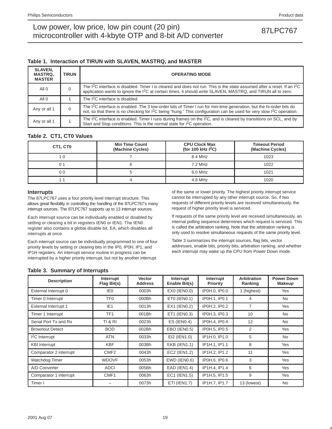### **Table 1. Interaction of TIRUN with SLAVEN, MASTRQ, and MASTER**

| <b>SLAVEN.</b><br><b>MASTRQ.</b><br><b>MASTER</b> | <b>TIRUN</b> | <b>OPERATING MODE</b>                                                                                                                                                                                                                                                             |
|---------------------------------------------------|--------------|-----------------------------------------------------------------------------------------------------------------------------------------------------------------------------------------------------------------------------------------------------------------------------------|
| All 0                                             | $\Omega$     | The <sup>2</sup> C interface is disabled. Timer I is cleared and does not run. This is the state assumed after a reset. If an <sup>2</sup> C<br>application wants to ignore the I <sup>2</sup> C at certain times, it should write SLAVEN, MASTRQ, and TIRUN all to zero.         |
| All <sub>0</sub>                                  |              | The I <sup>2</sup> C interface is disabled.                                                                                                                                                                                                                                       |
| Any or all 1                                      | 0            | The I <sup>2</sup> C interface is enabled. The 3 low-order bits of Timer I run for min-time generation, but the hi-order bits do<br>not, so that there is no checking for I <sup>2</sup> C being "hung." This configuration can be used for very slow I <sup>2</sup> C operation. |
| Any or all 1                                      |              | The $1^2C$ interface is enabled. Timer I runs during frames on the $1^2C$ , and is cleared by transitions on SCL, and by<br>Start and Stop conditions. This is the normal state for I <sup>2</sup> C operation.                                                                   |

### **Table 2. CT1, CT0 Values**

| CT1, CT0 | <b>Min Time Count</b><br>(Machine Cycles) | <b>CPU Clock Max</b><br>(for 100 kHz $l^2C$ ) | <b>Timeout Period</b><br>(Machine Cycles) |  |  |
|----------|-------------------------------------------|-----------------------------------------------|-------------------------------------------|--|--|
|          |                                           | 8.4 MHz                                       | 1023                                      |  |  |
|          |                                           | 7.2 MHz                                       | 1022                                      |  |  |
| ი ი      |                                           | 6.0 MHz                                       | 1021                                      |  |  |
|          |                                           | 4.8 MHz                                       | 1020                                      |  |  |

### **Interrupts**

The 87LPC767 uses a four priority level interrupt structure. This allows great flexibility in controlling the handling of the 87LPC767's many interrupt sources. The 87LPC767 supports up to 13 interrupt sources.

Each interrupt source can be individually enabled or disabled by setting or clearing a bit in registers IEN0 or IEN1. The IEN0 register also contains a global disable bit, EA, which disables all interrupts at once.

Each interrupt source can be individually programmed to one of four priority levels by setting or clearing bits in the IP0, IP0H, IP1, and IP1H registers. An interrupt service routine in progress can be interrupted by a higher priority interrupt, but not by another interrupt

of the same or lower priority. The highest priority interrupt service cannot be interrupted by any other interrupt source. So, if two requests of different priority levels are received simultaneously, the request of higher priority level is serviced.

If requests of the same priority level are received simultaneously, an internal polling sequence determines which request is serviced. This is called the arbitration ranking. Note that the arbitration ranking is only used to resolve simultaneous requests of the same priority level.

Table 3 summarizes the interrupt sources, flag bits, vector addresses, enable bits, priority bits, arbitration ranking, and whether each interrupt may wake up the CPU from Power Down mode.

### **Table 3. Summary of Interrupts**

| <b>Description</b>          | Interrupt<br>Flag Bit(s) | <b>Vector</b><br><b>Address</b> | Interrupt<br>Enable Bit(s) | Interrupt<br>Priority | <b>Arbitration</b><br>Ranking | <b>Power Down</b><br>Wakeup |
|-----------------------------|--------------------------|---------------------------------|----------------------------|-----------------------|-------------------------------|-----------------------------|
| External Interrupt 0        | IE0                      | 0003h                           | EX0 (IEN0.0)               | IP0H.0, IP0.0         | 1 (highest)                   | Yes                         |
| Timer 0 Interrupt           | TF0                      | 000Bh                           | ETO (IENO.1)               | IP0H.1, IP0.1         | 4                             | No                          |
| <b>External Interrupt 1</b> | IE <sub>1</sub>          | 0013h                           | EX1 (IEN0.2)               | IP0H.2, IP0.2         | $\overline{7}$                | Yes                         |
| Timer 1 Interrupt           | TF <sub>1</sub>          | 001Bh                           | ET1 (IEN0.3)               | IP0H.3, IP0.3         | 10                            | <b>No</b>                   |
| Serial Port Tx and Rx       | <b>TI &amp; RI</b>       | 0023h                           | $ES$ (IENO.4)              | IP0H.4, IP0.4         | 12                            | <b>No</b>                   |
| <b>Brownout Detect</b>      | <b>BOD</b>               | 002Bh                           | EBO (IEN0.5)               | IP0H.5, IP0.5         | 2                             | <b>Yes</b>                  |
| $I2C$ Interrupt             | <b>ATN</b>               | 0033h                           | EI2 (IEN1.0)               | IP1H.0. IP1.0         | 5                             | No                          |
| <b>KBI</b> Interrupt        | <b>KBF</b>               | 003Bh                           | <b>EKB (IEN1.1)</b>        | IP1H.1, IP1.1         | 8                             | Yes                         |
| Comparator 2 interrupt      | CMF <sub>2</sub>         | 0043h                           | EC2 (IEN1.2)               | IP1H.2, IP1.2         | 11                            | Yes                         |
| Watchdog Timer              | <b>WDOVF</b>             | 0053h                           | EWD (IEN0.6)               | IP0H.6, IP0.6         | 3                             | <b>Yes</b>                  |
| A/D Converter               | <b>ADCI</b>              | 005Bh                           | <b>EAD (IEN1.4)</b>        | IP1H.4, IP1.4         | 6                             | Yes                         |
| Comparator 1 interrupt      | CMF1                     | 0063h                           | EC1 (IEN1.5)               | IP1H.5, IP1.5         | 9                             | Yes                         |
| Timer I                     |                          | 0073h                           | ETI (IEN1.7)               | IP1H.7, IP1.7         | 13 (lowest)                   | No                          |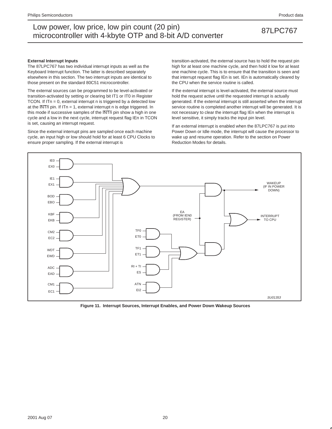#### **External Interrupt Inputs**

The 87LPC767 has two individual interrupt inputs as well as the Keyboard Interrupt function. The latter is described separately elsewhere in this section. The two interrupt inputs are identical to those present on the standard 80C51 microcontroller.

The external sources can be programmed to be level-activated or transition-activated by setting or clearing bit IT1 or IT0 in Register TCON. If ITn = 0, external interrupt n is triggered by a detected low at the  $\overline{\text{INTn}}$  pin. If ITn = 1, external interrupt n is edge triggered. In this mode if successive samples of the INTn pin show a high in one cycle and a low in the next cycle, interrupt request flag IEn in TCON is set, causing an interrupt request.

Since the external interrupt pins are sampled once each machine cycle, an input high or low should hold for at least 6 CPU Clocks to ensure proper sampling. If the external interrupt is

transition-activated, the external source has to hold the request pin high for at least one machine cycle, and then hold it low for at least one machine cycle. This is to ensure that the transition is seen and that interrupt request flag IEn is set. IEn is automatically cleared by the CPU when the service routine is called.

If the external interrupt is level-activated, the external source must hold the request active until the requested interrupt is actually generated. If the external interrupt is still asserted when the interrupt service routine is completed another interrupt will be generated. It is not necessary to clear the interrupt flag IEn when the interrupt is level sensitive, it simply tracks the input pin level.

If an external interrupt is enabled when the 87LPC767 is put into Power Down or Idle mode, the interrupt will cause the processor to wake up and resume operation. Refer to the section on Power Reduction Modes for details.



**Figure 11. Interrupt Sources, Interrupt Enables, and Power Down Wakeup Sources**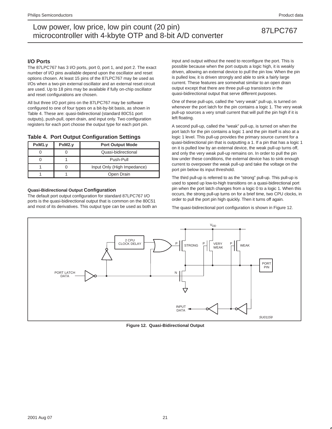### **I/O Ports**

The 87LPC767 has 3 I/O ports, port 0, port 1, and port 2. The exact number of I/O pins available depend upon the oscillator and reset options chosen. At least 15 pins of the 87LPC767 may be used as I/Os when a two-pin external oscillator and an external reset circuit are used. Up to 18 pins may be available if fully on-chip oscillator and reset configurations are chosen.

All but three I/O port pins on the 87LPC767 may be software configured to one of four types on a bit-by-bit basis, as shown in Table 4. These are: quasi-bidirectional (standard 80C51 port outputs), push-pull, open drain, and input only. Two configuration registers for each port choose the output type for each port pin.

### **Table 4. Port Output Configuration Settings**

| PxM1.y | PxM2.y | <b>Port Output Mode</b>     |  |  |  |
|--------|--------|-----------------------------|--|--|--|
|        |        | Quasi-bidirectional         |  |  |  |
|        |        | Push-Pull                   |  |  |  |
|        |        | Input Only (High Impedance) |  |  |  |
|        |        | Open Drain                  |  |  |  |

### **Quasi-Bidirectional Output Configuration**

The default port output configuration for standard 87LPC767 I/O ports is the quasi-bidirectional output that is common on the 80C51 and most of its derivatives. This output type can be used as both an input and output without the need to reconfigure the port. This is possible because when the port outputs a logic high, it is weakly driven, allowing an external device to pull the pin low. When the pin is pulled low, it is driven strongly and able to sink a fairly large current. These features are somewhat similar to an open drain output except that there are three pull-up transistors in the quasi-bidirectional output that serve different purposes.

One of these pull-ups, called the "very weak" pull-up, is turned on whenever the port latch for the pin contains a logic 1. The very weak pull-up sources a very small current that will pull the pin high if it is left floating.

A second pull-up, called the "weak" pull-up, is turned on when the port latch for the pin contains a logic 1 and the pin itself is also at a logic 1 level. This pull-up provides the primary source current for a quasi-bidirectional pin that is outputting a 1. If a pin that has a logic 1 on it is pulled low by an external device, the weak pull-up turns off, and only the very weak pull-up remains on. In order to pull the pin low under these conditions, the external device has to sink enough current to overpower the weak pull-up and take the voltage on the port pin below its input threshold.

The third pull-up is referred to as the "strong" pull-up. This pull-up is used to speed up low-to-high transitions on a quasi-bidirectional port pin when the port latch changes from a logic 0 to a logic 1. When this occurs, the strong pull-up turns on for a brief time, two CPU clocks, in order to pull the port pin high quickly. Then it turns off again.

The quasi-bidirectional port configuration is shown in Figure 12.



**Figure 12. Quasi-Bidirectional Output**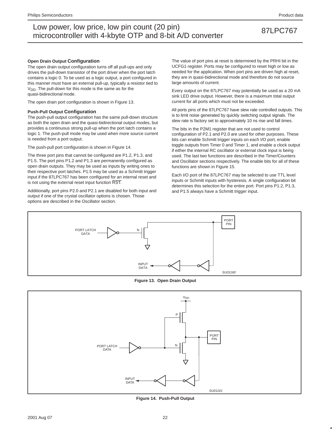#### **Open Drain Output Configuration**

The open drain output configuration turns off all pull-ups and only drives the pull-down transistor of the port driver when the port latch contains a logic 0. To be used as a logic output, a port configured in this manner must have an external pull-up, typically a resistor tied to  $V<sub>DD</sub>$ . The pull-down for this mode is the same as for the quasi-bidirectional mode.

The open drain port configuration is shown in Figure 13.

#### **Push-Pull Output Configuration**

The push-pull output configuration has the same pull-down structure as both the open drain and the quasi-bidirectional output modes, but provides a continuous strong pull-up when the port latch contains a logic 1. The push-pull mode may be used when more source current is needed from a port output.

The push-pull port configuration is shown in Figure 14.

The three port pins that cannot be configured are P1.2, P1.3, and P1.5. The port pins P1.2 and P1.3 are permanently configured as open drain outputs. They may be used as inputs by writing ones to their respective port latches. P1.5 may be used as a Schmitt trigger input if the 87LPC767 has been configured for an internal reset and is not using the external reset input function RST.

Additionally, port pins P2.0 and P2.1 are disabled for both input and output if one of the crystal oscillator options is chosen. Those options are described in the Oscillator section.

The value of port pins at reset is determined by the PRHI bit in the UCFG1 register. Ports may be configured to reset high or low as needed for the application. When port pins are driven high at reset, they are in quasi-bidirectional mode and therefore do not source large amounts of current.

Every output on the 87LPC767 may potentially be used as a 20 mA sink LED drive output. However, there is a maximum total output current for all ports which must not be exceeded.

All ports pins of the 87LPC767 have slew rate controlled outputs. This is to limit noise generated by quickly switching output signals. The slew rate is factory set to approximately 10 ns rise and fall times.

The bits in the P2M1 register that are not used to control configuration of P2.1 and P2.0 are used for other purposes. These bits can enable Schmitt trigger inputs on each I/O port, enable toggle outputs from Timer 0 and Timer 1, and enable a clock output if either the internal RC oscillator or external clock input is being used. The last two functions are described in the Timer/Counters and Oscillator sections respectively. The enable bits for all of these functions are shown in Figure 15.

Each I/O port of the 87LPC767 may be selected to use TTL level inputs or Schmitt inputs with hysteresis. A single configuration bit determines this selection for the entire port. Port pins P1.2, P1.3, and P1.5 always have a Schmitt trigger input.



**Figure 13. Open Drain Output**



**Figure 14. Push-Pull Output**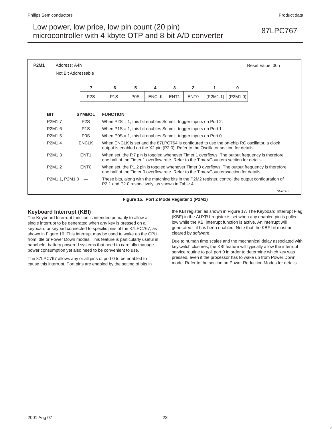

**Figure 15. Port 2 Mode Register 1 (P2M1)**

### **Keyboard Interrupt (KBI)**

The Keyboard Interrupt function is intended primarily to allow a single interrupt to be generated when any key is pressed on a keyboard or keypad connected to specific pins of the 87LPC767, as shown in Figure 16. This interrupt may be used to wake up the CPU from Idle or Power Down modes. This feature is particularly useful in handheld, battery powered systems that need to carefully manage power consumption yet also need to be convenient to use.

The 87LPC767 allows any or all pins of port 0 to be enabled to cause this interrupt. Port pins are enabled by the setting of bits in the KBI register, as shown in Figure 17. The Keyboard Interrupt Flag (KBF) in the AUXR1 register is set when any enabled pin is pulled low while the KBI interrupt function is active. An interrupt will generated if it has been enabled. Note that the KBF bit must be cleared by software.

Due to human time scales and the mechanical delay associated with keyswitch closures, the KBI feature will typically allow the interrupt service routine to poll port 0 in order to determine which key was pressed, even if the processor has to wake up from Power Down mode. Refer to the section on Power Reduction Modes for details.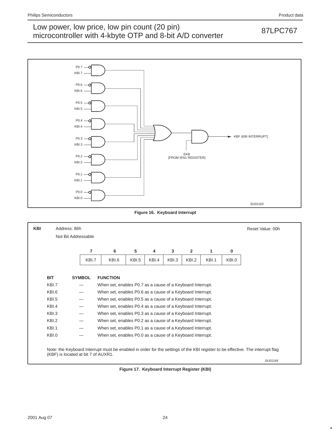## Low power, low price, low pin count (20 pin)<br>
misroecantrallar with 4 kb to OTD and 8 bit A/D converter 67 microcontroller with 4-kbyte OTP and 8-bit A/D converter



**Figure 16. Keyboard Interrupt**

| <b>KBI</b> |                                     | Address: 86h                                               |               |                                                            |                                                            |       |       |              |       |       | Reset Value: 00h                                                                                                               |  |
|------------|-------------------------------------|------------------------------------------------------------|---------------|------------------------------------------------------------|------------------------------------------------------------|-------|-------|--------------|-------|-------|--------------------------------------------------------------------------------------------------------------------------------|--|
|            |                                     | Not Bit Addressable                                        |               |                                                            |                                                            |       |       |              |       |       |                                                                                                                                |  |
|            |                                     |                                                            | 7             | 6                                                          | 5                                                          |       |       |              |       |       |                                                                                                                                |  |
|            |                                     |                                                            |               |                                                            |                                                            | 4     | 3     | $\mathbf{2}$ | 1     | 0     |                                                                                                                                |  |
|            |                                     |                                                            | KBI.7         | KBI.6                                                      | KBI.5                                                      | KBI.4 | KBI.3 | KBI.2        | KBI.1 | KBI.0 |                                                                                                                                |  |
|            |                                     |                                                            |               |                                                            |                                                            |       |       |              |       |       |                                                                                                                                |  |
|            | <b>BIT</b>                          |                                                            | <b>SYMBOL</b> | <b>FUNCTION</b>                                            |                                                            |       |       |              |       |       |                                                                                                                                |  |
|            | KBI.7                               | When set, enables P0.7 as a cause of a Keyboard Interrupt. |               |                                                            |                                                            |       |       |              |       |       |                                                                                                                                |  |
|            | KBI.6                               |                                                            |               |                                                            | When set, enables P0.6 as a cause of a Keyboard Interrupt. |       |       |              |       |       |                                                                                                                                |  |
|            | KBI.5                               |                                                            |               |                                                            | When set, enables P0.5 as a cause of a Keyboard Interrupt. |       |       |              |       |       |                                                                                                                                |  |
|            | KBI.4                               |                                                            |               | When set, enables P0.4 as a cause of a Keyboard Interrupt. |                                                            |       |       |              |       |       |                                                                                                                                |  |
|            | KBI.3                               |                                                            |               | When set, enables P0.3 as a cause of a Keyboard Interrupt. |                                                            |       |       |              |       |       |                                                                                                                                |  |
|            | KBI.2                               |                                                            |               | When set, enables P0.2 as a cause of a Keyboard Interrupt. |                                                            |       |       |              |       |       |                                                                                                                                |  |
|            | KBI.1                               |                                                            |               | When set, enables P0.1 as a cause of a Keyboard Interrupt. |                                                            |       |       |              |       |       |                                                                                                                                |  |
|            | KBI.0                               |                                                            |               | When set, enables P0.0 as a cause of a Keyboard Interrupt. |                                                            |       |       |              |       |       |                                                                                                                                |  |
|            |                                     |                                                            |               |                                                            |                                                            |       |       |              |       |       |                                                                                                                                |  |
|            |                                     |                                                            |               |                                                            |                                                            |       |       |              |       |       | Note: the Keyboard Interrupt must be enabled in order for the settings of the KBI register to be effective. The interrupt flag |  |
|            | (KBF) is located at bit 7 of AUXR1. |                                                            |               |                                                            |                                                            |       |       |              |       |       |                                                                                                                                |  |
|            |                                     |                                                            |               |                                                            |                                                            |       |       |              |       |       | SU01164                                                                                                                        |  |

**Figure 17. Keyboard Interrupt Register (KBI)**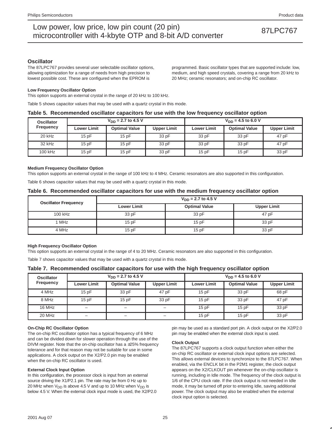### **Oscillator**

The 87LPC767 provides several user selectable oscillator options, allowing optimization for a range of needs from high precision to lowest possible cost. These are configured when the EPROM is

programmed. Basic oscillator types that are supported include: low, medium, and high speed crystals, covering a range from 20 kHz to 20 MHz; ceramic resonators; and on-chip RC oscillator.

#### **Low Frequency Oscillator Option**

This option supports an external crystal in the range of 20 kHz to 100 kHz.

Table 5 shows capacitor values that may be used with a quartz crystal in this mode.

#### **Table 5. Recommended oscillator capacitors for use with the low frequency oscillator option**

| <b>Oscillator</b> |                    | $V_{DD}$ = 2.7 to 4.5 V |                    | $V_{DD} = 4.5$ to 6.0 V |                      |                    |  |
|-------------------|--------------------|-------------------------|--------------------|-------------------------|----------------------|--------------------|--|
| Frequency         | <b>Lower Limit</b> | <b>Optimal Value</b>    | <b>Upper Limit</b> | <b>Lower Limit</b>      | <b>Optimal Value</b> | <b>Upper Limit</b> |  |
| 20 kHz            | 15pF               | 15pF                    | 33 pF              | 33 pF                   | 33 pF                | 47 pF              |  |
| 32 kHz            | 15pF               | 15pF                    | 33 pF              | 33 pF                   | 33 pF                | 47 pF              |  |
| 100 kHz           | 15 pF              | 15pF                    | 33 pF              | 15pF                    | 15pF                 | 33 pF              |  |

#### **Medium Frequency Oscillator Option**

This option supports an external crystal in the range of 100 kHz to 4 MHz. Ceramic resonators are also supported in this configuration.

Table 6 shows capacitor values that may be used with a quartz crystal in this mode.

### **Table 6. Recommended oscillator capacitors for use with the medium frequency oscillator option**

| <b>Oscillator Frequency</b> | $V_{DD}$ = 2.7 to 4.5 V |                      |                    |  |  |  |  |  |
|-----------------------------|-------------------------|----------------------|--------------------|--|--|--|--|--|
|                             | <b>Lower Limit</b>      | <b>Optimal Value</b> | <b>Upper Limit</b> |  |  |  |  |  |
| 100 kHz                     | 33 pF                   | 33 pF                | 47 pF              |  |  |  |  |  |
| 1 MHz                       | 15pF                    | 15pF                 | 33 pF              |  |  |  |  |  |
| 4 MHz                       | 15pF                    | 15pF                 | 33 pF              |  |  |  |  |  |

#### **High Frequency Oscillator Option**

This option supports an external crystal in the range of 4 to 20 MHz. Ceramic resonators are also supported in this configuration.

Table 7 shows capacitor values that may be used with a quartz crystal in this mode.

### **Table 7. Recommended oscillator capacitors for use with the high frequency oscillator option**

| <b>Oscillator</b><br><b>Frequency</b> |                          | $V_{DD}$ = 2.7 to 4.5 V |                          | $V_{DD} = 4.5$ to 6.0 V |                      |                    |  |  |
|---------------------------------------|--------------------------|-------------------------|--------------------------|-------------------------|----------------------|--------------------|--|--|
|                                       | <b>Lower Limit</b>       | <b>Optimal Value</b>    | <b>Upper Limit</b>       | <b>Lower Limit</b>      | <b>Optimal Value</b> | <b>Upper Limit</b> |  |  |
| 4 MHz                                 | 15pF                     | 33 pF                   | 47 pF                    | 15pF                    | 33 pF                | 68 pF              |  |  |
| 8 MHz                                 | 15pF                     | 15pF                    | 33 pF                    | 15pF                    | 33 pF                | 47 pF              |  |  |
| 16 MHz                                | $\overline{\phantom{0}}$ | $\qquad \qquad$         | $\overline{\phantom{0}}$ | 15pF                    | 15pF                 | 33 pF              |  |  |
| 20 MHz                                | -                        |                         | -                        | 15pF                    | 15pF                 | 33 pF              |  |  |

#### **On-Chip RC Oscillator Option**

The on-chip RC oscillator option has a typical frequency of 6 MHz and can be divided down for slower operation through the use of the DIVM register. Note that the on-chip oscillator has a  $\pm 25\%$  frequency tolerance and for that reason may not be suitable for use in some applications. A clock output on the X2/P2.0 pin may be enabled when the on-chip RC oscillator is used.

#### **External Clock Input Option**

In this configuration, the processor clock is input from an external source driving the X1/P2.1 pin. The rate may be from 0 Hz up to 20 MHz when  $V_{DD}$  is above 4.5 V and up to 10 MHz when  $V_{DD}$  is below 4.5 V. When the external clock input mode is used, the X2/P2.0 pin may be used as a standard port pin. A clock output on the X2/P2.0 pin may be enabled when the external clock input is used.

#### **Clock Output**

The 87LPC767 supports a clock output function when either the on-chip RC oscillator or external clock input options are selected. This allows external devices to synchronize to the 87LPC767. When enabled, via the ENCLK bit in the P2M1 register, the clock output appears on the X2/CLKOUT pin whenever the on-chip oscillator is running, including in Idle mode. The frequency of the clock output is 1/6 of the CPU clock rate. If the clock output is not needed in Idle mode, it may be turned off prior to entering Idle, saving additional power. The clock output may also be enabled when the external clock input option is selected.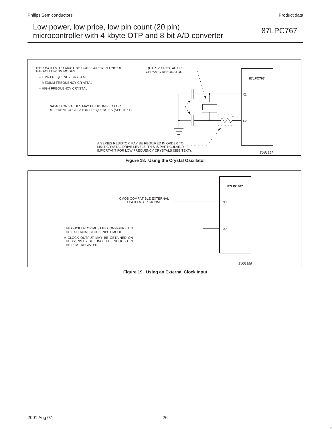

**Figure 18. Using the Crystal Oscillator**



**Figure 19. Using an External Clock Input**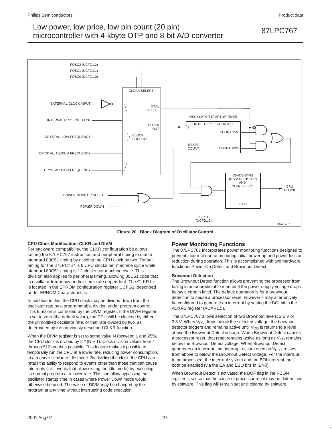

**Figure 20. Block Diagram of Oscillator Control**

### **CPU Clock Modification: CLKR and DIVM**

For backward compatibility, the CLKR configuration bit allows setting the 87LPC767 instruction and peripheral timing to match standard 80C51 timing by dividing the CPU clock by two. Default timing for the 87LPC767 is 6 CPU clocks per machine cycle while standard 80C51 timing is 12 clocks per machine cycle. This division also applies to peripheral timing, allowing 80C51 code that is oscillator frequency and/or timer rate dependent. The CLKR bit is located in the EPROM configuration register UCFG1, described under EPROM Characteristics

In addition to this, the CPU clock may be divided down from the oscillator rate by a programmable divider, under program control. This function is controlled by the DIVM register. If the DIVM register is set to zero (the default value), the CPU will be clocked by either the unmodified oscillator rate, or that rate divided by two, as determined by the previously described CLKR function.

When the DIVM register is set to some value N (between 1 and 255), the CPU clock is divided by  $2 * (N + 1)$ . Clock division values from 4 through 512 are thus possible. This feature makes it possible to temporarily run the CPU at a lower rate, reducing power consumption, in a manner similar to Idle mode. By dividing the clock, the CPU can retain the ability to respond to events other than those that can cause interrupts (i.e., events that allow exiting the Idle mode) by executing its normal program at a lower rate. This can allow bypassing the oscillator startup time in cases where Power Down mode would otherwise be used. The value of DIVM may be changed by the program at any time without interrupting code execution.

### **Power Monitoring Functions**

The 87LPC767 incorporates power monitoring functions designed to prevent incorrect operation during initial power up and power loss or reduction during operation. This is accomplished with two hardware functions: Power-On Detect and Brownout Detect.

#### **Brownout Detection**

The Brownout Detect function allows preventing the processor from failing in an unpredictable manner if the power supply voltage drops below a certain level. The default operation is for a brownout detection to cause a processor reset, however it may alternatively be configured to generate an interrupt by setting the BOI bit in the AUXR1 register (AUXR1.5).

The 87LPC767 allows selection of two Brownout levels: 2.5 V or 3.8 V. When  $V_{DD}$  drops below the selected voltage, the brownout detector triggers and remains active until  $V_{DD}$  is returns to a level above the Brownout Detect voltage. When Brownout Detect causes a processor reset, that reset remains active as long as  $V_{DD}$  remains below the Brownout Detect voltage. When Brownout Detect generates an interrupt, that interrupt occurs once as  $V_{DD}$  crosses from above to below the Brownout Detect voltage. For the interrupt to be processed, the interrupt system and the BOI interrupt must both be enabled (via the EA and EBO bits in IEN0).

When Brownout Detect is activated, the BOF flag in the PCON register is set so that the cause of processor reset may be determined by software. This flag will remain set until cleared by software.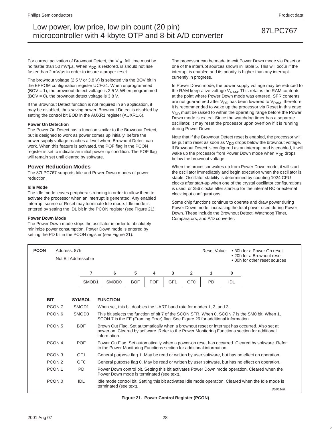For correct activation of Brownout Detect, the  $V_{DD}$  fall time must be no faster than 50 mV/ $\mu$ s. When V<sub>DD</sub> is restored, is should not rise faster than 2 mV/µs in order to insure a proper reset.

The brownout voltage (2.5 V or 3.8 V) is selected via the BOV bit in the EPROM configuration register UCFG1. When unprogrammed (BOV = 1), the brownout detect voltage is 2.5 V. When programmed  $(BOV = 0)$ , the brownout detect voltage is 3.8 V.

If the Brownout Detect function is not required in an application, it may be disabled, thus saving power. Brownout Detect is disabled by setting the control bit BOD in the AUXR1 register (AUXR1.6).

#### **Power On Detection**

The Power On Detect has a function similar to the Brownout Detect, but is designed to work as power comes up initially, before the power supply voltage reaches a level where Brownout Detect can work. When this feature is activated, the POF flag in the PCON register is set to indicate an initial power up condition. The POF flag will remain set until cleared by software.

### **Power Reduction Modes**

The 87LPC767 supports Idle and Power Down modes of power reduction.

#### **Idle Mode**

The Idle mode leaves peripherals running in order to allow them to activate the processor when an interrupt is generated. Any enabled interrupt source or Reset may terminate Idle mode. Idle mode is entered by setting the IDL bit in the PCON register (see Figure 21).

#### **Power Down Mode**

The Power Down mode stops the oscillator in order to absolutely minimize power consumption. Power Down mode is entered by setting the PD bit in the PCON register (see Figure 21).

The processor can be made to exit Power Down mode via Reset or one of the interrupt sources shown in Table 5. This will occur if the interrupt is enabled and its priority is higher than any interrupt currently in progress.

In Power Down mode, the power supply voltage may be reduced to the RAM keep-alive voltage  $V_{RAM}$ . This retains the RAM contents at the point where Power Down mode was entered. SFR contents are not guaranteed after  $V_{DD}$  has been lowered to  $V_{RAM}$ , therefore it is recommended to wake up the processor via Reset in this case. V<sub>DD</sub> must be raised to within the operating range before the Power Down mode is exited. Since the watchdog timer has a separate oscillator, it may reset the processor upon overflow if it is running during Power Down.

Note that if the Brownout Detect reset is enabled, the processor will be put into reset as soon as  $V_{DD}$  drops below the brownout voltage. If Brownout Detect is configured as an interrupt and is enabled, it will wake up the processor from Power Down mode when  $V_{DD}$  drops below the brownout voltage.

When the processor wakes up from Power Down mode, it will start the oscillator immediately and begin execution when the oscillator is stable. Oscillator stability is determined by counting 1024 CPU clocks after start-up when one of the crystal oscillator configurations is used, or 256 clocks after start-up for the internal RC or external clock input configurations.

Some chip functions continue to operate and draw power during Power Down mode, increasing the total power used during Power Down. These include the Brownout Detect, Watchdog Timer, Comparators, and A/D converter.

| <b>PCON</b> | Address: 87h<br>Reset Value:<br>Not Bit Addressable |                   |                                                                                  |            |            |                 |                 | • 30h for a Power On reset<br>• 20h for a Brownout reset<br>• 00h for other reset sources |     |                                                                                                                                                                                                 |
|-------------|-----------------------------------------------------|-------------------|----------------------------------------------------------------------------------|------------|------------|-----------------|-----------------|-------------------------------------------------------------------------------------------|-----|-------------------------------------------------------------------------------------------------------------------------------------------------------------------------------------------------|
|             |                                                     | 7                 | 6                                                                                | 5          | 4          | 3               | $\mathbf{2}$    | 1                                                                                         | 0   |                                                                                                                                                                                                 |
|             |                                                     | SMOD <sub>1</sub> | SMOD <sub>0</sub>                                                                | <b>BOF</b> | <b>POF</b> | GF <sub>1</sub> | GF <sub>0</sub> | <b>PD</b>                                                                                 | IDL |                                                                                                                                                                                                 |
| <b>BIT</b>  |                                                     | <b>SYMBOL</b>     | <b>FUNCTION</b>                                                                  |            |            |                 |                 |                                                                                           |     |                                                                                                                                                                                                 |
|             | PCON.7                                              | SMOD1             | When set, this bit doubles the UART baud rate for modes 1, 2, and 3.             |            |            |                 |                 |                                                                                           |     |                                                                                                                                                                                                 |
|             | PCON.6                                              | SMOD <sub>0</sub> | SCON.7 is the FE (Framing Error) flag. See Figure 26 for additional information. |            |            |                 |                 |                                                                                           |     | This bit selects the function of bit 7 of the SCON SFR. When 0, SCON.7 is the SM0 bit. When 1,                                                                                                  |
|             | PCON <sub>.5</sub>                                  | <b>BOF</b>        | information.                                                                     |            |            |                 |                 |                                                                                           |     | Brown Out Flag. Set automatically when a brownout reset or interrupt has occurred. Also set at<br>power on. Cleared by software. Refer to the Power Monitoring Functions section for additional |
|             | PCON.4                                              | <b>POF</b>        | to the Power Monitoring Functions section for additional information.            |            |            |                 |                 |                                                                                           |     | Power On Flag. Set automatically when a power-on reset has occurred. Cleared by software. Refer                                                                                                 |
|             | PCON <sub>.3</sub>                                  | GF <sub>1</sub>   |                                                                                  |            |            |                 |                 |                                                                                           |     | General purpose flag 1. May be read or written by user software, but has no effect on operation.                                                                                                |
|             | PCON.2                                              | GF <sub>0</sub>   |                                                                                  |            |            |                 |                 |                                                                                           |     | General purpose flag 0. May be read or written by user software, but has no effect on operation.                                                                                                |
|             | PCON.1                                              | <b>PD</b>         | Power Down mode is terminated (see text).                                        |            |            |                 |                 |                                                                                           |     | Power Down control bit. Setting this bit activates Power Down mode operation. Cleared when the                                                                                                  |
|             | PCON.0                                              | <b>IDL</b>        | terminated (see text).                                                           |            |            |                 |                 |                                                                                           |     | Idle mode control bit. Setting this bit activates Idle mode operation. Cleared when the Idle mode is<br>SU01168                                                                                 |

**Figure 21. Power Control Register (PCON)**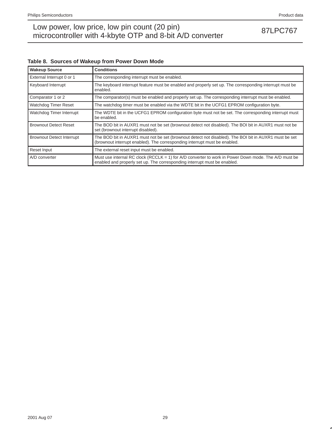## Low power, low price, low pin count (20 pin)<br>
misroecantrallar with 4 kb to OTD and 8 bit A/D converter 67 microcontroller with 4-kbyte OTP and 8-bit A/D converter

### **Table 8. Sources of Wakeup from Power Down Mode**

| <b>Wakeup Source</b>             | <b>Conditions</b>                                                                                                                                                                   |
|----------------------------------|-------------------------------------------------------------------------------------------------------------------------------------------------------------------------------------|
| External Interrupt 0 or 1        | The corresponding interrupt must be enabled.                                                                                                                                        |
| Keyboard Interrupt               | The keyboard interrupt feature must be enabled and properly set up. The corresponding interrupt must be<br>enabled.                                                                 |
| Comparator 1 or 2                | The comparator(s) must be enabled and properly set up. The corresponding interrupt must be enabled.                                                                                 |
| Watchdog Timer Reset             | The watchdog timer must be enabled via the WDTE bit in the UCFG1 EPROM configuration byte.                                                                                          |
| Watchdog Timer Interrupt         | The WDTE bit in the UCFG1 EPROM configuration byte must not be set. The corresponding interrupt must<br>be enabled.                                                                 |
| <b>Brownout Detect Reset</b>     | The BOD bit in AUXR1 must not be set (brownout detect not disabled). The BOI bit in AUXR1 must not be<br>set (brownout interrupt disabled).                                         |
| <b>Brownout Detect Interrupt</b> | The BOD bit in AUXR1 must not be set (brownout detect not disabled). The BOI bit in AUXR1 must be set<br>(brownout interrupt enabled). The corresponding interrupt must be enabled. |
| Reset Input                      | The external reset input must be enabled.                                                                                                                                           |
| A/D converter                    | Must use internal RC clock (RCCLK = 1) for A/D converter to work in Power Down mode. The A/D must be<br>enabled and properly set up. The corresponding interrupt must be enabled.   |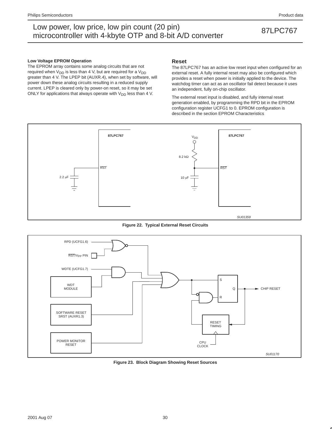#### **Low Voltage EPROM Operation**

The EPROM array contains some analog circuits that are not required when  $V_{DD}$  is less than 4 V, but are required for a  $V_{DD}$ greater than 4 V. The LPEP bit (AUXR.4), when set by software, will power down these analog circuits resulting in a reduced supply current. LPEP is cleared only by power-on reset, so it may be set ONLY for applications that always operate with  $V_{DD}$  less than 4 V.

microcontroller with 4-kbyte OTP and 8-bit A/D converter

#### **Reset**

The 87LPC767 has an active low reset input when configured for an external reset. A fully internal reset may also be configured which provides a reset when power is initially applied to the device. The watchdog timer can act as an oscillator fail detect because it uses an independent, fully on-chip oscillator.

The external reset input is disabled, and fully internal reset generation enabled, by programming the RPD bit in the EPROM configuration register UCFG1 to 0. EPROM configuration is described in the section EPROM Characteristics



**Figure 22. Typical External Reset Circuits**



**Figure 23. Block Diagram Showing Reset Sources**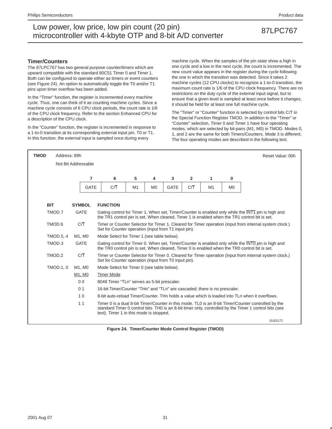### **Timer/Counters**

The 87LPC767 has two general purpose counter/timers which are upward compatible with the standard 80C51 Timer 0 and Timer 1. Both can be configured to operate either as timers or event counters (see Figure 24). An option to automatically toggle the T0 and/or T1 pins upon timer overflow has been added.

In the "Timer" function, the register is incremented every machine cycle. Thus, one can think of it as counting machine cycles. Since a machine cycle consists of 6 CPU clock periods, the count rate is 1/6 of the CPU clock frequency. Refer to the section Enhanced CPU for a description of the CPU clock.

In the "Counter" function, the register is incremented in response to a 1-to-0 transition at its corresponding external input pin, T0 or T1. In this function, the external input is sampled once during every

machine cycle. When the samples of the pin state show a high in one cycle and a low in the next cycle, the count is incremented. The new count value appears in the register during the cycle following the one in which the transition was detected. Since it takes 2 machine cycles (12 CPU clocks) to recognize a 1-to-0 transition, the maximum count rate is 1/6 of the CPU clock frequency. There are no restrictions on the duty cycle of the external input signal, but to ensure that a given level is sampled at least once before it changes, it should be held for at least one full machine cycle.

The "Timer" or "Counter" function is selected by control bits C/T in the Special Function Register TMOD. In addition to the "Timer" or "Counter" selection, Timer 0 and Timer 1 have four operating modes, which are selected by bit-pairs (M1, M0) in TMOD. Modes 0, 1, and 2 are the same for both Timers/Counters. Mode 3 is different. The four operating modes are described in the following text.

| <b>TMOD</b> | Address: 89h     |                     |                                                                           |                                                                                                                                                                |                |             |                  |    |                | Reset Value: 00h                                                                                                                                                                                              |  |  |  |
|-------------|------------------|---------------------|---------------------------------------------------------------------------|----------------------------------------------------------------------------------------------------------------------------------------------------------------|----------------|-------------|------------------|----|----------------|---------------------------------------------------------------------------------------------------------------------------------------------------------------------------------------------------------------|--|--|--|
|             |                  | Not Bit Addressable |                                                                           |                                                                                                                                                                |                |             |                  |    |                |                                                                                                                                                                                                               |  |  |  |
|             |                  |                     |                                                                           |                                                                                                                                                                |                |             |                  |    |                |                                                                                                                                                                                                               |  |  |  |
|             |                  | $\overline{7}$      | 6                                                                         | 5                                                                                                                                                              | 4              | 3           | $\mathbf{2}$     | 1  | 0              |                                                                                                                                                                                                               |  |  |  |
|             |                  | <b>GATE</b>         | СĀ                                                                        | M1                                                                                                                                                             | M <sub>0</sub> | <b>GATE</b> | $C/\overline{T}$ | M1 | M <sub>0</sub> |                                                                                                                                                                                                               |  |  |  |
|             |                  |                     |                                                                           |                                                                                                                                                                |                |             |                  |    |                |                                                                                                                                                                                                               |  |  |  |
|             | <b>BIT</b>       | <b>SYMBOL</b>       | <b>FUNCTION</b>                                                           |                                                                                                                                                                |                |             |                  |    |                |                                                                                                                                                                                                               |  |  |  |
|             | TMOD.7           | <b>GATE</b>         |                                                                           |                                                                                                                                                                |                |             |                  |    |                | Gating control for Timer 1. When set, Timer/Counter is enabled only while the INT1 pin is high and<br>the TR1 control pin is set. When cleared, Timer 1 is enabled when the TR1 control bit is set.           |  |  |  |
|             | TMOD.6           | C/T                 |                                                                           | Timer or Counter Selector for Timer 1. Cleared for Timer operation (input from internal system clock.)<br>Set for Counter operation (input from T1 input pin). |                |             |                  |    |                |                                                                                                                                                                                                               |  |  |  |
|             | <b>TMOD.5, 4</b> | M1, M0              |                                                                           | Mode Select for Timer 1 (see table below).                                                                                                                     |                |             |                  |    |                |                                                                                                                                                                                                               |  |  |  |
|             | TMOD.3           | <b>GATE</b>         |                                                                           |                                                                                                                                                                |                |             |                  |    |                | Gating control for Timer 0. When set, Timer/Counter is enabled only while the INTO pin is high and<br>the TR0 control pin is set. When cleared, Timer 0 is enabled when the TR0 control bit is set.           |  |  |  |
|             | TMOD.2           | C/T                 | Set for Counter operation (input from T0 input pin).                      |                                                                                                                                                                |                |             |                  |    |                | Timer or Counter Selector for Timer 0. Cleared for Timer operation (input from internal system clock.)                                                                                                        |  |  |  |
|             | <b>TMOD.1, 0</b> | M1, M0              | Mode Select for Timer 0 (see table below).                                |                                                                                                                                                                |                |             |                  |    |                |                                                                                                                                                                                                               |  |  |  |
|             |                  | M1, M0              | <b>Timer Mode</b>                                                         |                                                                                                                                                                |                |             |                  |    |                |                                                                                                                                                                                                               |  |  |  |
|             |                  | 0 <sub>0</sub>      | 8048 Timer "TLn" serves as 5-bit prescaler.                               |                                                                                                                                                                |                |             |                  |    |                |                                                                                                                                                                                                               |  |  |  |
|             |                  | 0 <sub>1</sub>      | 16-bit Timer/Counter "THn" and "TLn" are cascaded; there is no prescaler. |                                                                                                                                                                |                |             |                  |    |                |                                                                                                                                                                                                               |  |  |  |
|             |                  | 10                  |                                                                           |                                                                                                                                                                |                |             |                  |    |                | 8-bit auto-reload Timer/Counter. THn holds a value which is loaded into TLn when it overflows.                                                                                                                |  |  |  |
|             |                  | 11                  | text). Timer 1 in this mode is stopped.                                   |                                                                                                                                                                |                |             |                  |    |                | Timer 0 is a dual 8-bit Timer/Counter in this mode. TL0 is an 8-bit Timer/Counter controlled by the<br>standard Timer 0 control bits. THO is an 8-bit timer only, controlled by the Timer 1 control bits (see |  |  |  |
|             |                  |                     |                                                                           |                                                                                                                                                                |                |             |                  |    |                | SU01171                                                                                                                                                                                                       |  |  |  |

**Figure 24. Timer/Counter Mode Control Register (TMOD)**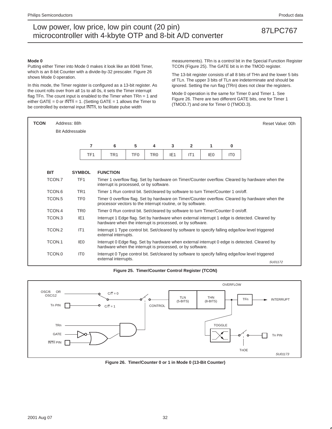#### **Mode 0**

Putting either Timer into Mode 0 makes it look like an 8048 Timer, which is an 8-bit Counter with a divide-by-32 prescaler. Figure 26 shows Mode 0 operation.

In this mode, the Timer register is configured as a 13-bit register. As the count rolls over from all 1s to all 0s, it sets the Timer interrupt flag TFn. The count input is enabled to the Timer when TRn = 1 and either GATE = 0 or  $\overline{\text{INTn}}$  = 1. (Setting GATE = 1 allows the Timer to be controlled by external input  $\overline{\text{INTn}}$ , to facilitate pulse width

measurements). TRn is a control bit in the Special Function Register TCON (Figure 25). The GATE bit is in the TMOD register.

The 13-bit register consists of all 8 bits of THn and the lower 5 bits of TLn. The upper 3 bits of TLn are indeterminate and should be ignored. Setting the run flag (TRn) does not clear the registers.

Mode 0 operation is the same for Timer 0 and Timer 1. See Figure 26. There are two different GATE bits, one for Timer 1 (TMOD.7) and one for Timer 0 (TMOD.3).

| <b>TCON</b> | Address: 88h       | <b>Bit Addressable</b> |                                                                                  |                                                                                                                                                            |                 |                 |                 |                 |                 | Reset Value: 00h                                                                                  |  |  |  |
|-------------|--------------------|------------------------|----------------------------------------------------------------------------------|------------------------------------------------------------------------------------------------------------------------------------------------------------|-----------------|-----------------|-----------------|-----------------|-----------------|---------------------------------------------------------------------------------------------------|--|--|--|
|             |                    |                        |                                                                                  |                                                                                                                                                            |                 |                 |                 |                 |                 |                                                                                                   |  |  |  |
|             |                    | 7                      | 6                                                                                | 5                                                                                                                                                          | 4               | 3               | $\overline{2}$  | 1               | $\bf{0}$        |                                                                                                   |  |  |  |
|             |                    | TF <sub>1</sub>        | TR <sub>1</sub>                                                                  | TF <sub>0</sub>                                                                                                                                            | TR <sub>0</sub> | IE <sub>1</sub> | IT <sub>1</sub> | IE <sub>0</sub> | IT <sub>0</sub> |                                                                                                   |  |  |  |
|             |                    |                        |                                                                                  |                                                                                                                                                            |                 |                 |                 |                 |                 |                                                                                                   |  |  |  |
| <b>BIT</b>  |                    | <b>SYMBOL</b>          | <b>FUNCTION</b>                                                                  |                                                                                                                                                            |                 |                 |                 |                 |                 |                                                                                                   |  |  |  |
|             | TCON.7             | TF <sub>1</sub>        |                                                                                  | Timer 1 overflow flag. Set by hardware on Timer/Counter overflow. Cleared by hardware when the<br>interrupt is processed, or by software.                  |                 |                 |                 |                 |                 |                                                                                                   |  |  |  |
|             | TCON.6             | TR <sub>1</sub>        | Timer 1 Run control bit. Set/cleared by software to turn Timer/Counter 1 on/off. |                                                                                                                                                            |                 |                 |                 |                 |                 |                                                                                                   |  |  |  |
|             | TCON <sub>.5</sub> | TF <sub>0</sub>        | processor vectors to the interrupt routine, or by software.                      |                                                                                                                                                            |                 |                 |                 |                 |                 | Timer 0 overflow flag. Set by hardware on Timer/Counter overflow. Cleared by hardware when the    |  |  |  |
|             | TCON.4             | TR <sub>0</sub>        | Timer 0 Run control bit. Set/cleared by software to turn Timer/Counter 0 on/off. |                                                                                                                                                            |                 |                 |                 |                 |                 |                                                                                                   |  |  |  |
|             | TCON.3             | IE <sub>1</sub>        | hardware when the interrupt is processed, or by software.                        |                                                                                                                                                            |                 |                 |                 |                 |                 | Interrupt 1 Edge flag. Set by hardware when external interrupt 1 edge is detected. Cleared by     |  |  |  |
|             | TCON.2             | IT1                    | external interrupts.                                                             |                                                                                                                                                            |                 |                 |                 |                 |                 | Interrupt 1 Type control bit. Set/cleared by software to specify falling edge/low level triggered |  |  |  |
|             | TCON.1             | IE <sub>0</sub>        |                                                                                  | Interrupt 0 Edge flag. Set by hardware when external interrupt 0 edge is detected. Cleared by<br>hardware when the interrupt is processed, or by software. |                 |                 |                 |                 |                 |                                                                                                   |  |  |  |
|             | TCON.0             | IT <sub>0</sub>        |                                                                                  |                                                                                                                                                            |                 |                 |                 |                 |                 | Interrupt 0 Type control bit. Set/cleared by software to specify falling edge/low level triggered |  |  |  |
|             |                    |                        | external interrupts.                                                             |                                                                                                                                                            |                 |                 |                 |                 |                 | SU01172                                                                                           |  |  |  |

**Figure 25. Timer/Counter Control Register (TCON)**



**Figure 26. Timer/Counter 0 or 1 in Mode 0 (13-Bit Counter)**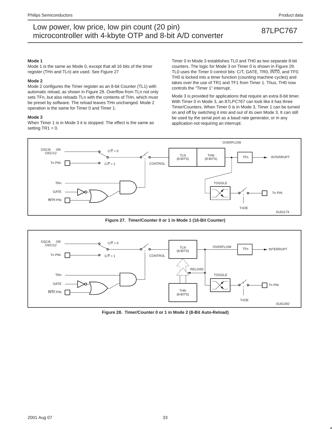#### **Mode 1**

Mode 1 is the same as Mode 0, except that all 16 bits of the timer register (THn and TLn) are used. See Figure 27

#### **Mode 2**

Mode 2 configures the Timer register as an 8-bit Counter (TL1) with automatic reload, as shown in Figure 28. Overflow from TLn not only sets TFn, but also reloads TLn with the contents of THn, which must be preset by software. The reload leaves THn unchanged. Mode 2 operation is the same for Timer 0 and Timer 1.

#### **Mode 3**

When Timer 1 is in Mode 3 it is stopped. The effect is the same as setting  $TR1 = 0$ .

Timer 0 in Mode 3 establishes TL0 and TH0 as two separate 8-bit counters. The logic for Mode 3 on Timer 0 is shown in Figure 29. TL0 uses the Timer 0 control bits: C/T, GATE, TR0, INT0, and TF0. TH0 is locked into a timer function (counting machine cycles) and takes over the use of TR1 and TF1 from Timer 1. Thus, TH0 now controls the "Timer 1" interrupt.

Mode 3 is provided for applications that require an extra 8-bit timer. With Timer 0 in Mode 3, an 87LPC767 can look like it has three Timer/Counters. When Timer 0 is in Mode 3, Timer 1 can be turned on and off by switching it into and out of its own Mode 3. It can still be used by the serial port as a baud rate generator, or in any application not requiring an interrupt.



**Figure 27. Timer/Counter 0 or 1 in Mode 1 (16-Bit Counter)**



**Figure 28. Timer/Counter 0 or 1 in Mode 2 (8-Bit Auto-Reload)**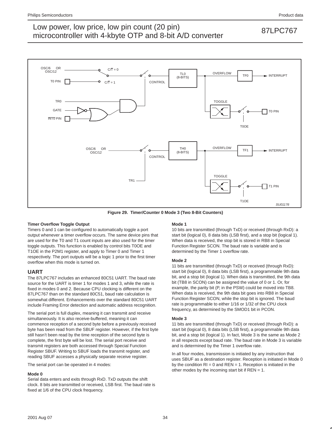

**Figure 29. Timer/Counter 0 Mode 3 (Two 8-Bit Counters)**

### **Timer Overflow Toggle Output**

Timers 0 and 1 can be configured to automatically toggle a port output whenever a timer overflow occurs. The same device pins that are used for the T0 and T1 count inputs are also used for the timer toggle outputs. This function is enabled by control bits T0OE and T1OE in the P2M1 register, and apply to Timer 0 and Timer 1 respectively. The port outputs will be a logic 1 prior to the first timer overflow when this mode is turned on.

### **UART**

The 87LPC767 includes an enhanced 80C51 UART. The baud rate source for the UART is timer 1 for modes 1 and 3, while the rate is fixed in modes 0 and 2. Because CPU clocking is different on the 87LPC767 than on the standard 80C51, baud rate calculation is somewhat different. Enhancements over the standard 80C51 UART include Framing Error detection and automatic address recognition.

The serial port is full duplex, meaning it can transmit and receive simultaneously. It is also receive-buffered, meaning it can commence reception of a second byte before a previously received byte has been read from the SBUF register. However, if the first byte still hasn't been read by the time reception of the second byte is complete, the first byte will be lost. The serial port receive and transmit registers are both accessed through Special Function Register SBUF. Writing to SBUF loads the transmit register, and reading SBUF accesses a physically separate receive register.

The serial port can be operated in 4 modes:

### **Mode 0**

Serial data enters and exits through RxD. TxD outputs the shift clock. 8 bits are transmitted or received, LSB first. The baud rate is fixed at 1/6 of the CPU clock frequency.

#### **Mode 1**

10 bits are transmitted (through TxD) or received (through RxD): a start bit (logical 0), 8 data bits (LSB first), and a stop bit (logical 1). When data is received, the stop bit is stored in RB8 in Special Function Register SCON. The baud rate is variable and is determined by the Timer 1 overflow rate.

#### **Mode 2**

11 bits are transmitted (through TxD) or received (through RxD): start bit (logical 0), 8 data bits (LSB first), a programmable 9th data bit, and a stop bit (logical 1). When data is transmitted, the 9th data bit (TB8 in SCON) can be assigned the value of 0 or 1. Or, for example, the parity bit (P, in the PSW) could be moved into TB8. When data is received, the 9th data bit goes into RB8 in Special Function Register SCON, while the stop bit is ignored. The baud rate is programmable to either 1/16 or 1/32 of the CPU clock frequency, as determined by the SMOD1 bit in PCON.

#### **Mode 3**

11 bits are transmitted (through TxD) or received (through RxD): a start bit (logical 0), 8 data bits (LSB first), a programmable 9th data bit, and a stop bit (logical 1). In fact, Mode 3 is the same as Mode 2 in all respects except baud rate. The baud rate in Mode 3 is variable and is determined by the Timer 1 overflow rate.

In all four modes, transmission is initiated by any instruction that uses SBUF as a destination register. Reception is initiated in Mode 0 by the condition  $RI = 0$  and  $REN = 1$ . Reception is initiated in the other modes by the incoming start bit if  $REN = 1$ .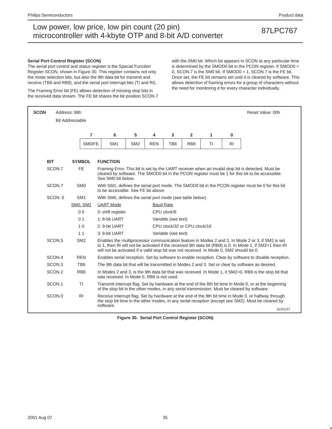#### **Serial Port Control Register (SCON)**

The serial port control and status register is the Special Function Register SCON, shown in Figure 30. This register contains not only the mode selection bits, but also the 9th data bit for transmit and receive (TB8 and RB8), and the serial port interrupt bits (TI and RI).

The Framing Error bit (FE) allows detection of missing stop bits in the received data stream. The FE bit shares the bit position SCON.7 with the SM0 bit. Which bit appears in SCON at any particular time is determined by the SMOD0 bit in the PCON register. If SMOD0 = 0, SCON.7 is the SM0 bit. If SMOD0 = 1, SCON.7 is the FE bit. Once set, the FE bit remains set until it is cleared by software. This allows detection of framing errors for a group of characters without the need for monitoring it for every character individually.

| <b>SCON</b>       | Address: 98h<br><b>Bit Addressable</b> |                                                                                         |                                                                                                                                                                                                                             |                |                     |                              |    |                | Reset Value: 00h                                                                                                                                                                                             |  |  |  |  |
|-------------------|----------------------------------------|-----------------------------------------------------------------------------------------|-----------------------------------------------------------------------------------------------------------------------------------------------------------------------------------------------------------------------------|----------------|---------------------|------------------------------|----|----------------|--------------------------------------------------------------------------------------------------------------------------------------------------------------------------------------------------------------|--|--|--|--|
|                   |                                        |                                                                                         |                                                                                                                                                                                                                             |                |                     |                              |    |                |                                                                                                                                                                                                              |  |  |  |  |
|                   | $\overline{7}$                         | 6                                                                                       | 5                                                                                                                                                                                                                           | $\overline{4}$ | 3                   | $\overline{2}$               | 1  | 0              |                                                                                                                                                                                                              |  |  |  |  |
|                   | SM0/FE                                 | SM <sub>1</sub>                                                                         | SM <sub>2</sub>                                                                                                                                                                                                             | <b>REN</b>     | TB8                 | RB <sub>8</sub>              | TI | R <sub>l</sub> |                                                                                                                                                                                                              |  |  |  |  |
|                   |                                        |                                                                                         |                                                                                                                                                                                                                             |                |                     |                              |    |                |                                                                                                                                                                                                              |  |  |  |  |
| <b>BIT</b>        | <b>SYMBOL</b>                          | <b>FUNCTION</b>                                                                         |                                                                                                                                                                                                                             |                |                     |                              |    |                |                                                                                                                                                                                                              |  |  |  |  |
| SCON.7            | FE.                                    |                                                                                         | Framing Error. This bit is set by the UART receiver when an invalid stop bit is detected. Must be<br>cleared by software. The SMOD0 bit in the PCON register must be 1 for this bit to be accessible.<br>See SM0 bit below. |                |                     |                              |    |                |                                                                                                                                                                                                              |  |  |  |  |
| SCON.7            | SM <sub>0</sub>                        |                                                                                         | With SM1, defines the serial port mode. The SMOD0 bit in the PCON register must be 0 for this bit<br>to be accessible. See FE bit above.                                                                                    |                |                     |                              |    |                |                                                                                                                                                                                                              |  |  |  |  |
| SCON, 6           | SM <sub>1</sub>                        |                                                                                         | With SM0, defines the serial port mode (see table below).                                                                                                                                                                   |                |                     |                              |    |                |                                                                                                                                                                                                              |  |  |  |  |
|                   | SM0, SM1                               | <b>UART</b> Mode                                                                        | <b>Baud Rate</b>                                                                                                                                                                                                            |                |                     |                              |    |                |                                                                                                                                                                                                              |  |  |  |  |
|                   | 0 <sub>0</sub>                         | 0: shift register                                                                       |                                                                                                                                                                                                                             |                | CPU clock/6         |                              |    |                |                                                                                                                                                                                                              |  |  |  |  |
|                   | 0 <sub>1</sub>                         | 1: 8-bit UART                                                                           |                                                                                                                                                                                                                             |                | Variable (see text) |                              |    |                |                                                                                                                                                                                                              |  |  |  |  |
|                   | 10                                     | 2: 9-bit UART                                                                           |                                                                                                                                                                                                                             |                |                     | CPU clock/32 or CPU clock/16 |    |                |                                                                                                                                                                                                              |  |  |  |  |
|                   | 11                                     | 3: 9-bit UART                                                                           |                                                                                                                                                                                                                             |                | Variable (see text) |                              |    |                |                                                                                                                                                                                                              |  |  |  |  |
| SCON.5            | SM <sub>2</sub>                        | will not be activated if a valid stop bit was not received. In Mode 0, SM2 should be 0. |                                                                                                                                                                                                                             |                |                     |                              |    |                | Enables the multiprocessor communication feature in Modes 2 and 3. In Mode 2 or 3, if SM2 is set<br>to 1, then RI will not be activated if the received 9th data bit (RB8) is 0. In Mode 1, if SM2=1 then RI |  |  |  |  |
| SCON.4            | <b>REN</b>                             |                                                                                         |                                                                                                                                                                                                                             |                |                     |                              |    |                | Enables serial reception. Set by software to enable reception. Clear by software to disable reception.                                                                                                       |  |  |  |  |
| SCON <sub>3</sub> | TB <sub>8</sub>                        |                                                                                         |                                                                                                                                                                                                                             |                |                     |                              |    |                | The 9th data bit that will be transmitted in Modes 2 and 3. Set or clear by software as desired.                                                                                                             |  |  |  |  |
| SCON.2            | RB <sub>8</sub>                        | was received. In Mode 0, RB8 is not used.                                               |                                                                                                                                                                                                                             |                |                     |                              |    |                | In Modes 2 and 3, is the 9th data bit that was received. In Mode 1, it SM2=0, RB8 is the stop bit that                                                                                                       |  |  |  |  |
| SCON.1            | <b>TI</b>                              |                                                                                         |                                                                                                                                                                                                                             |                |                     |                              |    |                | Transmit interrupt flag. Set by hardware at the end of the 8th bit time in Mode 0, or at the beginning<br>of the stop bit in the other modes, in any serial transmission. Must be cleared by software.       |  |  |  |  |
| SCON.0            | R <sub>1</sub>                         | software.                                                                               |                                                                                                                                                                                                                             |                |                     |                              |    |                | Receive interrupt flag. Set by hardware at the end of the 8th bit time in Mode 0, or halfway through<br>the stop bit time in the other modes, in any serial reception (except see SM2). Must be cleared by   |  |  |  |  |
|                   |                                        |                                                                                         |                                                                                                                                                                                                                             |                |                     |                              |    |                | SU01157                                                                                                                                                                                                      |  |  |  |  |

**Figure 30. Serial Port Control Register (SCON)**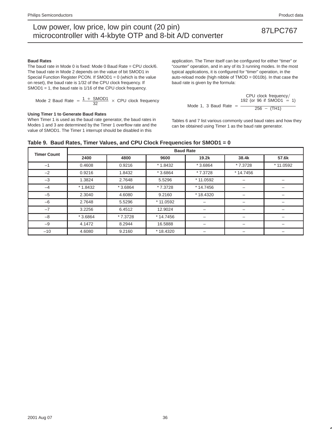#### **Baud Rates**

The baud rate in Mode 0 is fixed: Mode 0 Baud Rate = CPU clock/6. The baud rate in Mode 2 depends on the value of bit SMOD1 in Special Function Register PCON. If SMOD1 = 0 (which is the value on reset), the baud rate is 1/32 of the CPU clock frequency. If SMOD1 = 1, the baud rate is 1/16 of the CPU clock frequency.

Mode 2 Baud Rate = 
$$
\frac{1 + \text{SMOD1}}{32} \times \text{CPU clock frequency}
$$

#### **Using Timer 1 to Generate Baud Rates**

When Timer 1 is used as the baud rate generator, the baud rates in Modes 1 and 3 are determined by the Timer 1 overflow rate and the value of SMOD1. The Timer 1 interrupt should be disabled in this

application. The Timer itself can be configured for either "timer" or "counter" operation, and in any of its 3 running modes. In the most typical applications, it is configured for "timer" operation, in the auto-reload mode (high nibble of TMOD = 0010b). In that case the baud rate is given by the formula:

$$
CPU clock frequency / \text{Mode 1, 3 Baud Rate} = \frac{192 (or 96 if SMOD1 = 1)}{256 - (TH1)}
$$

Tables 6 and 7 list various commonly used baud rates and how they can be obtained using Timer 1 as the baud rate generator.

| Table 9. Baud Rates, Timer Values, and CPU Clock Frequencies for SMOD1 = 0 |  |  |  |  |  |  |  |
|----------------------------------------------------------------------------|--|--|--|--|--|--|--|
|----------------------------------------------------------------------------|--|--|--|--|--|--|--|

| <b>Timer Count</b> |           | <b>Baud Rate</b> |           |            |            |           |  |  |  |  |  |
|--------------------|-----------|------------------|-----------|------------|------------|-----------|--|--|--|--|--|
|                    | 2400      | 4800             | 9600      | 19.2k      | 38.4k      | 57.6k     |  |  |  |  |  |
| $-1$               | 0.4608    | 0.9216           | $*1.8432$ | $*3.6864$  | * 7.3728   | * 11.0592 |  |  |  |  |  |
| $-2$               | 0.9216    | 1.8432           | $*3.6864$ | $*7.3728$  | $*14.7456$ |           |  |  |  |  |  |
| $-3$               | 1.3824    | 2.7648           | 5.5296    | * 11.0592  |            | —         |  |  |  |  |  |
| $-4$               | $*1.8432$ | $*3.6864$        | * 7.3728  | * 14.7456  |            |           |  |  |  |  |  |
| $-5$               | 2.3040    | 4.6080           | 9.2160    | $*18.4320$ |            |           |  |  |  |  |  |
| $-6$               | 2.7648    | 5.5296           | * 11.0592 |            |            |           |  |  |  |  |  |
| $-7$               | 3.2256    | 6.4512           | 12.9024   |            |            |           |  |  |  |  |  |
| $-8$               | $*3.6864$ | * 7.3728         | * 14.7456 | -          |            | —         |  |  |  |  |  |
| $-9$               | 4.1472    | 8.2944           | 16.5888   |            |            | —         |  |  |  |  |  |
| $-10$              | 4.6080    | 9.2160           | *18.4320  | -          |            | -         |  |  |  |  |  |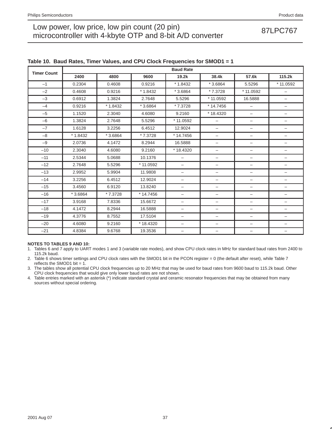| <b>Timer Count</b> |           |           |            | <b>Baud Rate</b>         |                          |                                  |                          |
|--------------------|-----------|-----------|------------|--------------------------|--------------------------|----------------------------------|--------------------------|
|                    | 2400      | 4800      | 9600       | 19.2k                    | 38.4k                    | 57.6k                            | 115.2k                   |
| $-1$               | 0.2304    | 0.4608    | 0.9216     | $*1.8432$                | $*3.6864$                | 5.5296                           | * 11.0592                |
| $-2$               | 0.4608    | 0.9216    | $*1.8432$  | $*3.6864$                | * 7.3728                 | * 11.0592                        | $\qquad \qquad -$        |
| $-3$               | 0.6912    | 1.3824    | 2.7648     | 5.5296                   | * 11.0592                | 16.5888                          | $\overline{\phantom{0}}$ |
| $-4$               | 0.9216    | $*1.8432$ | $*3.6864$  | *7.3728                  | $*14.7456$               | $\qquad \qquad -$                | -                        |
| $-5$               | 1.1520    | 2.3040    | 4.6080     | 9.2160                   | $*18.4320$               | $\qquad \qquad -$                | $\qquad \qquad -$        |
| $-6$               | 1.3824    | 2.7648    | 5.5296     | * 11.0592                | $\overline{\phantom{0}}$ | $\overline{\phantom{0}}$         | $\overline{\phantom{0}}$ |
| $-7$               | 1.6128    | 3.2256    | 6.4512     | 12.9024                  | $\qquad \qquad -$        | $\qquad \qquad -$                | $\qquad \qquad -$        |
| $-8$               | $*1.8432$ | $*3.6864$ | * 7.3728   | $*14.7456$               | -                        | $\overline{\phantom{0}}$         | -                        |
| $-9$               | 2.0736    | 4.1472    | 8.2944     | 16.5888                  | -                        | $\qquad \qquad -$                | -                        |
| $-10$              | 2.3040    | 4.6080    | 9.2160     | $*18.4320$               | -                        | $\qquad \qquad -$                | $\qquad \qquad -$        |
| $-11$              | 2.5344    | 5.0688    | 10.1376    | $\overline{\phantom{0}}$ | -                        | $\qquad \qquad -$                | $\overline{\phantom{m}}$ |
| $-12$              | 2.7648    | 5.5296    | $*11.0592$ | -                        | -                        | $\overline{\phantom{0}}$         | -                        |
| $-13$              | 2.9952    | 5.9904    | 11.9808    | -                        | -                        | $\overline{\phantom{0}}$         | $\qquad \qquad -$        |
| $-14$              | 3.2256    | 6.4512    | 12.9024    | -                        | $\overline{\phantom{0}}$ | $\qquad \qquad -$                | $\qquad \qquad -$        |
| $-15$              | 3.4560    | 6.9120    | 13.8240    | -                        | -                        | $\overbrace{\phantom{12322111}}$ | -                        |
| $-16$              | $*3.6864$ | * 7.3728  | $*14.7456$ | -                        | -                        | $\qquad \qquad -$                | -                        |
| $-17$              | 3.9168    | 7.8336    | 15.6672    | -                        | -                        | $\qquad \qquad -$                | -                        |
| $-18$              | 4.1472    | 8.2944    | 16.5888    | $\overline{\phantom{0}}$ | $\overline{\phantom{0}}$ | $\overline{\phantom{0}}$         | $\qquad \qquad -$        |
| $-19$              | 4.3776    | 8.7552    | 17.5104    | -                        | -                        | $\overbrace{\phantom{12322111}}$ | $\qquad \qquad -$        |
| $-20$              | 4.6080    | 9.2160    | $*18.4320$ | -                        | -                        | $\qquad \qquad -$                | -                        |
| $-21$              | 4.8384    | 9.6768    | 19.3536    | -                        | -                        | -                                | -                        |

### **Table 10. Baud Rates, Timer Values, and CPU Clock Frequencies for SMOD1 = 1**

#### **NOTES TO TABLES 9 AND 10:**

1. Tables 6 and 7 apply to UART modes 1 and 3 (variable rate modes), and show CPU clock rates in MHz for standard baud rates from 2400 to 115.2k baud.

2. Table 6 shows timer settings and CPU clock rates with the SMOD1 bit in the PCON register = 0 (the default after reset), while Table 7 reflects the SMOD1 bit =  $1$ .

3. The tables show all potential CPU clock frequencies up to 20 MHz that may be used for baud rates from 9600 baud to 115.2k baud. Other CPU clock frequencies that would give only lower baud rates are not shown.

4. Table entries marked with an asterisk (\*) indicate standard crystal and ceramic resonator frequencies that may be obtained from many sources without special ordering.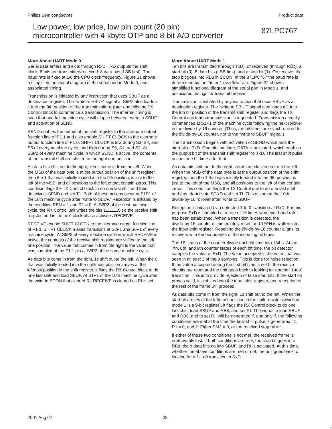#### **More About UART Mode 0**

Serial data enters and exits through RxD. TxD outputs the shift clock. 8 bits are transmitted/received: 8 data bits (LSB first). The baud rate is fixed at 1/6 the CPU clock frequency. Figure 31 shows a simplified functional diagram of the serial port in Mode 0, and associated timing.

Transmission is initiated by any instruction that uses SBUF as a destination register. The "write to SBUF" signal at S6P2 also loads a 1 into the 9th position of the transmit shift register and tells the TX Control block to commence a transmission. The internal timing is such that one full machine cycle will elapse between "write to SBUF" and activation of SEND.

SEND enables the output of the shift register to the alternate output function line of P1.1 and also enable SHIFT CLOCK to the alternate output function line of P1.0. SHIFT CLOCK is low during S3, S4, and S5 of every machine cycle, and high during S6, S1, and S2. At S6P2 of every machine cycle in which SEND is active, the contents of the transmit shift are shifted to the right one position.

As data bits shift out to the right, zeros come in from the left. When the MSB of the data byte is at the output position of the shift register, then the 1 that was initially loaded into the 9th position, is just to the left of the MSB, and all positions to the left of that contain zeros. This condition flags the TX Control block to do one last shift and then deactivate SEND and set T1. Both of these actions occur at S1P1 of the 10th machine cycle after "write to SBUF." Reception is initiated by the condition  $REN = 1$  and  $R1 = 0$ . At S6P2 of the next machine cycle, the RX Control unit writes the bits 11111110 t o the receive shift register, and in the next clock phase activates RECEIVE.

RECEIVE enable SHIFT CLOCK to the alternate output function line of P1.0. SHIFT CLOCK makes transitions at S3P1 and S6P1 of every machine cycle. At S6P2 of every machine cycle in which RECEIVE is active, the contents of the receive shift register are shifted to the left one position. The value that comes in from the right is the value that was sampled at the P1.1 pin at S5P2 of the same machine cycle.

As data bits come in from the right, 1s shift out to the left. When the 0 that was initially loaded into the rightmost position arrives at the leftmost position in the shift register, it flags the RX Control block to do one last shift and load SBUF. At S1P1 of the 10th machine cycle after the write to SCON that cleared RI, RECEIVE is cleared as RI is set.

#### **More About UART Mode 1**

Ten bits are transmitted (through TxD), or received (through RxD): a start bit (0), 8 data bits (LSB first), and a stop bit (1). On receive, the stop bit goes into RB8 in SCON. In the 87LPC767 the baud rate is determined by the Timer 1 overflow rate. Figure 32 shows a simplified functional diagram of the serial port in Mode 1, and associated timings for transmit receive.

Transmission is initiated by any instruction that uses SBUF as a destination register. The "write to SBUF" signal also loads a 1 into the 9th bit position of the transmit shift register and flags the TX Control unit that a transmission is requested. Transmission actually commences at S1P1 of the machine cycle following the next rollover in the divide-by-16 counter. (Thus, the bit times are synchronized to the divide-by-16 counter, not to the "write to SBUF" signal.)

The transmission begins with activation of SEND which puts the start bit at TxD. One bit time later, DATA is activated, which enables the output bit of the transmit shift register to TxD. The first shift pulse occurs one bit time after that.

As data bits shift out to the right, zeros are clocked in from the left. When the MSB of the data byte is at the output position of the shift register, then the 1 that was initially loaded into the 9th position is just to the left of the MSB, and all positions to the left of that contain zeros. This condition flags the TX Control unit to do one last shift and then deactivate SEND and set TI. This occurs at the 10th divide-by-16 rollover after "write to SBUF."

Reception is initiated by a detected 1-to-0 transition at RxD. For this purpose RxD is sampled at a rate of 16 times whatever baud rate has been established. When a transition is detected, the divide-by-16 counter is immediately reset, and 1FFH is written into the input shift register. Resetting the divide-by-16 counter aligns its rollovers with the boundaries of the incoming bit times.

The 16 states of the counter divide each bit time into 16ths. At the 7th, 8th, and 9th counter states of each bit time, the bit detector samples the value of RxD. The value accepted is the value that was seen in at least 2 of the 3 samples. This is done for noise rejection. If the value accepted during the first bit time is not 0, the receive circuits are reset and the unit goes back to looking for another 1-to-0 transition. This is to provide rejection of false start bits. If the start bit proves valid, it is shifted into the input shift register, and reception of the rest of the frame will proceed.

As data bits come in from the right, 1s shift out to the left. When the start bit arrives at the leftmost position in the shift register (which in mode 1 is a 9-bit register), it flags the RX Control block to do one last shift, load SBUF and RB8, and set RI. The signal to load SBUF and RB8, and to set RI, will be generated if, and only if, the following conditions are met at the time the final shift pulse is generated.: 1.  $R1 = 0$ , and 2. Either SM2 = 0, or the received stop bit = 1.

If either of these two conditions is not met, the received frame is irretrievably lost. If both conditions are met, the stop bit goes into RB8, the 8 data bits go into SBUF, and RI is activated. At this time, whether the above conditions are met or not, the unit goes back to looking for a 1-to-0 transition in RxD.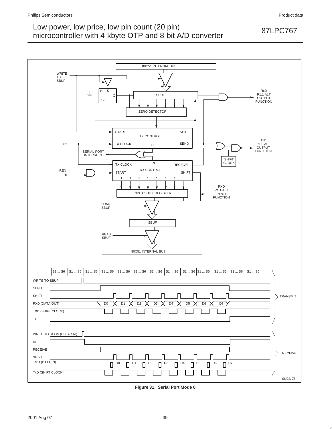

**Figure 31. Serial Port Mode 0**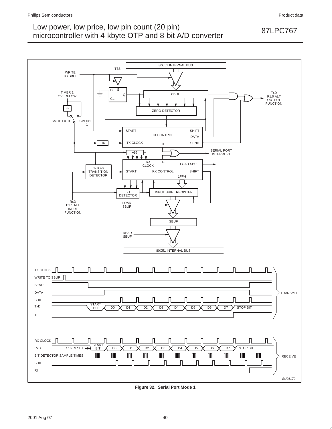

**Figure 32. Serial Port Mode 1**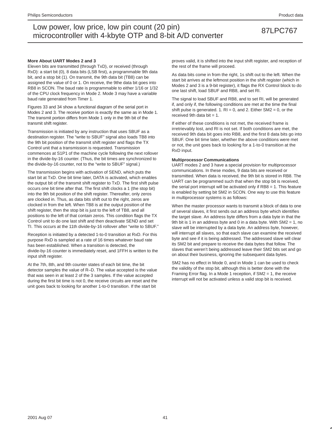#### **More About UART Modes 2 and 3**

Eleven bits are transmitted (through TxD), or received (through RxD): a start bit (0), 8 data bits (LSB first), a programmable 9th data bit, and a stop bit (1). On transmit, the 9th data bit (TB8) can be assigned the value of 0 or 1. On receive, the 9the data bit goes into RB8 in SCON. The baud rate is programmable to either 1/16 or 1/32 of the CPU clock frequency in Mode 2. Mode 3 may have a variable baud rate generated from Timer 1.

Figures 33 and 34 show a functional diagram of the serial port in Modes 2 and 3. The receive portion is exactly the same as in Mode 1. The transmit portion differs from Mode 1 only in the 9th bit of the transmit shift register.

Transmission is initiated by any instruction that uses SBUF as a destination register. The "write to SBUF" signal also loads TB8 into the 9th bit position of the transmit shift register and flags the TX Control unit that a transmission is requested. Transmission commences at S1P1 of the machine cycle following the next rollover in the divide-by-16 counter. (Thus, the bit times are synchronized to the divide-by-16 counter, not to the "write to SBUF" signal.)

The transmission begins with activation of SEND, which puts the start bit at TxD. One bit time later, DATA is activated, which enables the output bit of the transmit shift register to TxD. The first shift pulse occurs one bit time after that. The first shift clocks a 1 (the stop bit) into the 9th bit position of the shift register. Thereafter, only zeros are clocked in. Thus, as data bits shift out to the right, zeros are clocked in from the left. When TB8 is at the output position of the shift register, then the stop bit is just to the left of TB8, and all positions to the left of that contain zeros. This condition flags the TX Control unit to do one last shift and then deactivate SEND and set TI. This occurs at the 11th divide-by-16 rollover after "write to SBUF."

Reception is initiated by a detected 1-to-0 transition at RxD. For this purpose RxD is sampled at a rate of 16 times whatever baud rate has been established. When a transition is detected, the divide-by-16 counter is immediately reset, and 1FFH is written to the input shift register.

At the 7th, 8th, and 9th counter states of each bit time, the bit detector samples the value of R–D. The value accepted is the value that was seen in at least 2 of the 3 samples. If the value accepted during the first bit time is not 0, the receive circuits are reset and the unit goes back to looking for another 1-to-0 transition. If the start bit

proves valid, it is shifted into the input shift register, and reception of the rest of the frame will proceed.

As data bits come in from the right, 1s shift out to the left. When the start bit arrives at the leftmost position in the shift register (which in Modes 2 and 3 is a 9-bit register), it flags the RX Control block to do one last shift, load SBUF and RB8, and set RI.

The signal to load SBUF and RB8, and to set RI, will be generated if, and only if, the following conditions are met at the time the final shift pulse is generated. 1.  $RI = 0$ , and 2. Either SM2 = 0, or the received 9th data bit  $= 1$ .

If either of these conditions is not met, the received frame is irretrievably lost, and RI is not set. If both conditions are met, the received 9th data bit goes into RB8, and the first 8 data bits go into SBUF. One bit time later, whether the above conditions were met or not, the unit goes back to looking for a 1-to-0 transition at the RxD input.

#### **Multiprocessor Communications**

UART modes 2 and 3 have a special provision for multiprocessor communications. In these modes, 9 data bits are received or transmitted. When data is received, the 9th bit is stored in RB8. The UART can be programmed such that when the stop bit is received, the serial port interrupt will be activated only if RB8 = 1. This feature is enabled by setting bit SM2 in SCON. One way to use this feature in multiprocessor systems is as follows:

When the master processor wants to transmit a block of data to one of several slaves, it first sends out an address byte which identifies the target slave. An address byte differs from a data byte in that the 9th bit is 1 in an address byte and 0 in a data byte. With SM2 = 1, no slave will be interrupted by a data byte. An address byte, however, will interrupt all slaves, so that each slave can examine the received byte and see if it is being addressed. The addressed slave will clear its SM2 bit and prepare to receive the data bytes that follow. The slaves that weren't being addressed leave their SM2 bits set and go on about their business, ignoring the subsequent data bytes.

SM2 has no effect in Mode 0, and in Mode 1 can be used to check the validity of the stop bit, although this is better done with the Framing Error flag. In a Mode 1 reception, if SM2 = 1, the receive interrupt will not be activated unless a valid stop bit is received.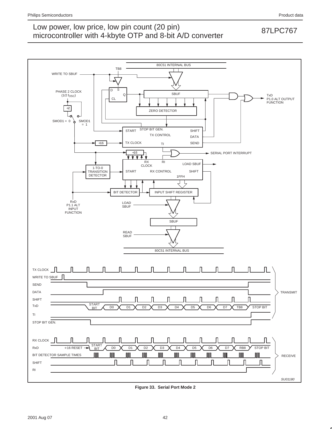

**Figure 33. Serial Port Mode 2**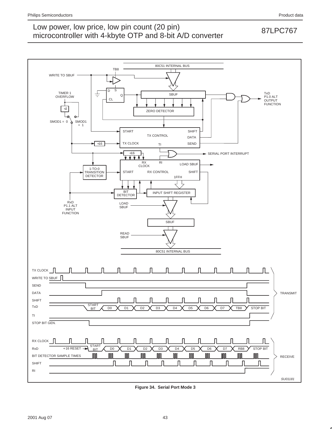

**Figure 34. Serial Port Mode 3**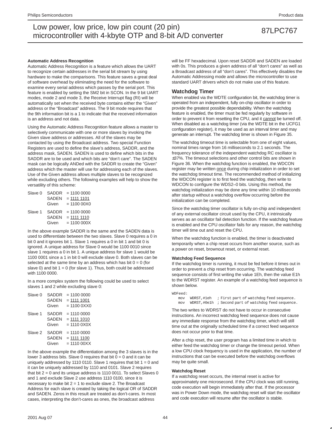#### **Automatic Address Recognition**

Automatic Address Recognition is a feature which allows the UART to recognize certain addresses in the serial bit stream by using hardware to make the comparisons. This feature saves a great deal of software overhead by eliminating the need for the software to examine every serial address which passes by the serial port. This feature is enabled by setting the SM2 bit in SCON. In the 9 bit UART modes, mode 2 and mode 3, the Receive Interrupt flag (RI) will be automatically set when the received byte contains either the "Given" address or the "Broadcast" address. The 9 bit mode requires that the 9th information bit is a 1 to indicate that the received information is an address and not data.

Using the Automatic Address Recognition feature allows a master to selectively communicate with one or more slaves by invoking the Given slave address or addresses. All of the slaves may be contacted by using the Broadcast address. Two special Function Registers are used to define the slave's address, SADDR, and the address mask, SADEN. SADEN is used to define which bits in the SADDR are to be used and which bits are "don't care". The SADEN mask can be logically ANDed with the SADDR to create the "Given" address which the master will use for addressing each of the slaves. Use of the Given address allows multiple slaves to be recognized while excluding others. The following examples will help to show the versatility of this scheme:

| Slave 0 | SADDR        | $= 11000000$  |
|---------|--------------|---------------|
|         | <b>SADEN</b> | $= 1111 1101$ |
|         | Given        | $= 110000000$ |
| Slave 1 | <b>SADDR</b> | $= 11000000$  |
|         | <b>SADEN</b> | $= 1111 1110$ |
|         | Given        | $= 11000000X$ |

In the above example SADDR is the same and the SADEN data is used to differentiate between the two slaves. Slave 0 requires a 0 in bit 0 and it ignores bit 1. Slave 1 requires a 0 in bit 1 and bit 0 is ignored. A unique address for Slave 0 would be 1100 0010 since slave 1 requires a 0 in bit 1. A unique address for slave 1 would be 1100 0001 since a 1 in bit 0 will exclude slave 0. Both slaves can be selected at the same time by an address which has bit  $0 = 0$  (for slave 0) and bit  $1 = 0$  (for slave 1). Thus, both could be addressed with 1100 0000.

In a more complex system the following could be used to select slaves 1 and 2 while excluding slave 0:

| Slave 0 | <b>SADDR</b><br><b>SADEN</b><br>Given | $= 11000000$<br>$= 1111 1001$<br>$= 110000$    |
|---------|---------------------------------------|------------------------------------------------|
| Slave 1 | SADDR<br><b>SADEN</b><br>Given        | $= 11100000$<br>$= 1111 1010$<br>$= 111000X0X$ |
| Slave 2 | SADDR<br><b>SADEN</b><br>Given        | $= 11100000$<br>$= 1111 1100$<br>$= 1110000XX$ |

In the above example the differentiation among the 3 slaves is in the lower 3 address bits. Slave 0 requires that bit  $0 = 0$  and it can be uniquely addressed by 1110 0110. Slave 1 requires that bit  $1 = 0$  and it can be uniquely addressed by 1110 and 0101. Slave 2 requires that bit  $2 = 0$  and its unique address is 1110 0011. To select Slaves 0 and 1 and exclude Slave 2 use address 1110 0100, since it is necessary to make bit  $2 = 1$  to exclude slave 2. The Broadcast Address for each slave is created by taking the logical OR of SADDR and SADEN. Zeros in this result are treated as don't-cares. In most cases, interpreting the don't-cares as ones, the broadcast address

will be FF hexadecimal. Upon reset SADDR and SADEN are loaded with 0s. This produces a given address of all "don't cares" as well as a Broadcast address of all "don't cares". This effectively disables the Automatic Addressing mode and allows the microcontroller to use standard UART drivers which do not make use of this feature.

#### **Watchdog Timer**

When enabled via the WDTE configuration bit, the watchdog timer is operated from an independent, fully on-chip oscillator in order to provide the greatest possible dependability. When the watchdog feature is enabled, the timer must be fed regularly by software in order to prevent it from resetting the CPU, and it cannot be turned off. When disabled as a watchdog timer (via the WDTE bit in the UCFG1 configuration register), it may be used as an interval timer and may generate an interrupt. The watchdog timer is shown in Figure 35.

The watchdog timeout time is selectable from one of eight values, nominal times range from 16 milliseconds to 2.1 seconds. The frequency tolerance of the independent watchdog RC oscillator is ±37%. The timeout selections and other control bits are shown in Figure 36. When the watchdog function is enabled, the WDCON register may be written once during chip initialization in order to set the watchdog timeout time. The recommended method of initializing the WDCON register is to first feed the watchdog, then write to WDCON to configure the WDS2–0 bits. Using this method, the watchdog initialization may be done any time within 10 milliseconds after startup without a watchdog overflow occurring before the initialization can be completed.

Since the watchdog timer oscillator is fully on-chip and independent of any external oscillator circuit used by the CPU, it intrinsically serves as an oscillator fail detection function. If the watchdog feature is enabled and the CPU oscillator fails for any reason, the watchdog timer will time out and reset the CPU.

When the watchdog function is enabled, the timer is deactivated temporarily when a chip reset occurs from another source, such as a power on reset, brownout reset, or external reset.

#### **Watchdog Feed Sequence**

If the watchdog timer is running, it must be fed before it times out in order to prevent a chip reset from occurring. The watchdog feed sequence consists of first writing the value 1Eh, then the value E1h to the WDRST register. An example of a watchdog feed sequence is shown below.

WDFeed: mov WDRST,#1eh ; First part of watchdog feed sequence. mov WDRST,#0e1h ; Second part of watchdog feed sequence.

The two writes to WDRST do not have to occur in consecutive instructions. An incorrect watchdog feed sequence does not cause any immediate response from the watchdog timer, which will still time out at the originally scheduled time if a correct feed sequence does not occur prior to that time.

After a chip reset, the user program has a limited time in which to either feed the watchdog timer or change the timeout period. When a low CPU clock frequency is used in the application, the number of instructions that can be executed before the watchdog overflows may be quite small.

#### **Watchdog Reset**

If a watchdog reset occurs, the internal reset is active for approximately one microsecond. If the CPU clock was still running, code execution will begin immediately after that. If the processor was in Power Down mode, the watchdog reset will start the oscillator and code execution will resume after the oscillator is stable.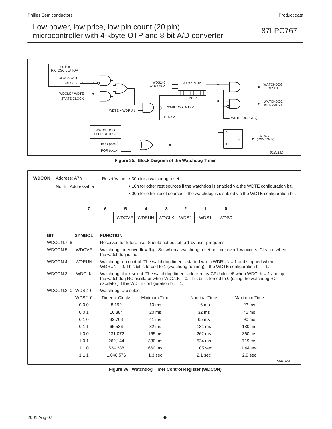

**Figure 35. Block Diagram of the Watchdog Timer**

| <b>WDCON</b><br>Address: A7h |               |                                                                                         | Reset Value: • 30h for a watchdog reset.                                                                                                                                                                                                    |                                                                   |              |                |                     |      |                                                                                           |         |  |
|------------------------------|---------------|-----------------------------------------------------------------------------------------|---------------------------------------------------------------------------------------------------------------------------------------------------------------------------------------------------------------------------------------------|-------------------------------------------------------------------|--------------|----------------|---------------------|------|-------------------------------------------------------------------------------------------|---------|--|
| Not Bit Addressable          |               | • 10h for other rest sources if the watchdog is enabled via the WDTE configuration bit. |                                                                                                                                                                                                                                             |                                                                   |              |                |                     |      |                                                                                           |         |  |
|                              |               |                                                                                         |                                                                                                                                                                                                                                             |                                                                   |              |                |                     |      | • 00h for other reset sources if the watchdog is disabled via the WDTE configuration bit. |         |  |
|                              |               |                                                                                         |                                                                                                                                                                                                                                             |                                                                   |              |                |                     |      |                                                                                           |         |  |
|                              | 7             | 6                                                                                       | 5                                                                                                                                                                                                                                           | 4                                                                 | 3            | $\overline{2}$ | 1                   | 0    |                                                                                           |         |  |
|                              |               |                                                                                         | <b>WDOVF</b>                                                                                                                                                                                                                                | <b>WDRUN</b>                                                      | <b>WDCLK</b> | WDS2           | WDS1                | WDS0 |                                                                                           |         |  |
|                              |               |                                                                                         |                                                                                                                                                                                                                                             |                                                                   |              |                |                     |      |                                                                                           |         |  |
| <b>BIT</b>                   | <b>SYMBOL</b> | <b>FUNCTION</b>                                                                         |                                                                                                                                                                                                                                             |                                                                   |              |                |                     |      |                                                                                           |         |  |
| WDCON.7, 6                   |               |                                                                                         |                                                                                                                                                                                                                                             | Reserved for future use. Should not be set to 1 by user programs. |              |                |                     |      |                                                                                           |         |  |
| WDCON.5                      | <b>WDOVF</b>  |                                                                                         | Watchdog timer overflow flag. Set when a watchdog reset or timer overflow occurs. Cleared when<br>the watchdog is fed.                                                                                                                      |                                                                   |              |                |                     |      |                                                                                           |         |  |
| WDCON.4                      | <b>WDRUN</b>  |                                                                                         | Watchdog run control. The watchdog timer is started when WDRUN $=$ 1 and stopped when<br>WDRUN = 0. This bit is forced to 1 (watchdog running) if the WDTE configuration bit = 1.                                                           |                                                                   |              |                |                     |      |                                                                                           |         |  |
| WDCON.3                      | <b>WDCLK</b>  |                                                                                         | Watchdog clock select. The watchdog timer is clocked by CPU clock/6 when WDCLK = 1 and by<br>the watchdog RC oscillator when WDCLK = 0. This bit is forced to 0 (using the watchdog RC<br>oscillator) if the WDTE configuration bit = $1$ . |                                                                   |              |                |                     |      |                                                                                           |         |  |
| WDCON.2-0 WDS2-0             |               |                                                                                         | Watchdog rate select.                                                                                                                                                                                                                       |                                                                   |              |                |                     |      |                                                                                           |         |  |
|                              | $WDS2-0$      |                                                                                         | <b>Timeout Clocks</b>                                                                                                                                                                                                                       | Minimum Time                                                      |              |                | <b>Nominal Time</b> |      | Maximum Time                                                                              |         |  |
|                              | 000           |                                                                                         | 8.192                                                                                                                                                                                                                                       | 10 <sub>ms</sub>                                                  |              |                | 16 <sub>ms</sub>    |      | $23 \text{ ms}$                                                                           |         |  |
|                              | 001           |                                                                                         | 16,384                                                                                                                                                                                                                                      | $20 \text{ ms}$                                                   |              |                | $32 \text{ ms}$     |      | 45 ms                                                                                     |         |  |
|                              | 010           |                                                                                         | 32,768                                                                                                                                                                                                                                      | 41 ms                                                             |              |                | 65 ms               |      | $90 \text{ ms}$                                                                           |         |  |
|                              | 011           |                                                                                         | 65,536                                                                                                                                                                                                                                      | 82 ms                                                             |              |                | 131 ms              |      | $180 \text{ ms}$                                                                          |         |  |
|                              | 100           |                                                                                         | 131.072                                                                                                                                                                                                                                     | 165 ms                                                            |              |                | 262 ms              |      | 360 ms                                                                                    |         |  |
|                              | 101           |                                                                                         | 262,144                                                                                                                                                                                                                                     | 330 ms                                                            |              |                | 524 ms              |      | 719 ms                                                                                    |         |  |
|                              | 110           |                                                                                         | 524,288                                                                                                                                                                                                                                     | 660 ms                                                            |              |                | $1.05$ sec          |      | $1.44$ sec                                                                                |         |  |
|                              | 111           |                                                                                         | 1,048,576                                                                                                                                                                                                                                   | 1.3 <sub>sec</sub>                                                |              |                | $2.1$ sec           |      | 2.9 <sub>sec</sub>                                                                        |         |  |
|                              |               |                                                                                         |                                                                                                                                                                                                                                             |                                                                   |              |                |                     |      |                                                                                           | SU01183 |  |

**Figure 36. Watchdog Timer Control Register (WDCON)**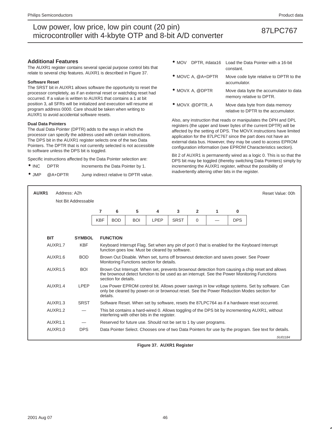#### **Additional Features**

The AUXR1 register contains several special purpose control bits that relate to several chip features. AUXR1 is described in Figure 37.

#### **Software Reset**

The SRST bit in AUXR1 allows software the opportunity to reset the processor completely, as if an external reset or watchdog reset had occurred. If a value is written to AUXR1 that contains a 1 at bit position 3, all SFRs will be initialized and execution will resume at program address 0000. Care should be taken when writing to AUXR1 to avoid accidental software resets.

#### **Dual Data Pointers**

The dual Data Pointer (DPTR) adds to the ways in which the processor can specify the address used with certain instructions. The DPS bit in the AUXR1 register selects one of the two Data Pointers. The DPTR that is not currently selected is not accessible to software unless the DPS bit is toggled.

Specific instructions affected by the Data Pointer selection are:

- INC DPTR Increments the Data Pointer by 1.
- JMP @A+DPTR Jump indirect relative to DPTR value.
- MOV DPTR, #data16 Load the Data Pointer with a 16-bit constant.
- MOVC A, @A+DPTR Move code byte relative to DPTR to the accumulator.
- MOVX A, @DPTR Move data byte the accumulator to data memory relative to DPTR.
- MOVX @DPTR, A Move data byte from data memory relative to DPTR to the accumulator.

Also, any instruction that reads or manipulates the DPH and DPL registers (the upper and lower bytes of the current DPTR) will be affected by the setting of DPS. The MOVX instructions have limited application for the 87LPC767 since the part does not have an external data bus. However, they may be used to access EPROM configuration information (see EPROM Characteristics section).

Bit 2 of AUXR1 is permanently wired as a logic 0. This is so that the DPS bit may be toggled (thereby switching Data Pointers) simply by incrementing the AUXR1 register, without the possibility of inadvertently altering other bits in the register.

| AUXR1      | Address: A2h | Not Bit Addressable |            |                                                                                                                                                 |            |                                                                   |             |              |   |            | Reset Value: 00h                                                                                                                                                                               |
|------------|--------------|---------------------|------------|-------------------------------------------------------------------------------------------------------------------------------------------------|------------|-------------------------------------------------------------------|-------------|--------------|---|------------|------------------------------------------------------------------------------------------------------------------------------------------------------------------------------------------------|
|            |              |                     | 7          | 6                                                                                                                                               | 5          | 4                                                                 | 3           | $\mathbf{2}$ | 1 | 0          |                                                                                                                                                                                                |
|            |              |                     | <b>KBF</b> | <b>BOD</b>                                                                                                                                      | <b>BOI</b> | I PFP                                                             | <b>SRST</b> | $\Omega$     |   | <b>DPS</b> |                                                                                                                                                                                                |
|            |              |                     |            |                                                                                                                                                 |            |                                                                   |             |              |   |            |                                                                                                                                                                                                |
| <b>BIT</b> |              | <b>SYMBOL</b>       |            | <b>FUNCTION</b>                                                                                                                                 |            |                                                                   |             |              |   |            |                                                                                                                                                                                                |
|            | AUXR1.7      | <b>KBF</b>          |            |                                                                                                                                                 |            | function goes low. Must be cleared by software.                   |             |              |   |            | Keyboard Interrupt Flag. Set when any pin of port 0 that is enabled for the Keyboard Interrupt                                                                                                 |
|            | AUXR1.6      | <b>BOD</b>          |            |                                                                                                                                                 |            | Monitoring Functions section for details.                         |             |              |   |            | Brown Out Disable. When set, turns off brownout detection and saves power. See Power                                                                                                           |
|            | AUXR1.5      | <b>BOI</b>          |            | section for details.                                                                                                                            |            |                                                                   |             |              |   |            | Brown Out Interrupt. When set, prevents brownout detection from causing a chip reset and allows<br>the brownout detect function to be used as an interrupt. See the Power Monitoring Functions |
|            | AUXR1.4      | I PFP               | details.   |                                                                                                                                                 |            |                                                                   |             |              |   |            | Low Power EPROM control bit. Allows power savings in low voltage systems. Set by software. Can<br>only be cleared by power-on or brownout reset. See the Power Reduction Modes section for     |
|            | AUXR1.3      | <b>SRST</b>         |            |                                                                                                                                                 |            |                                                                   |             |              |   |            | Software Reset. When set by software, resets the 87LPC764 as if a hardware reset occurred.                                                                                                     |
|            | AUXR1.2      |                     |            | This bit contains a hard-wired 0. Allows toggling of the DPS bit by incrementing AUXR1, without<br>interfering with other bits in the register. |            |                                                                   |             |              |   |            |                                                                                                                                                                                                |
|            | AUXR1.1      |                     |            |                                                                                                                                                 |            | Reserved for future use. Should not be set to 1 by user programs. |             |              |   |            |                                                                                                                                                                                                |
|            | AUXR1.0      | <b>DPS</b>          |            |                                                                                                                                                 |            |                                                                   |             |              |   |            | Data Pointer Select. Chooses one of two Data Pointers for use by the program. See text for details.                                                                                            |
|            |              |                     |            |                                                                                                                                                 |            |                                                                   |             |              |   |            | SU01184                                                                                                                                                                                        |

**Figure 37. AUXR1 Register**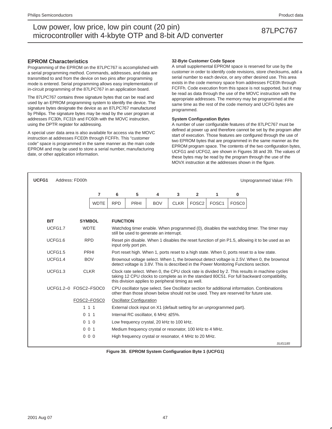### **EPROM Characteristics**

Programming of the EPROM on the 87LPC767 is accomplished with a serial programming method. Commands, addresses, and data are transmitted to and from the device on two pins after programming mode is entered. Serial programming allows easy implementation of in-circuit programming of the 87LPC767 in an application board.

The 87LPC767 contains three signature bytes that can be read and used by an EPROM programming system to identify the device. The signature bytes designate the device as an 87LPC767 manufactured by Philips. The signature bytes may be read by the user program at addresses FC30h, FC31h and FC60h with the MOVC instruction, using the DPTR register for addressing.

A special user data area is also available for access via the MOVC instruction at addresses FCE0h through FCFFh. This "customer code" space is programmed in the same manner as the main code EPROM and may be used to store a serial number, manufacturing date, or other application information.

#### **32-Byte Customer Code Space**

A small supplemental EPROM space is reserved for use by the customer in order to identify code revisions, store checksums, add a serial number to each device, or any other desired use. This area exists in the code memory space from addresses FCE0h through FCFFh. Code execution from this space is not supported, but it may be read as data through the use of the MOVC instruction with the appropriate addresses. The memory may be programmed at the same time as the rest of the code memory and UCFG bytes are programmed.

#### **System Configuration Bytes**

A number of user configurable features of the 87LPC767 must be defined at power up and therefore cannot be set by the program after start of execution. Those features are configured through the use of two EPROM bytes that are programmed in the same manner as the EPROM program space. The contents of the two configuration bytes, UCFG1 and UCFG2, are shown in Figures 38 and 39. The values of these bytes may be read by the program through the use of the MOVX instruction at the addresses shown in the figure.

| UCFG1 |                       | Address: FD00h                                                                                                                        |                |                 |                                                                                           |                                                                        |             |                   |                   |                   | Unprogrammed Value: FFh                                                                                                                                                                      |  |
|-------|-----------------------|---------------------------------------------------------------------------------------------------------------------------------------|----------------|-----------------|-------------------------------------------------------------------------------------------|------------------------------------------------------------------------|-------------|-------------------|-------------------|-------------------|----------------------------------------------------------------------------------------------------------------------------------------------------------------------------------------------|--|
|       |                       |                                                                                                                                       | 7              | 6               | 5                                                                                         | 4                                                                      | 3           | $\mathbf{2}$      | 1                 | 0                 |                                                                                                                                                                                              |  |
|       |                       |                                                                                                                                       | <b>WDTE</b>    | <b>RPD</b>      | <b>PRHI</b>                                                                               | <b>BOV</b>                                                             | <b>CLKR</b> | FOSC <sub>2</sub> | FOSC <sub>1</sub> | FOSC <sub>0</sub> |                                                                                                                                                                                              |  |
|       |                       |                                                                                                                                       |                |                 |                                                                                           |                                                                        |             |                   |                   |                   |                                                                                                                                                                                              |  |
|       | <b>BIT</b>            |                                                                                                                                       | <b>SYMBOL</b>  | <b>FUNCTION</b> |                                                                                           |                                                                        |             |                   |                   |                   |                                                                                                                                                                                              |  |
|       | UCFG1.7               | <b>WDTE</b>                                                                                                                           |                |                 |                                                                                           | still be used to generate an interrupt.                                |             |                   |                   |                   | Watchdog timer enable. When programmed (0), disables the watchdog timer. The timer may                                                                                                       |  |
|       | UCFG1.6               | <b>RPD</b><br>Reset pin disable. When 1 disables the reset function of pin P1.5, allowing it to be used as an<br>input only port pin. |                |                 |                                                                                           |                                                                        |             |                   |                   |                   |                                                                                                                                                                                              |  |
|       | UCFG1.5<br>PRHI       |                                                                                                                                       |                |                 | Port reset high. When 1, ports reset to a high state. When 0, ports reset to a low state. |                                                                        |             |                   |                   |                   |                                                                                                                                                                                              |  |
|       | UCFG1.4               | <b>BOV</b>                                                                                                                            |                |                 |                                                                                           |                                                                        |             |                   |                   |                   | Brownout voltage select. When 1, the brownout detect voltage is 2.5V. When 0, the brownout<br>detect voltage is 3.8V. This is described in the Power Monitoring Functions section.           |  |
|       | UCFG1.3               |                                                                                                                                       | <b>CLKR</b>    |                 |                                                                                           | this division applies to peripheral timing as well.                    |             |                   |                   |                   | Clock rate select. When 0, the CPU clock rate is divided by 2. This results in machine cycles<br>taking 12 CPU clocks to complete as in the standard 80C51. For full backward compatibility, |  |
|       | UCFG1.2-0 FOSC2-FSOC0 |                                                                                                                                       |                |                 |                                                                                           |                                                                        |             |                   |                   |                   | CPU oscillator type select. See Oscillator section for additional information. Combinations<br>other than those shown below should not be used. They are reserved for future use.            |  |
|       |                       |                                                                                                                                       | FOSC2-FOSC0    |                 | <b>Oscillator Configuration</b>                                                           |                                                                        |             |                   |                   |                   |                                                                                                                                                                                              |  |
|       |                       | 111                                                                                                                                   |                |                 |                                                                                           | External clock input on X1 (default setting for an unprogrammed part). |             |                   |                   |                   |                                                                                                                                                                                              |  |
|       |                       | 0                                                                                                                                     | 1 <sub>1</sub> |                 |                                                                                           | Internal RC oscillator, 6 MHz ±25%.                                    |             |                   |                   |                   |                                                                                                                                                                                              |  |
|       |                       |                                                                                                                                       | 010            |                 |                                                                                           | Low frequency crystal, 20 kHz to 100 kHz.                              |             |                   |                   |                   |                                                                                                                                                                                              |  |
|       |                       | 001                                                                                                                                   |                |                 |                                                                                           | Medium frequency crystal or resonator, 100 kHz to 4 MHz.               |             |                   |                   |                   |                                                                                                                                                                                              |  |
|       |                       |                                                                                                                                       | 000            |                 |                                                                                           | High frequency crystal or resonator, 4 MHz to 20 MHz.                  |             |                   |                   |                   |                                                                                                                                                                                              |  |
|       |                       |                                                                                                                                       |                |                 |                                                                                           |                                                                        |             |                   |                   |                   | SU01185                                                                                                                                                                                      |  |

**Figure 38. EPROM System Configuration Byte 1 (UCFG1)**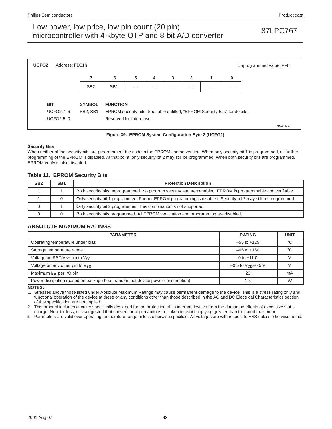

**Figure 39. EPROM System Configuration Byte 2 (UCFG2)**

### **Security Bits**

When neither of the security bits are programmed, the code in the EPROM can be verified. When only security bit 1 is programmed, all further programming of the EPROM is disabled. At that point, only security bit 2 may still be programmed. When both security bits are programmed, EPROM verify is also disabled.

### **Table 11. EPROM Security Bits**

| SB <sub>2</sub> | SB <sub>1</sub> | <b>Protection Description</b>                                                                                  |
|-----------------|-----------------|----------------------------------------------------------------------------------------------------------------|
|                 |                 | Both security bits unprogrammed. No program security features enabled. EPROM is programmable and verifiable.   |
|                 |                 | Only security bit 1 programmed. Further EPROM programming is disabled. Security bit 2 may still be programmed. |
|                 |                 | Only security bit 2 programmed. This combination is not supported.                                             |
|                 |                 | Both security bits programmed. All EPROM verification and programming are disabled.                            |

### **ABSOLUTE MAXIMUM RATINGS**

| <b>PARAMETER</b>                                                                 | <b>RATING</b>             | <b>UNIT</b> |
|----------------------------------------------------------------------------------|---------------------------|-------------|
| Operating temperature under bias                                                 | $-55$ to $+125$           |             |
| Storage temperature range                                                        | $-65$ to $+150$           | $\circ$     |
| Voltage on $\overline{\text{RST}}/V_{\text{PP}}$ pin to $V_{SS}$                 | 0 to $+11.0$              |             |
| Voltage on any other pin to $V_{SS}$                                             | $-0.5$ to $V_{DD}$ +0.5 V |             |
| Maximum $I_{\Omega}$ per I/O pin                                                 | 20                        | mA          |
| Power dissipation (based on package heat transfer, not device power consumption) | 1.5                       | W           |

**NOTES:**

1. Stresses above those listed under Absolute Maximum Ratings may cause permanent damage to the device. This is a stress rating only and functional operation of the device at these or any conditions other than those described in the AC and DC Electrical Characteristics section of this specification are not implied.

2. This product includes circuitry specifically designed for the protection of its internal devices from the damaging effects of excessive static charge. Nonetheless, it is suggested that conventional precautions be taken to avoid applying greater than the rated maximum.

3. Parameters are valid over operating temperature range unless otherwise specified. All voltages are with respect to VSS unless otherwise noted.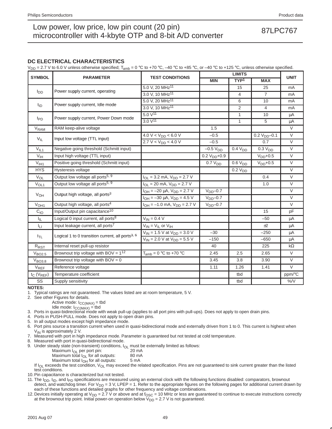### **DC ELECTRICAL CHARACTERISTICS**

 $V_{\text{DD}}$  = 2.7 V to 6.0 V unless otherwise specified;  $T_{\text{amb}}$  = 0 °C to +70 °C, –40 °C to +85 °C, or –40 °C to +125 °C, unless otherwise specified.

|                     |                                                              |                                                   |                     | <b>UNIT</b>         |                     |           |
|---------------------|--------------------------------------------------------------|---------------------------------------------------|---------------------|---------------------|---------------------|-----------|
| <b>SYMBOL</b>       | <b>PARAMETER</b>                                             | <b>TEST CONDITIONS</b>                            | <b>MIN</b>          | TYP <sup>1</sup>    | <b>MAX</b>          |           |
|                     |                                                              | 5.0 V, 20 MHz <sup>11</sup>                       |                     | 15                  | 25                  | mA        |
| $I_{DD}$            | Power supply current, operating                              | 3.0 V, 10 MHz <sup>11</sup>                       |                     | $\overline{4}$      | $\overline{7}$      | mA        |
|                     |                                                              | 5.0 V, 20 MHz <sup>11</sup>                       |                     | 6                   | 10                  | mA        |
| <sup>1</sup> ID     | Power supply current, Idle mode                              | 3.0 V, 10 MHz <sup>11</sup>                       |                     | 2                   | 4                   | mA        |
|                     | Power supply current, Power Down mode                        | $5.0 V^{11}$                                      |                     | 1                   | 10                  | μA        |
| $I_{PD}$            |                                                              | $3.0 V^{11}$                                      |                     | $\mathbf{1}$        | 5                   | μA        |
| V <sub>RAM</sub>    | RAM keep-alive voltage                                       |                                                   | 1.5                 |                     |                     | $\vee$    |
|                     | Input low voltage (TTL input)                                | $4.0 V < V_{DD} < 6.0 V$                          | $-0.5$              |                     | $0.2 V_{DD} - 0.1$  | $\vee$    |
| $V_{IL}$            |                                                              | $2.7 V < V_{DD} < 4.0 V$                          | $-0.5$              |                     | 0.7                 | $\vee$    |
| V <sub>IL1</sub>    | Negative going threshold (Schmitt input)                     |                                                   | $-0.5 V_{DD}$       | 0.4 V <sub>DD</sub> | 0.3 V <sub>DD</sub> | $\vee$    |
| V <sub>IH</sub>     | Input high voltage (TTL input)                               |                                                   | $0.2 VDD+0.9$       |                     | $VDD+0.5$           | $\vee$    |
| V <sub>IH1</sub>    | Positive going threshold (Schmitt input)                     |                                                   | 0.7 V <sub>DD</sub> | 0.6 V <sub>DD</sub> | $VDD+0.5$           | $\vee$    |
| <b>HYS</b>          | Hysteresis voltage                                           |                                                   |                     | 0.2 V <sub>DD</sub> |                     | $\vee$    |
| VOL                 | Output low voltage all ports <sup>5, 9</sup>                 | $I_{\text{OI}}$ = 3.2 mA, $V_{\text{DD}}$ = 2.7 V |                     |                     | 0.4                 | $\vee$    |
| $V_{OL1}$           | Output low voltage all ports <sup>5, 9</sup>                 | $I_{OL}$ = 20 mA, $V_{DD}$ = 2.7 V                |                     |                     | 1.0                 | $\vee$    |
|                     |                                                              | $I_{OH} = -20 \mu A$ , $V_{DD} = 2.7 V$           | $VDD - 0.7$         |                     |                     | $\vee$    |
| $V_{OH}$            | Output high voltage, all ports <sup>3</sup>                  | $I_{OH} = -30 \mu A$ , $V_{DD} = 4.5 V$           | $VDD - 0.7$         |                     |                     | $\vee$    |
| V <sub>OH1</sub>    | Output high voltage, all ports <sup>4</sup>                  | $I_{OH} = -1.0$ mA, $V_{DD} = 2.7$ V              | $VDD - 0.7$         |                     |                     | $\vee$    |
| $C_{10}$            | Input/Output pin capacitance <sup>10</sup>                   |                                                   |                     |                     | 15                  | pF        |
| Ι'n.                | Logical 0 input current, all ports <sup>8</sup>              | $V_{IN} = 0.4 V$                                  |                     |                     | $-50$               | μA        |
| Iц                  | Input leakage current, all ports <sup>7</sup>                | $V_{IN} = V_{IL}$ or $V_{IH}$                     |                     |                     | ±2                  | μA        |
|                     |                                                              | $V_{IN}$ = 1.5 V at $V_{DD}$ = 3.0 V              | $-30$               |                     | $-250$              | μA        |
| $I_{TL}$            | Logical 1 to 0 transition current, all ports <sup>3, 6</sup> | $V_{IN}$ = 2.0 V at $V_{DD}$ = 5.5 V              | $-150$              |                     | $-650$              | μA        |
| $R_{RST}$           | Internal reset pull-up resistor                              |                                                   | 40                  |                     | 225                 | $k\Omega$ |
| V <sub>BO2.5</sub>  | Brownout trip voltage with BOV = $1^{12}$                    | $T_{amb} = 0 °C$ to +70 $°C$                      | 2.45                | 2.5                 | 2.65                | $\vee$    |
| V <sub>BO3.8</sub>  | Brownout trip voltage with $BOV = 0$                         |                                                   | 3.45                | 3.8                 | 3.90                | $\vee$    |
| VREF                | Reference voltage                                            |                                                   | 1.11                | 1.26                | 1.41                | $\vee$    |
| $t_C$ ( $V_{REF}$ ) | Temperature coefficient                                      |                                                   |                     | tbd                 |                     | ppm/°C    |
| SS                  | Supply sensitivity                                           |                                                   |                     | tbd                 |                     | $%$ /V    |

**NOTES:**

1. Typical ratings are not guaranteed. The values listed are at room temperature, 5 V.

2. See other Figures for details.

Active mode:  $I_{CC(MAX)} =$  tbd

Idle mode:  $I_{CC(MAX)} =$  tbd

3. Ports in quasi-bidirectional mode with weak pull-up (applies to all port pins with pull-ups). Does not apply to open drain pins.

4. Ports in PUSH-PULL mode. Does not apply to open drain pins.

5. In all output modes except high impedance mode.

6. Port pins source a transition current when used in quasi-bidirectional mode and externally driven from 1 to 0. This current is highest when  $V_{IN}$  is approximately 2 V.

7. Measured with port in high impedance mode. Parameter is guaranteed but not tested at cold temperature.

8. Measured with port in quasi-bidirectional mode.

9. Under steady state (non-transient) conditions,  $I_{OL}$  must be externally limited as follows:<br>Maximum  $I_{OL}$  per port pin:  $20 \text{ mA}$ 

Maximum  $I_{OL}$  per port pin:  $20 \text{ mA}$ <br>Maximum total  $I_{OL}$  for all outputs:  $30 \text{ mA}$ 

Maximum total  $I_{OL}$  for all outputs: 80 m/<br>Maximum total  $I_{OH}$  for all outputs: 5 mA

Maximum total  $I_{OH}$  for all outputs:

If  $I_{OL}$  exceeds the test condition,  $V_{OL}$  may exceed the related specification. Pins are not guaranteed to sink current greater than the listed test conditions.

10. Pin capacitance is characterized but not tested.

11. The  $I_{DD}$ ,  $I_{ID}$ , and  $I_{PD}$  specifications are measured using an external clock with the following functions disabled: comparators, brownout

detect, and watchdog timer. For  $V_{DD} = 3$  V, LPEP = 1. Refer to the appropriate figures on the following pages for additional current drawn by each of these functions and detailed graphs for other frequency and voltage combinations.

12. Devices initially operating at  $V_{\text{DD}} = 2.7$  V or above and at  $f_{\text{OSC}} = 10$  MHz or less are guaranteed to continue to execute instructions correctly at the brownout trip point. Initial power-on operation below  $\widetilde{V}_{DD}$  = 2.7 V is not guaranteed.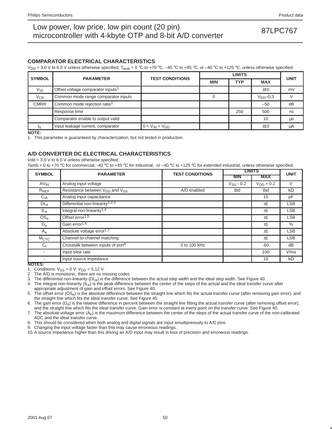### **COMPARATOR ELECTRICAL CHARACTERISTICS**

 $V_{\text{DD}}$  = 3.0 V to 6.0 V unless otherwise specified;  $T_{\text{amb}}$  = 0 °C to +70 °C, –40 °C to +85 °C, or –40 °C to +125 °C, unless otherwise specified

| <b>SYMBOL</b> | <b>PARAMETER</b>                              | <b>TEST CONDITIONS</b> |            | <b>UNIT</b> |            |         |  |
|---------------|-----------------------------------------------|------------------------|------------|-------------|------------|---------|--|
|               |                                               |                        | <b>MIN</b> | TYP         | <b>MAX</b> |         |  |
| $V_{IO}$      | Offset voltage comparator inputs <sup>1</sup> |                        |            |             | ±10        | mV      |  |
| $V_{CR}$      | Common mode range comparator inputs           |                        |            |             | $VDD-0.3$  |         |  |
| <b>CMRR</b>   | Common mode rejection ratio <sup>1</sup>      |                        |            |             | $-50$      | dB      |  |
|               | Response time                                 |                        |            | 250         | 500        | ns      |  |
|               | Comparator enable to output valid             |                        |            |             | 10         | $\mu$ s |  |
| Ιш            | Input leakage current, comparator             | $0 < V_{IN} < V_{DD}$  |            |             | ±10        | μA      |  |

**NOTE:**

1. This parameter is guaranteed by characterization, but not tested in production.

### **A/D CONVERTER DC ELECTRICAL CHARACTERISTICS**

 $Vdd = 3.0 V$  to 6.0 V unless otherwise specified;

Tamb = 0 to +70 °C for commercial, -40 °C to +85 °C for industrial, or -40 °C to +125 °C for extended industrial, unless otherwise specified.

| <b>SYMBOL</b>            | <b>PARAMETER</b>                                       | <b>TEST CONDITIONS</b> | <b>LIMITS</b>  | <b>UNIT</b>    |            |  |
|--------------------------|--------------------------------------------------------|------------------------|----------------|----------------|------------|--|
|                          |                                                        |                        | <b>MIN</b>     | <b>MAX</b>     |            |  |
| $AV_{IN}$                | Analog input voltage                                   |                        | $V_{SS}$ - 0.2 | $V_{DD}$ + 0.2 | $\vee$     |  |
| $R_{REF}$                | Resistance between V <sub>DD</sub> and V <sub>SS</sub> | A/D enabled            | tbd            | tbd            | $k\Omega$  |  |
| $C_{\text{IA}}$          | Analog input capacitance                               |                        |                | 15             | pF         |  |
| $DL_{e}$                 | Differential non-linearity <sup>1,2,3</sup>            |                        |                | ±1             | <b>LSB</b> |  |
| $IL_{e}$                 | Integral non-linearity <sup>1,4</sup>                  |                        |                | ±1             | <b>LSB</b> |  |
| $OS_e$                   | Offset error <sup>1,5</sup>                            |                        |                | ±1             | <b>LSB</b> |  |
| $G_e$                    | Gain error <sup>1,6</sup>                              |                        |                | ±1             | $\%$       |  |
| $A_{\rm e}$              | Absolute voltage error <sup>1,7</sup>                  |                        |                | ±1             | <b>LSB</b> |  |
| M <sub>CTC</sub>         | Channel-to-channel matching                            |                        |                | ±1             | <b>LSB</b> |  |
| $C_{t}$                  | Crosstalk between inputs of port <sup>8</sup>          | 0 to 100 kHz           |                | $-60$          | dB         |  |
| $\overline{\phantom{a}}$ | Input slew rate                                        |                        |                | 100            | V/ms       |  |
| <b>STATISTICS</b>        | Input source impedance                                 |                        |                | 10             | $k\Omega$  |  |

**NOTES:**

1. Conditions:  $V_{SS} = 0$  V;  $V_{DD} = 5.12$  V.

2. The A/D is monotonic, there are no missing codes

3. The differential non-linearity  $(DL_e)$  is the difference between the actual step width and the ideal step width. See Figure 40.

4. The integral non-linearity  $(I_{\text{e}})$  is the peak difference between the center of the steps of the actual and the ideal transfer curve after appropriate adjustment of gain and offset errors. See Figure 40.

5. The offset error (OS<sub>e</sub>) is the absolute difference between the straight line which fits the actual transfer curve (after removing gain error), and the straight line which fits the ideal transfer curve. See Figure 40.

6. The gain error  $(G_e)$  is the relative difference in percent between the straight line fitting the actual transfer curve (after removing offset error), and the straight line which fits the ideal transfer curve. Gain error is constant at every point on the transfer curve. See Figure 40.

7. The absolute voltage error (A<sub>e</sub>) is the maximum difference between the center of the steps of the actual transfer curve of the non-calibrated ADC and the ideal transfer curve.

8. This should be considered when both analog and digital signals are input simultaneously to A/D pins.

9. Changing the input voltage faster than this may cause erroneous readings.

10. A source impedance higher than this driving an A/D input may result in loss of precision and erroneous readings.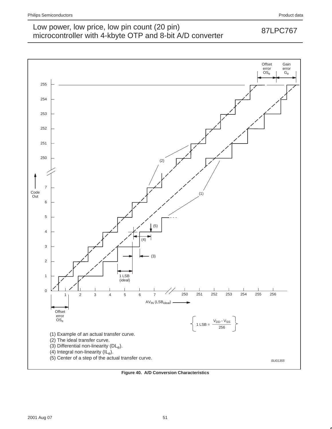

**Figure 40. A/D Conversion Characteristics**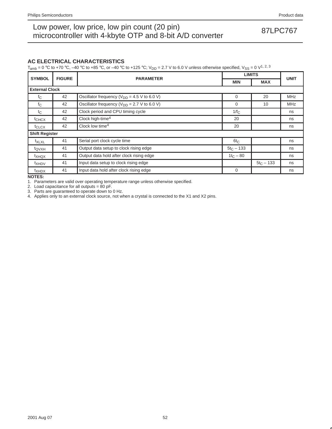### **AC ELECTRICAL CHARACTERISTICS**

 $T_{amb} = 0$  °C to +70 °C, -40 °C to +85 °C, or -40 °C to +125 °C;  $V_{DD} = 2.7$  V to 6.0 V unless otherwise specified,  $V_{SS} = 0$  V<sup>1, 2, 3</sup>

| <b>SYMBOL</b>         |               |                                                                     | <b>LIMITS</b> | <b>UNIT</b> |            |  |  |
|-----------------------|---------------|---------------------------------------------------------------------|---------------|-------------|------------|--|--|
|                       | <b>FIGURE</b> | <b>PARAMETER</b>                                                    | <b>MIN</b>    | <b>MAX</b>  |            |  |  |
| <b>External Clock</b> |               |                                                                     |               |             |            |  |  |
| $f_{\rm C}$           | 42            | Oscillator frequency ( $V_{DD}$ = 4.5 V to 6.0 V)<br>20<br>$\Omega$ |               |             |            |  |  |
| $f_{\rm C}$           | 42            | Oscillator frequency ( $V_{DD}$ = 2.7 V to 6.0 V)                   | $\Omega$      | 10          | <b>MHz</b> |  |  |
| $t_{\rm C}$           | 42            | Clock period and CPU timing cycle                                   | $1/f_C$       |             | ns         |  |  |
| $t_{CHCX}$            | 42            | Clock high-time <sup>4</sup>                                        | 20            |             | ns         |  |  |
| t <sub>CLCX</sub>     | 42            | Clock low time <sup>4</sup>                                         | 20            |             | ns         |  |  |
| <b>Shift Register</b> |               |                                                                     |               |             |            |  |  |
| t <sub>XLXL</sub>     | 41            | Serial port clock cycle time                                        | $6t_C$        |             | ns         |  |  |
| $t_{\text{QVXH}}$     | 41            | Output data setup to clock rising edge                              | $5t_C - 133$  |             | ns         |  |  |
| $t_{XHQX}$            | 41            | Output data hold after clock rising edge                            | $1t_C - 80$   |             | ns         |  |  |
| <sup>t</sup> XHDV     | 41            | Input data setup to clock rising edge                               | $5t_C - 133$  | ns          |            |  |  |
| $t_{XHDX}$            | 41            | Input data hold after clock rising edge                             | $\Omega$      |             | ns         |  |  |

**NOTES:**

1. Parameters are valid over operating temperature range unless otherwise specified.

2. Load capacitance for all outputs = 80 pF.

3. Parts are guaranteed to operate down to 0 Hz.

4. Applies only to an external clock source, not when a crystal is connected to the X1 and X2 pins.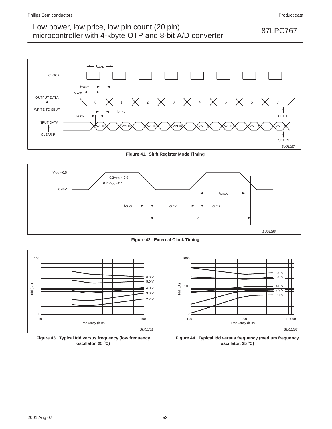

**Figure 41. Shift Register Mode Timing**



**Figure 42. External Clock Timing**



**Figure 43. Typical Idd versus frequency (low frequency oscillator, 25** °**C)**



**Figure 44. Typical Idd versus frequency (medium frequency oscillator, 25** °**C)**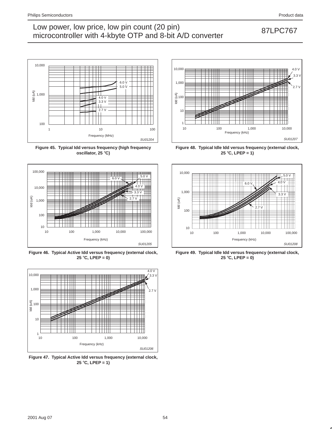

**Figure 45. Typical Idd versus frequency (high frequency oscillator, 25** °**C)**



**Figure 46. Typical Active Idd versus frequency (external clock, 25** °**C, LPEP = 0)**



**Figure 47. Typical Active Idd versus frequency (external clock, 25** °**C, LPEP = 1)**



**Figure 48. Typical Idle Idd versus frequency (external clock, 25** °**C, LPEP = 1)**



**Figure 49. Typical Idle Idd versus frequency (external clock, 25** °**C, LPEP = 0)**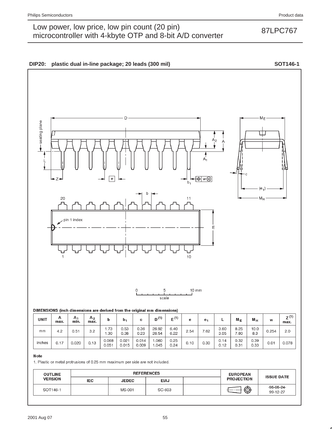## 2001 Aug 07 55





| mm     | 4.2  | 0.51  | 3.2  | 1.73<br>.30    | 0.53<br>0.38   | 0.36<br>0.23   | 26.92<br>26.54 | 6.40<br>6.22 | 2.54 | 7.62 | 3.60<br>3.05 | 8.25<br>7.80 | 10.0<br>8.3  | 0.254 |
|--------|------|-------|------|----------------|----------------|----------------|----------------|--------------|------|------|--------------|--------------|--------------|-------|
| inches | 0.17 | 0.020 | 0.13 | 0.068<br>0.051 | 0.021<br>0.015 | 0.014<br>0.009 | .060<br>.045   | 0.25<br>0.24 | 0.10 | 0.30 | 0.14<br>0.12 | 0.32<br>0.31 | 0.39<br>0.33 | 0.01  |
|        |      |       |      |                |                |                |                |              |      |      |              |              |              |       |

### Note

1. Plastic or metal protrusions of 0.25 mm maximum per side are not included.

| <b>OUTLINE</b> |            | <b>REFERENCES</b>           | <b>EUROPEAN</b> | <b>ISSUE DATE</b> |   |                             |
|----------------|------------|-----------------------------|-----------------|-------------------|---|-----------------------------|
| <b>VERSION</b> | <b>IEC</b> | <b>EIAJ</b><br><b>JEDEC</b> |                 | <b>PROJECTION</b> |   |                             |
| SOT146-1       |            | MS-001                      | SC-603          |                   | ⊕ | $-95 - 05 - 24$<br>99-12-27 |

 $2.0\,$ 

0.078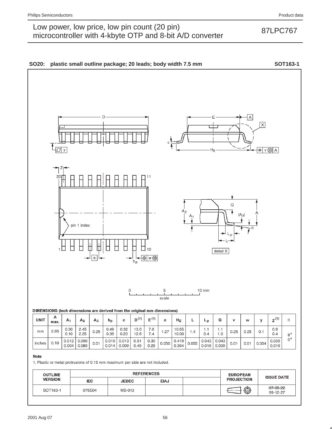